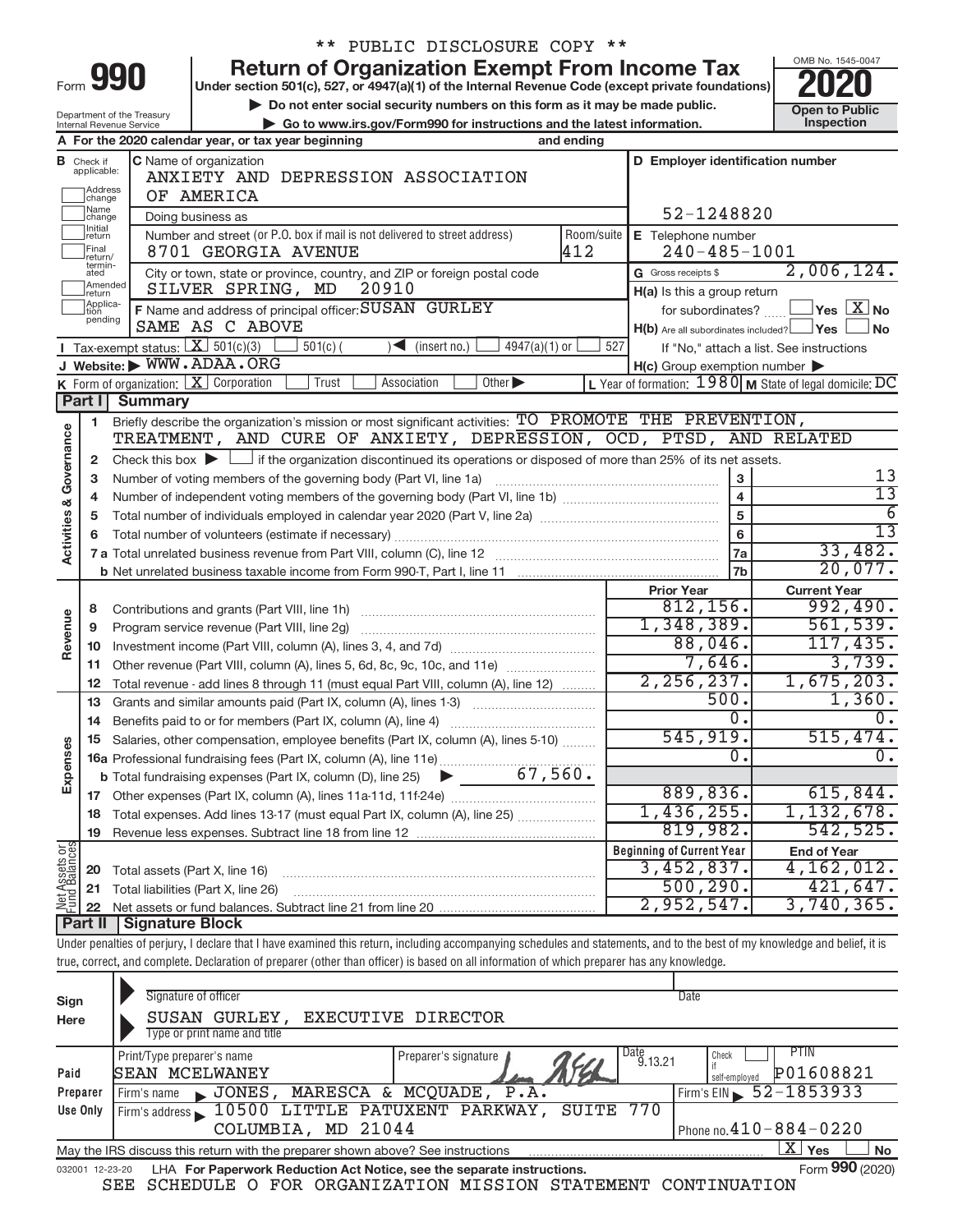| orm- |  |  |
|------|--|--|

# \*\* PUBLIC DISCLOSURE COPY \*\*

**990** Return of Organization Exempt From Income Tax **Punce 1845-004 2020** 

**Example 19 Do not enter social security numbers on this form as it may be made public.** 
<br>● Go to www.irs.gov/Form990 for instructions and the latest information. 
Inspection



| Department of the Treasury<br>Internal Revenue Service<br>► Go to www.irs.gov/Form990 for instructions and the latest information. |                                                    |                                                                                                                                             |                                  |                                                         |                                                           |  |
|------------------------------------------------------------------------------------------------------------------------------------|----------------------------------------------------|---------------------------------------------------------------------------------------------------------------------------------------------|----------------------------------|---------------------------------------------------------|-----------------------------------------------------------|--|
|                                                                                                                                    |                                                    | A For the 2020 calendar year, or tax year beginning<br>and ending                                                                           |                                  |                                                         |                                                           |  |
|                                                                                                                                    | <b>B</b> Check if applicable:<br>Address<br>change | C Name of organization<br>ANXIETY AND DEPRESSION ASSOCIATION<br>OF AMERICA                                                                  | D Employer identification number |                                                         |                                                           |  |
|                                                                                                                                    | Name<br>change                                     | Doing business as                                                                                                                           |                                  | 52-1248820                                              |                                                           |  |
|                                                                                                                                    | Initial<br>return                                  | Number and street (or P.O. box if mail is not delivered to street address)                                                                  | Room/suite                       | E Telephone number                                      |                                                           |  |
|                                                                                                                                    | Final<br>return/                                   | 412<br>8701 GEORGIA AVENUE                                                                                                                  |                                  | $240 - 485 - 1001$                                      |                                                           |  |
|                                                                                                                                    | termin-<br>ated                                    | City or town, state or province, country, and ZIP or foreign postal code                                                                    |                                  | G Gross receipts \$                                     | 2,006,124.                                                |  |
|                                                                                                                                    | Amended<br>return                                  | SILVER SPRING, MD<br>20910                                                                                                                  |                                  | H(a) Is this a group return                             |                                                           |  |
|                                                                                                                                    | Applica-<br>Ition                                  | F Name and address of principal officer: SUSAN GURLEY                                                                                       |                                  | for subordinates?                                       | $\sqrt{}$ Yes $\sqrt{X}$ No                               |  |
|                                                                                                                                    | pending                                            | SAME AS C ABOVE                                                                                                                             |                                  | $H(b)$ Are all subordinates included? $\Box$ Yes $\Box$ | No                                                        |  |
|                                                                                                                                    |                                                    | <b>I</b> Tax-exempt status: $X \ 501(c)(3)$<br>$501(c)$ (<br>$\blacksquare$<br>$4947(a)(1)$ or<br>(insert no.)                              | 527                              |                                                         | If "No," attach a list. See instructions                  |  |
|                                                                                                                                    |                                                    | J Website: WWW.ADAA.ORG                                                                                                                     |                                  | $H(c)$ Group exemption number $\blacktriangleright$     |                                                           |  |
|                                                                                                                                    |                                                    | K Form of organization: $X$ Corporation<br>Trust<br>Association<br>Other $\blacktriangleright$                                              |                                  |                                                         | L Year of formation: $1980$ M State of legal domicile: DC |  |
|                                                                                                                                    | Part I                                             | <b>Summary</b>                                                                                                                              |                                  |                                                         |                                                           |  |
|                                                                                                                                    | 1                                                  | Briefly describe the organization's mission or most significant activities: TO PROMOTE THE PREVENTION,                                      |                                  |                                                         |                                                           |  |
|                                                                                                                                    |                                                    | TREATMENT, AND CURE OF ANXIETY, DEPRESSION, OCD, PTSD,                                                                                      |                                  |                                                         | AND RELATED                                               |  |
|                                                                                                                                    | $\mathbf{2}$                                       | Check this box $\blacktriangleright$ $\Box$ if the organization discontinued its operations or disposed of more than 25% of its net assets. |                                  |                                                         |                                                           |  |
|                                                                                                                                    | 3                                                  | Number of voting members of the governing body (Part VI, line 1a)                                                                           |                                  | 3                                                       | 13<br>$\overline{13}$                                     |  |
| <b>Activities &amp; Governance</b>                                                                                                 | $\overline{\bf 4}$                                 |                                                                                                                                             |                                  | $\overline{\mathbf{4}}$<br>$\overline{5}$               | $\overline{6}$                                            |  |
|                                                                                                                                    | 5                                                  |                                                                                                                                             |                                  | 6                                                       | $\overline{13}$                                           |  |
|                                                                                                                                    | 6                                                  |                                                                                                                                             |                                  | 7a                                                      | 33,482.                                                   |  |
|                                                                                                                                    |                                                    |                                                                                                                                             |                                  | 7b                                                      | 20,077.                                                   |  |
|                                                                                                                                    |                                                    |                                                                                                                                             |                                  | <b>Prior Year</b>                                       | <b>Current Year</b>                                       |  |
|                                                                                                                                    | 8                                                  | Contributions and grants (Part VIII, line 1h)                                                                                               |                                  | 812, 156.                                               | 992,490.                                                  |  |
| Revenue                                                                                                                            | 9                                                  | Program service revenue (Part VIII, line 2g)                                                                                                |                                  | 1,348,389.                                              | 561,539.                                                  |  |
|                                                                                                                                    | 10                                                 |                                                                                                                                             |                                  | 88,046.                                                 | 117,435.                                                  |  |
|                                                                                                                                    | 11                                                 | Other revenue (Part VIII, column (A), lines 5, 6d, 8c, 9c, 10c, and 11e)                                                                    |                                  | 7,646.                                                  | 3,739.                                                    |  |
|                                                                                                                                    | $12 \,$                                            | Total revenue - add lines 8 through 11 (must equal Part VIII, column (A), line 12)                                                          |                                  | 2, 256, 237.                                            | 1,675,203.                                                |  |
|                                                                                                                                    | 13                                                 | Grants and similar amounts paid (Part IX, column (A), lines 1-3)                                                                            |                                  | 500.                                                    | 1,360.                                                    |  |
|                                                                                                                                    | 14                                                 |                                                                                                                                             |                                  | $0$ .                                                   | 0.                                                        |  |
|                                                                                                                                    | 15                                                 | Salaries, other compensation, employee benefits (Part IX, column (A), lines 5-10)                                                           |                                  | 545,919.                                                | 515,474.                                                  |  |
|                                                                                                                                    |                                                    |                                                                                                                                             |                                  | $\overline{0}$ .                                        | $\overline{0}$ .                                          |  |
| Expenses                                                                                                                           |                                                    | 67,560.<br><b>b</b> Total fundraising expenses (Part IX, column (D), line 25)<br>▶                                                          |                                  |                                                         |                                                           |  |
|                                                                                                                                    |                                                    |                                                                                                                                             |                                  | 889, 836.                                               | 615,844.                                                  |  |
|                                                                                                                                    | 18                                                 | Total expenses. Add lines 13-17 (must equal Part IX, column (A), line 25) <i></i>                                                           |                                  | 1,436,255.                                              | 1,132,678.                                                |  |
|                                                                                                                                    | 19                                                 |                                                                                                                                             |                                  | 819,982.                                                | 542, 525.                                                 |  |
| Net Assets or<br>Fund Balances                                                                                                     |                                                    |                                                                                                                                             |                                  | <b>Beginning of Current Year</b>                        | <b>End of Year</b>                                        |  |
|                                                                                                                                    | 20                                                 | Total assets (Part X, line 16)                                                                                                              |                                  | 3,452,837.<br>500, 290.                                 | 4, 162, 012.<br>421,647.                                  |  |
|                                                                                                                                    |                                                    | 21 Total liabilities (Part X, line 26)                                                                                                      |                                  | 2,952,547.                                              | 3,740,365.                                                |  |
|                                                                                                                                    |                                                    |                                                                                                                                             |                                  |                                                         |                                                           |  |

**Part II Signature Block**

Under penalties of perjury, I declare that I have examined this return, including accompanying schedules and statements, and to the best of my knowledge and belief, it is true, correct, and complete. Declaration of preparer (other than officer) is based on all information of which preparer has any knowledge.

| Sign<br>Here    | Signature of officer<br>EXECUTIVE DIRECTOR<br>SUSAN GURLEY,<br>Type or print name and title               | Date                                                                            |  |  |  |  |  |  |
|-----------------|-----------------------------------------------------------------------------------------------------------|---------------------------------------------------------------------------------|--|--|--|--|--|--|
| Paid            | Print/Type preparer's name<br>Preparer's signature<br><b>SEAN MCELWANEY</b>                               | $\overline{\text{Date}}$ 9.13.21<br>PIIN<br>Check<br>P01608821<br>self-employed |  |  |  |  |  |  |
| Preparer        | JONES, MARESCA & MCQUADE, P.A.<br>Firm's name<br>$\mathbf{K}$                                             | Firm's EIN $\frac{52 - 1853933}{ }$                                             |  |  |  |  |  |  |
| Use Only        | Firm's address 10500 LITTLE PATUXENT PARKWAY,                                                             | 770<br>SUITE                                                                    |  |  |  |  |  |  |
|                 | COLUMBIA, MD 21044                                                                                        | Phone no. $410 - 884 - 0220$                                                    |  |  |  |  |  |  |
|                 | X.<br>Yes<br><b>No</b><br>May the IRS discuss this return with the preparer shown above? See instructions |                                                                                 |  |  |  |  |  |  |
| 032001 12-23-20 | LHA For Paperwork Reduction Act Notice, see the separate instructions.                                    | Form 990 (2020)                                                                 |  |  |  |  |  |  |
|                 | <b>COURDILLATION</b> OR COORDING INTOXING THE CONDITION ON THE CONTRIGUITOR<br><b>CEE</b>                 |                                                                                 |  |  |  |  |  |  |

SEE SCHEDULE O FOR ORGANIZATION MISSION STATEMENT CONTINUATION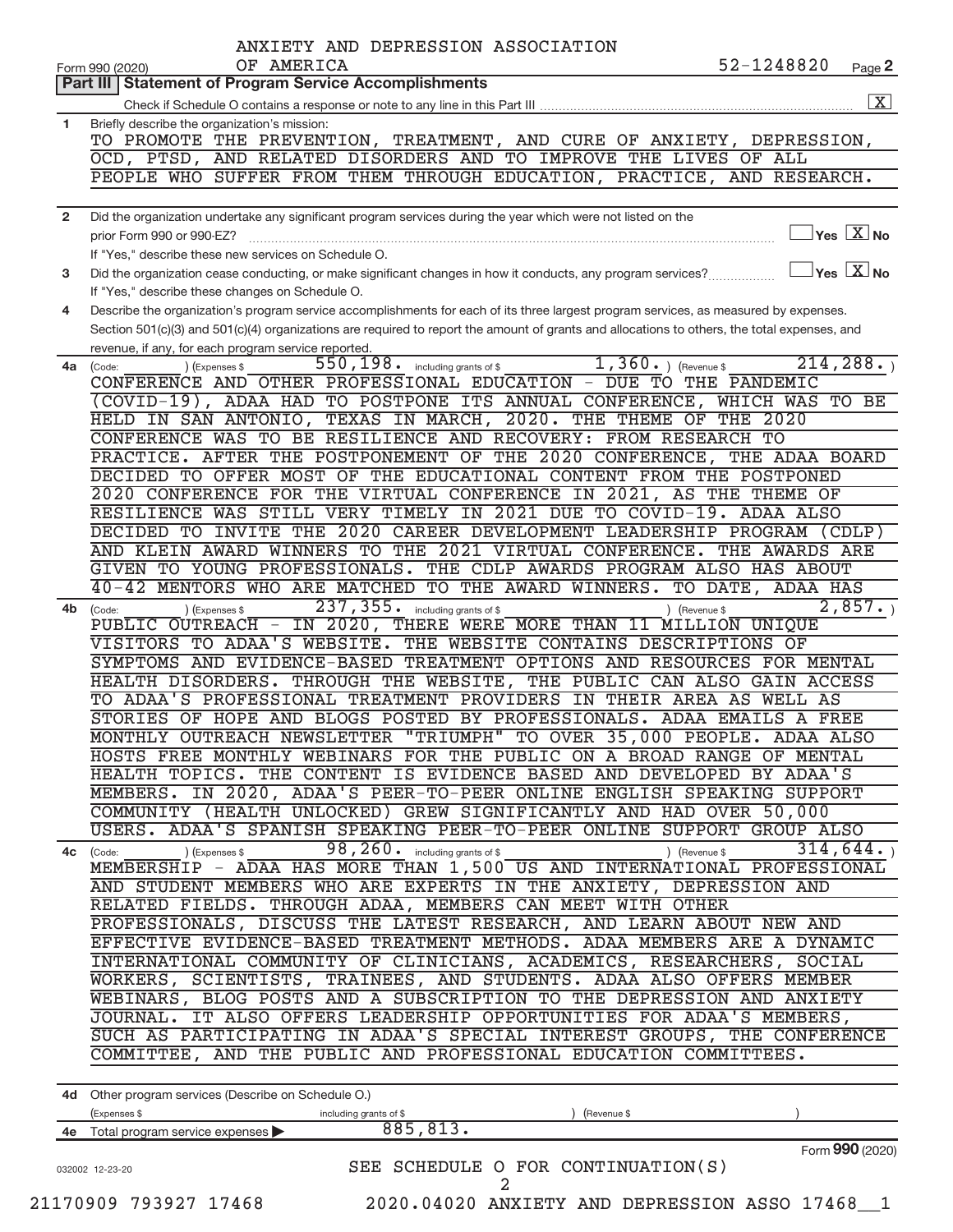|              | ANXIETY AND DEPRESSION ASSOCIATION                                                                                                           |            |                                             |
|--------------|----------------------------------------------------------------------------------------------------------------------------------------------|------------|---------------------------------------------|
|              | OF AMERICA<br>Form 990 (2020)                                                                                                                | 52-1248820 | Page 2                                      |
|              | <b>Part III   Statement of Program Service Accomplishments</b>                                                                               |            |                                             |
|              |                                                                                                                                              |            | $\overline{\mathbf{x}}$                     |
| 1            | Briefly describe the organization's mission:                                                                                                 |            |                                             |
|              | TO PROMOTE THE PREVENTION, TREATMENT, AND CURE OF ANXIETY, DEPRESSION,                                                                       |            |                                             |
|              | OCD, PTSD, AND RELATED DISORDERS AND TO IMPROVE THE LIVES OF ALL                                                                             |            |                                             |
|              | PEOPLE WHO SUFFER FROM THEM THROUGH EDUCATION, PRACTICE, AND RESEARCH.                                                                       |            |                                             |
|              |                                                                                                                                              |            |                                             |
| $\mathbf{2}$ | Did the organization undertake any significant program services during the year which were not listed on the                                 |            |                                             |
|              | prior Form 990 or 990-EZ?                                                                                                                    |            | $Yes$ $\boxed{X}$ No                        |
|              | If "Yes," describe these new services on Schedule O.                                                                                         |            |                                             |
| з            | Did the organization cease conducting, or make significant changes in how it conducts, any program services?                                 |            | $\overline{\ }$ Yes $\overline{\rm \ }X$ No |
|              | If "Yes," describe these changes on Schedule O.                                                                                              |            |                                             |
| 4            | Describe the organization's program service accomplishments for each of its three largest program services, as measured by expenses.         |            |                                             |
|              | Section 501(c)(3) and 501(c)(4) organizations are required to report the amount of grants and allocations to others, the total expenses, and |            |                                             |
|              | revenue, if any, for each program service reported.                                                                                          |            |                                             |
| 4a           | $550, 198$ $\cdot$ including grants of \$<br>$1,360.$ (Revenue \$<br>(Expenses \$<br>(Code:                                                  |            | 214, 288.                                   |
|              | CONFERENCE AND OTHER PROFESSIONAL EDUCATION - DUE TO THE PANDEMIC                                                                            |            |                                             |
|              | (COVID-19), ADAA HAD TO POSTPONE ITS ANNUAL CONFERENCE, WHICH WAS TO BE                                                                      |            |                                             |
|              | HELD IN SAN ANTONIO, TEXAS IN MARCH, 2020. THE THEME OF THE 2020                                                                             |            |                                             |
|              | CONFERENCE WAS TO BE RESILIENCE AND RECOVERY: FROM RESEARCH TO                                                                               |            |                                             |
|              | PRACTICE. AFTER THE POSTPONEMENT OF THE 2020 CONFERENCE, THE ADAA BOARD                                                                      |            |                                             |
|              | DECIDED TO OFFER MOST OF THE EDUCATIONAL CONTENT FROM THE POSTPONED                                                                          |            |                                             |
|              | 2020 CONFERENCE FOR THE VIRTUAL CONFERENCE IN 2021, AS THE THEME OF                                                                          |            |                                             |
|              | RESILIENCE WAS STILL VERY TIMELY IN 2021 DUE TO COVID-19. ADAA ALSO                                                                          |            |                                             |
|              | DECIDED TO INVITE THE 2020 CAREER DEVELOPMENT LEADERSHIP PROGRAM (CDLP)                                                                      |            |                                             |
|              | AND KLEIN AWARD WINNERS TO THE 2021 VIRTUAL CONFERENCE. THE AWARDS ARE                                                                       |            |                                             |
|              | GIVEN TO YOUNG PROFESSIONALS. THE CDLP AWARDS PROGRAM ALSO HAS ABOUT                                                                         |            |                                             |
|              | 40-42 MENTORS WHO ARE MATCHED TO THE AWARD WINNERS. TO DATE,                                                                                 | ADAA HAS   |                                             |
| 4b           | 237, 355. including grants of \$<br>(Expenses \$<br>) (Revenue \$<br>(Code:                                                                  |            | 2,857.                                      |
|              | PUBLIC OUTREACH - IN 2020, THERE WERE MORE THAN 11 MILLION UNIQUE                                                                            |            |                                             |
|              | VISITORS TO ADAA'S WEBSITE. THE WEBSITE CONTAINS DESCRIPTIONS OF                                                                             |            |                                             |
|              | SYMPTOMS AND EVIDENCE-BASED TREATMENT OPTIONS AND RESOURCES FOR MENTAL                                                                       |            |                                             |
|              | HEALTH DISORDERS. THROUGH THE WEBSITE, THE PUBLIC CAN ALSO GAIN ACCESS                                                                       |            |                                             |
|              | TO ADAA'S PROFESSIONAL TREATMENT PROVIDERS IN THEIR AREA AS WELL AS                                                                          |            |                                             |
|              | STORIES OF HOPE AND BLOGS POSTED BY PROFESSIONALS. ADAA EMAILS A FREE                                                                        |            |                                             |
|              | MONTHLY OUTREACH NEWSLETTER "TRIUMPH" TO OVER 35,000 PEOPLE. ADAA ALSO                                                                       |            |                                             |
|              | HOSTS FREE MONTHLY WEBINARS FOR THE PUBLIC ON A BROAD RANGE OF MENTAL                                                                        |            |                                             |
|              | HEALTH TOPICS. THE CONTENT IS EVIDENCE BASED AND DEVELOPED BY ADAA'S                                                                         |            |                                             |
|              | MEMBERS. IN 2020, ADAA'S PEER-TO-PEER ONLINE ENGLISH SPEAKING SUPPORT                                                                        |            |                                             |
|              | COMMUNITY (HEALTH UNLOCKED) GREW SIGNIFICANTLY AND HAD OVER 50,000                                                                           |            |                                             |
|              | USERS. ADAA'S SPANISH SPEAKING PEER-TO-PEER ONLINE SUPPORT GROUP ALSO                                                                        |            |                                             |
|              | 98, 260 . including grants of \$<br>) (Revenue \$<br>4c (Code:<br>) (Expenses \$                                                             |            | 314,644.                                    |
|              | MEMBERSHIP - ADAA HAS MORE THAN 1,500 US AND INTERNATIONAL PROFESSIONAL                                                                      |            |                                             |
|              | AND STUDENT MEMBERS WHO ARE EXPERTS IN THE ANXIETY, DEPRESSION AND                                                                           |            |                                             |
|              | RELATED FIELDS. THROUGH ADAA, MEMBERS CAN MEET WITH OTHER                                                                                    |            |                                             |
|              | PROFESSIONALS, DISCUSS THE LATEST RESEARCH, AND LEARN ABOUT NEW AND                                                                          |            |                                             |
|              | EFFECTIVE EVIDENCE-BASED TREATMENT METHODS. ADAA MEMBERS ARE A DYNAMIC                                                                       |            |                                             |
|              | INTERNATIONAL COMMUNITY OF CLINICIANS, ACADEMICS, RESEARCHERS, SOCIAL                                                                        |            |                                             |
|              | WORKERS, SCIENTISTS, TRAINEES, AND STUDENTS. ADAA ALSO OFFERS MEMBER                                                                         |            |                                             |
|              | WEBINARS, BLOG POSTS AND A SUBSCRIPTION TO THE DEPRESSION AND ANXIETY                                                                        |            |                                             |
|              | JOURNAL. IT ALSO OFFERS LEADERSHIP OPPORTUNITIES FOR ADAA'S MEMBERS,                                                                         |            |                                             |
|              | SUCH AS PARTICIPATING IN ADAA'S SPECIAL INTEREST GROUPS, THE CONFERENCE                                                                      |            |                                             |
|              | COMMITTEE, AND THE PUBLIC AND PROFESSIONAL EDUCATION COMMITTEES.                                                                             |            |                                             |
|              |                                                                                                                                              |            |                                             |
|              | 4d Other program services (Describe on Schedule O.)                                                                                          |            |                                             |
|              | (Expenses \$<br>(Revenue \$<br>including grants of \$                                                                                        |            |                                             |
| 4е           | 885, 813.<br>Total program service expenses >                                                                                                |            |                                             |
|              |                                                                                                                                              |            | Form 990 (2020)                             |
|              | SEE SCHEDULE O FOR CONTINUATION(S)<br>032002 12-23-20                                                                                        |            |                                             |
|              | 2                                                                                                                                            |            |                                             |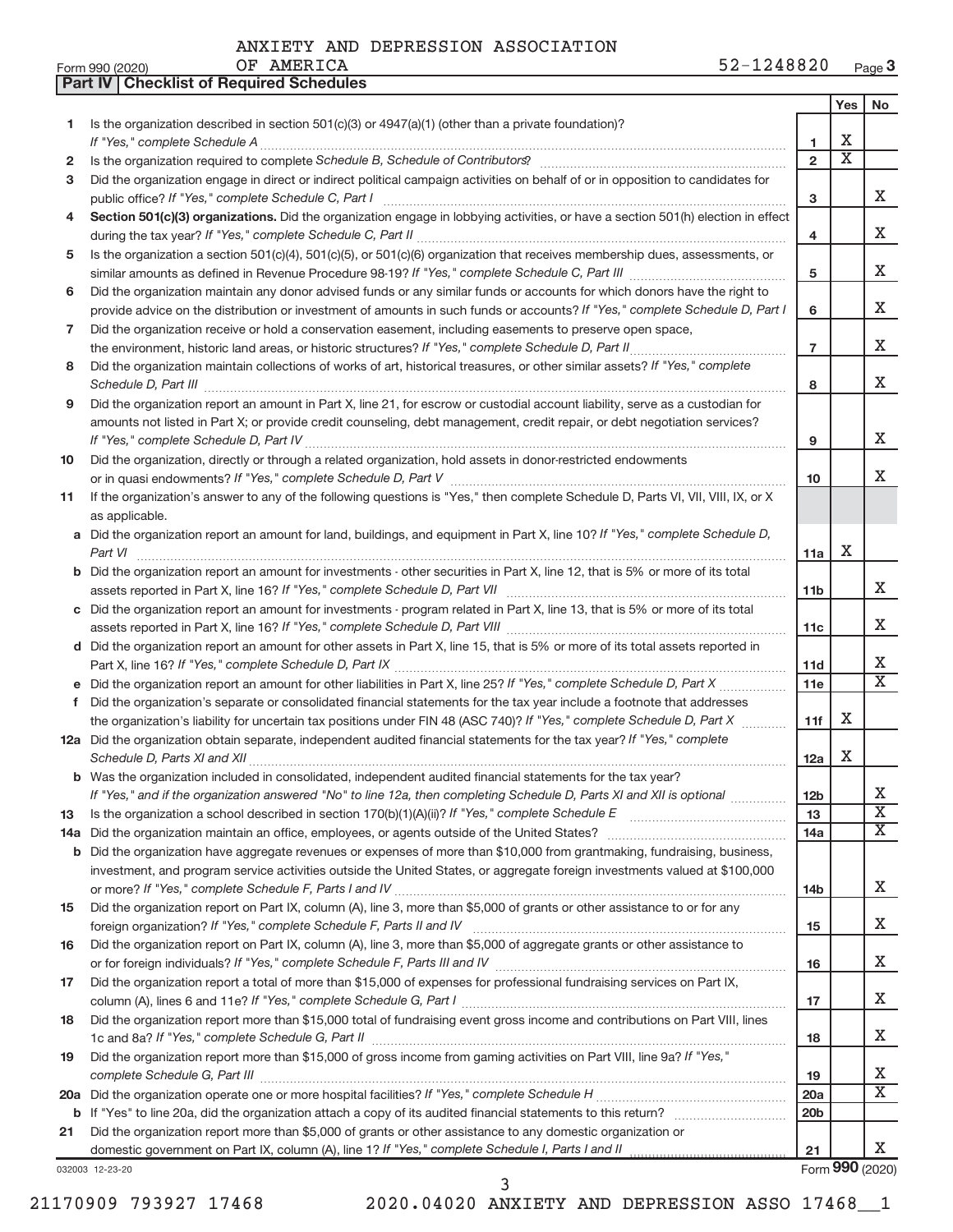|  |  |  | ANXIETY AND DEPRESSION ASSOCIATION |
|--|--|--|------------------------------------|
|--|--|--|------------------------------------|

**Part IV Checklist of Required Schedules**

| Form 990 (2020) | ΟF | <b>AMERICA</b> | <u>- ^</u><br>1248820<br>∵ – ∡ ت | -<br>Page <b>3</b> |
|-----------------|----|----------------|----------------------------------|--------------------|
|-----------------|----|----------------|----------------------------------|--------------------|

|     |                                                                                                                                       |                 | Yes                   | No                         |
|-----|---------------------------------------------------------------------------------------------------------------------------------------|-----------------|-----------------------|----------------------------|
| 1   | Is the organization described in section $501(c)(3)$ or $4947(a)(1)$ (other than a private foundation)?                               |                 |                       |                            |
|     | If "Yes," complete Schedule A                                                                                                         | 1               | х                     |                            |
| 2   |                                                                                                                                       | $\mathfrak{p}$  | $\overline{\text{x}}$ |                            |
| 3   | Did the organization engage in direct or indirect political campaign activities on behalf of or in opposition to candidates for       |                 |                       |                            |
|     | public office? If "Yes," complete Schedule C, Part I                                                                                  | 3               |                       | X                          |
| 4   | Section 501(c)(3) organizations. Did the organization engage in lobbying activities, or have a section 501(h) election in effect      |                 |                       |                            |
|     |                                                                                                                                       | 4               |                       | X                          |
| 5   | Is the organization a section 501(c)(4), 501(c)(5), or 501(c)(6) organization that receives membership dues, assessments, or          |                 |                       |                            |
|     |                                                                                                                                       | 5               |                       | X                          |
| 6   | Did the organization maintain any donor advised funds or any similar funds or accounts for which donors have the right to             |                 |                       |                            |
|     | provide advice on the distribution or investment of amounts in such funds or accounts? If "Yes," complete Schedule D, Part I          | 6               |                       | x                          |
| 7   | Did the organization receive or hold a conservation easement, including easements to preserve open space,                             |                 |                       |                            |
|     | the environment, historic land areas, or historic structures? If "Yes," complete Schedule D, Part II                                  | $\overline{7}$  |                       | X                          |
| 8   | Did the organization maintain collections of works of art, historical treasures, or other similar assets? If "Yes," complete          |                 |                       |                            |
|     |                                                                                                                                       | 8               |                       | X.                         |
| 9   | Did the organization report an amount in Part X, line 21, for escrow or custodial account liability, serve as a custodian for         |                 |                       |                            |
|     | amounts not listed in Part X; or provide credit counseling, debt management, credit repair, or debt negotiation services?             |                 |                       |                            |
|     |                                                                                                                                       | 9               |                       | X                          |
| 10  | Did the organization, directly or through a related organization, hold assets in donor-restricted endowments                          |                 |                       |                            |
|     |                                                                                                                                       | 10              |                       | X.                         |
| 11  | If the organization's answer to any of the following questions is "Yes," then complete Schedule D, Parts VI, VII, VIII, IX, or X      |                 |                       |                            |
|     | as applicable.                                                                                                                        |                 |                       |                            |
|     | a Did the organization report an amount for land, buildings, and equipment in Part X, line 10? If "Yes," complete Schedule D,         |                 |                       |                            |
|     | Part VI                                                                                                                               | 11a             | х                     |                            |
|     | <b>b</b> Did the organization report an amount for investments - other securities in Part X, line 12, that is 5% or more of its total |                 |                       |                            |
|     |                                                                                                                                       | 11 <sub>b</sub> |                       | X                          |
|     | c Did the organization report an amount for investments - program related in Part X, line 13, that is 5% or more of its total         |                 |                       |                            |
|     |                                                                                                                                       | 11c             |                       | X                          |
|     | d Did the organization report an amount for other assets in Part X, line 15, that is 5% or more of its total assets reported in       |                 |                       |                            |
|     |                                                                                                                                       | 11d             |                       | X                          |
|     |                                                                                                                                       | 11e             |                       | $\overline{\textbf{x}}$    |
| f.  | Did the organization's separate or consolidated financial statements for the tax year include a footnote that addresses               |                 |                       |                            |
|     | the organization's liability for uncertain tax positions under FIN 48 (ASC 740)? If "Yes," complete Schedule D, Part X                | 11f             | х                     |                            |
|     | 12a Did the organization obtain separate, independent audited financial statements for the tax year? If "Yes," complete               |                 |                       |                            |
|     |                                                                                                                                       | 12a             | х                     |                            |
|     | <b>b</b> Was the organization included in consolidated, independent audited financial statements for the tax year?                    |                 |                       |                            |
|     | If "Yes," and if the organization answered "No" to line 12a, then completing Schedule D, Parts XI and XII is optional                 | 12 <sub>b</sub> |                       | ∡⊾                         |
| 13  |                                                                                                                                       | 13              |                       | $\overline{\textbf{x}}$    |
| 14a | Did the organization maintain an office, employees, or agents outside of the United States?                                           | 14a             |                       | $\overline{X}$             |
|     | <b>b</b> Did the organization have aggregate revenues or expenses of more than \$10,000 from grantmaking, fundraising, business,      |                 |                       |                            |
|     | investment, and program service activities outside the United States, or aggregate foreign investments valued at \$100,000            |                 |                       |                            |
|     |                                                                                                                                       | 14b             |                       | X.                         |
| 15  | Did the organization report on Part IX, column (A), line 3, more than \$5,000 of grants or other assistance to or for any             |                 |                       |                            |
|     |                                                                                                                                       | 15              |                       | X.                         |
| 16  | Did the organization report on Part IX, column (A), line 3, more than \$5,000 of aggregate grants or other assistance to              |                 |                       | X                          |
|     |                                                                                                                                       | 16              |                       |                            |
| 17  | Did the organization report a total of more than \$15,000 of expenses for professional fundraising services on Part IX,               |                 |                       | X                          |
|     |                                                                                                                                       | 17              |                       |                            |
| 18  | Did the organization report more than \$15,000 total of fundraising event gross income and contributions on Part VIII, lines          |                 |                       |                            |
|     |                                                                                                                                       | 18              |                       | x                          |
| 19  | Did the organization report more than \$15,000 of gross income from gaming activities on Part VIII, line 9a? If "Yes,"                |                 |                       |                            |
|     |                                                                                                                                       | 19              |                       | X<br>$\overline{\text{X}}$ |
|     |                                                                                                                                       | 20a             |                       |                            |
|     |                                                                                                                                       | 20 <sub>b</sub> |                       |                            |
| 21  | Did the organization report more than \$5,000 of grants or other assistance to any domestic organization or                           |                 |                       | X.                         |
|     |                                                                                                                                       | 21              |                       | Form 990 (2020)            |
|     | 032003 12-23-20                                                                                                                       |                 |                       |                            |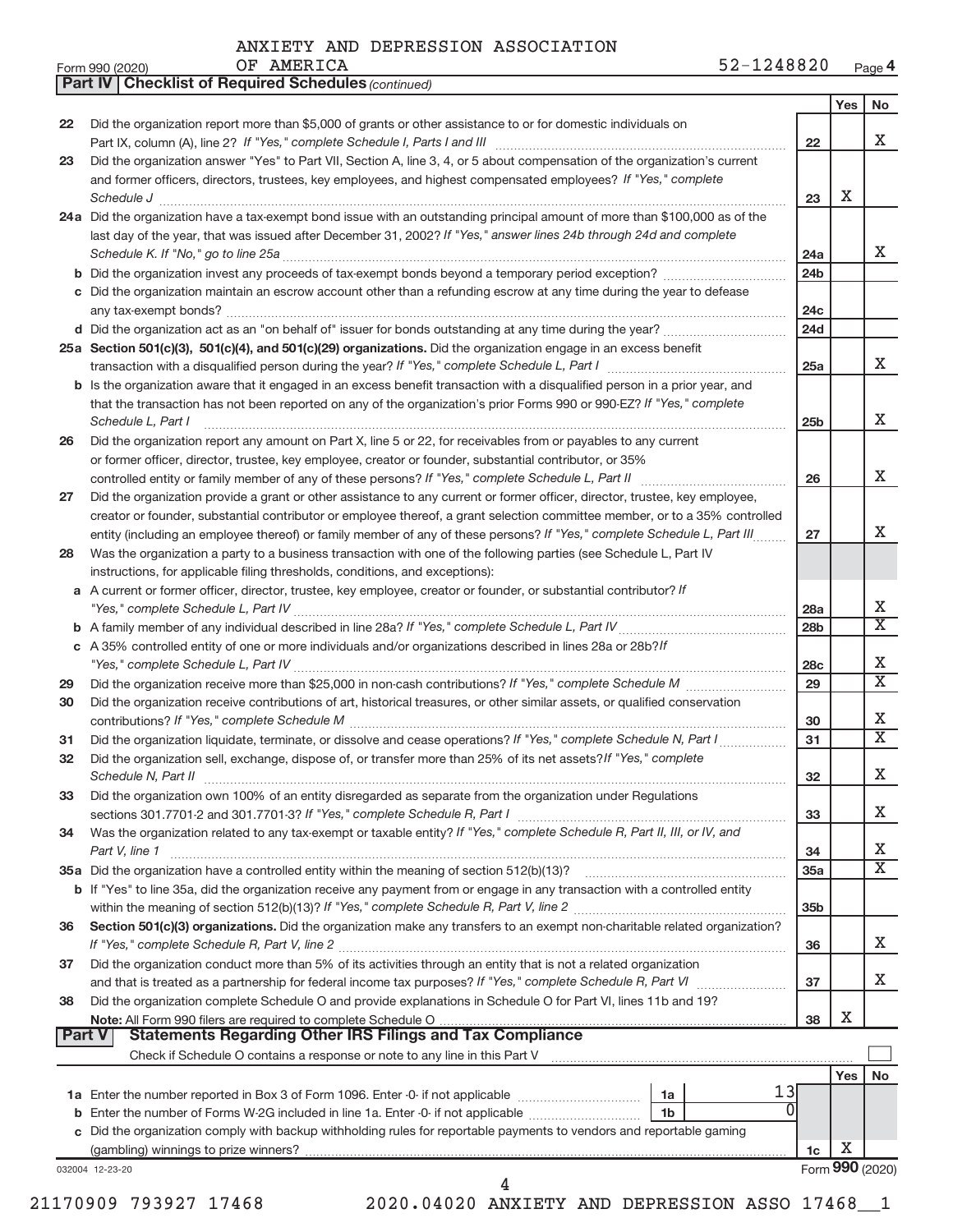**22** Did the organization report more than \$5,000 of grants or other assistance to or for domestic individuals on

*(continued)* **Part IV Checklist of Required Schedules**

| " complete |               |    |  |
|------------|---------------|----|--|
|            | $\sim$ $\sim$ | ٦Z |  |

|               |                                                                                                                                                                                                                                                                                                                                                                                          | 22              |     | X                          |
|---------------|------------------------------------------------------------------------------------------------------------------------------------------------------------------------------------------------------------------------------------------------------------------------------------------------------------------------------------------------------------------------------------------|-----------------|-----|----------------------------|
| 23            | Did the organization answer "Yes" to Part VII, Section A, line 3, 4, or 5 about compensation of the organization's current                                                                                                                                                                                                                                                               |                 |     |                            |
|               | and former officers, directors, trustees, key employees, and highest compensated employees? If "Yes," complete                                                                                                                                                                                                                                                                           |                 |     |                            |
|               | $\textit{Schedule J} \textit{ \textbf{} \textbf{} \textbf{} \textbf{} \textbf{} \textbf{} \textbf{} \textbf{} \textbf{} \textbf{} \textbf{} \textbf{} \textbf{} \textbf{} \textbf{} \textbf{} \textbf{} \textbf{} \textbf{} \textbf{} \textbf{} \textbf{} \textbf{} \textbf{} \textbf{} \textbf{} \textbf{} \textbf{} \textbf{} \textbf{} \textbf{} \textbf{} \textbf{} \textbf{} \text$ | 23              | Χ   |                            |
|               | 24a Did the organization have a tax-exempt bond issue with an outstanding principal amount of more than \$100,000 as of the                                                                                                                                                                                                                                                              |                 |     |                            |
|               | last day of the year, that was issued after December 31, 2002? If "Yes," answer lines 24b through 24d and complete                                                                                                                                                                                                                                                                       |                 |     |                            |
|               |                                                                                                                                                                                                                                                                                                                                                                                          | 24a             |     | X                          |
|               |                                                                                                                                                                                                                                                                                                                                                                                          | 24 <sub>b</sub> |     |                            |
|               | c Did the organization maintain an escrow account other than a refunding escrow at any time during the year to defease                                                                                                                                                                                                                                                                   |                 |     |                            |
|               |                                                                                                                                                                                                                                                                                                                                                                                          | 24 <sub>c</sub> |     |                            |
|               |                                                                                                                                                                                                                                                                                                                                                                                          | 24d             |     |                            |
|               | 25a Section 501(c)(3), 501(c)(4), and 501(c)(29) organizations. Did the organization engage in an excess benefit                                                                                                                                                                                                                                                                         |                 |     |                            |
|               |                                                                                                                                                                                                                                                                                                                                                                                          | 25a             |     | X                          |
|               | b Is the organization aware that it engaged in an excess benefit transaction with a disqualified person in a prior year, and                                                                                                                                                                                                                                                             |                 |     |                            |
|               | that the transaction has not been reported on any of the organization's prior Forms 990 or 990-EZ? If "Yes," complete                                                                                                                                                                                                                                                                    |                 |     |                            |
|               | Schedule L, Part I                                                                                                                                                                                                                                                                                                                                                                       | 25 <sub>b</sub> |     | X                          |
| 26            | Did the organization report any amount on Part X, line 5 or 22, for receivables from or payables to any current                                                                                                                                                                                                                                                                          |                 |     |                            |
|               | or former officer, director, trustee, key employee, creator or founder, substantial contributor, or 35%                                                                                                                                                                                                                                                                                  |                 |     |                            |
|               |                                                                                                                                                                                                                                                                                                                                                                                          | 26              |     | X                          |
| 27            | Did the organization provide a grant or other assistance to any current or former officer, director, trustee, key employee,                                                                                                                                                                                                                                                              |                 |     |                            |
|               | creator or founder, substantial contributor or employee thereof, a grant selection committee member, or to a 35% controlled                                                                                                                                                                                                                                                              |                 |     |                            |
|               | entity (including an employee thereof) or family member of any of these persons? If "Yes," complete Schedule L, Part III.                                                                                                                                                                                                                                                                | 27              |     | x                          |
| 28            | Was the organization a party to a business transaction with one of the following parties (see Schedule L, Part IV                                                                                                                                                                                                                                                                        |                 |     |                            |
|               | instructions, for applicable filing thresholds, conditions, and exceptions):                                                                                                                                                                                                                                                                                                             |                 |     |                            |
|               | a A current or former officer, director, trustee, key employee, creator or founder, or substantial contributor? If                                                                                                                                                                                                                                                                       |                 |     |                            |
|               |                                                                                                                                                                                                                                                                                                                                                                                          | 28a             |     | X                          |
|               |                                                                                                                                                                                                                                                                                                                                                                                          | 28 <sub>b</sub> |     | $\overline{\mathbf{x}}$    |
|               | c A 35% controlled entity of one or more individuals and/or organizations described in lines 28a or 28b?/f                                                                                                                                                                                                                                                                               |                 |     |                            |
|               |                                                                                                                                                                                                                                                                                                                                                                                          | 28c             |     | Х                          |
| 29            |                                                                                                                                                                                                                                                                                                                                                                                          | 29              |     | $\overline{\text{X}}$      |
| 30            | Did the organization receive contributions of art, historical treasures, or other similar assets, or qualified conservation                                                                                                                                                                                                                                                              |                 |     |                            |
|               |                                                                                                                                                                                                                                                                                                                                                                                          | 30              |     | Х<br>$\overline{\text{X}}$ |
| 31            | Did the organization liquidate, terminate, or dissolve and cease operations? If "Yes," complete Schedule N, Part I                                                                                                                                                                                                                                                                       | 31              |     |                            |
| 32            | Did the organization sell, exchange, dispose of, or transfer more than 25% of its net assets? If "Yes," complete                                                                                                                                                                                                                                                                         |                 |     | X                          |
|               | Schedule N, Part II                                                                                                                                                                                                                                                                                                                                                                      | 32              |     |                            |
| 33            | Did the organization own 100% of an entity disregarded as separate from the organization under Regulations                                                                                                                                                                                                                                                                               |                 |     | X                          |
|               | Was the organization related to any tax-exempt or taxable entity? If "Yes," complete Schedule R, Part II, III, or IV, and                                                                                                                                                                                                                                                                | 33              |     |                            |
|               | Part V, line 1                                                                                                                                                                                                                                                                                                                                                                           | 34              |     | х                          |
|               | 35a Did the organization have a controlled entity within the meaning of section 512(b)(13)?                                                                                                                                                                                                                                                                                              | 35a             |     | $\overline{\text{X}}$      |
|               | b If "Yes" to line 35a, did the organization receive any payment from or engage in any transaction with a controlled entity                                                                                                                                                                                                                                                              |                 |     |                            |
|               |                                                                                                                                                                                                                                                                                                                                                                                          | 35 <sub>b</sub> |     |                            |
| 36            | Section 501(c)(3) organizations. Did the organization make any transfers to an exempt non-charitable related organization?                                                                                                                                                                                                                                                               |                 |     |                            |
|               |                                                                                                                                                                                                                                                                                                                                                                                          | 36              |     | X                          |
| 37            | Did the organization conduct more than 5% of its activities through an entity that is not a related organization                                                                                                                                                                                                                                                                         |                 |     |                            |
|               |                                                                                                                                                                                                                                                                                                                                                                                          | 37              |     | x                          |
| 38            | Did the organization complete Schedule O and provide explanations in Schedule O for Part VI, lines 11b and 19?                                                                                                                                                                                                                                                                           |                 |     |                            |
|               |                                                                                                                                                                                                                                                                                                                                                                                          | 38              | X   |                            |
| <b>Part V</b> | <b>Statements Regarding Other IRS Filings and Tax Compliance</b>                                                                                                                                                                                                                                                                                                                         |                 |     |                            |
|               | Check if Schedule O contains a response or note to any line in this Part V [11] [12] Check if Schedule O contains a response or note to any line in this Part V                                                                                                                                                                                                                          |                 |     |                            |
|               |                                                                                                                                                                                                                                                                                                                                                                                          |                 | Yes | No                         |
|               | 13<br>1a                                                                                                                                                                                                                                                                                                                                                                                 |                 |     |                            |
|               | 1 <sub>b</sub>                                                                                                                                                                                                                                                                                                                                                                           |                 |     |                            |
|               | c Did the organization comply with backup withholding rules for reportable payments to vendors and reportable gaming                                                                                                                                                                                                                                                                     |                 |     |                            |
|               |                                                                                                                                                                                                                                                                                                                                                                                          | 1c              | х   |                            |
|               | 032004 12-23-20                                                                                                                                                                                                                                                                                                                                                                          | Form 990 (2020) |     |                            |
|               |                                                                                                                                                                                                                                                                                                                                                                                          |                 |     |                            |
|               | 21170909 793927 17468<br>2020.04020 ANXIETY AND DEPRESSION ASSO 17468                                                                                                                                                                                                                                                                                                                    |                 |     |                            |

Yes No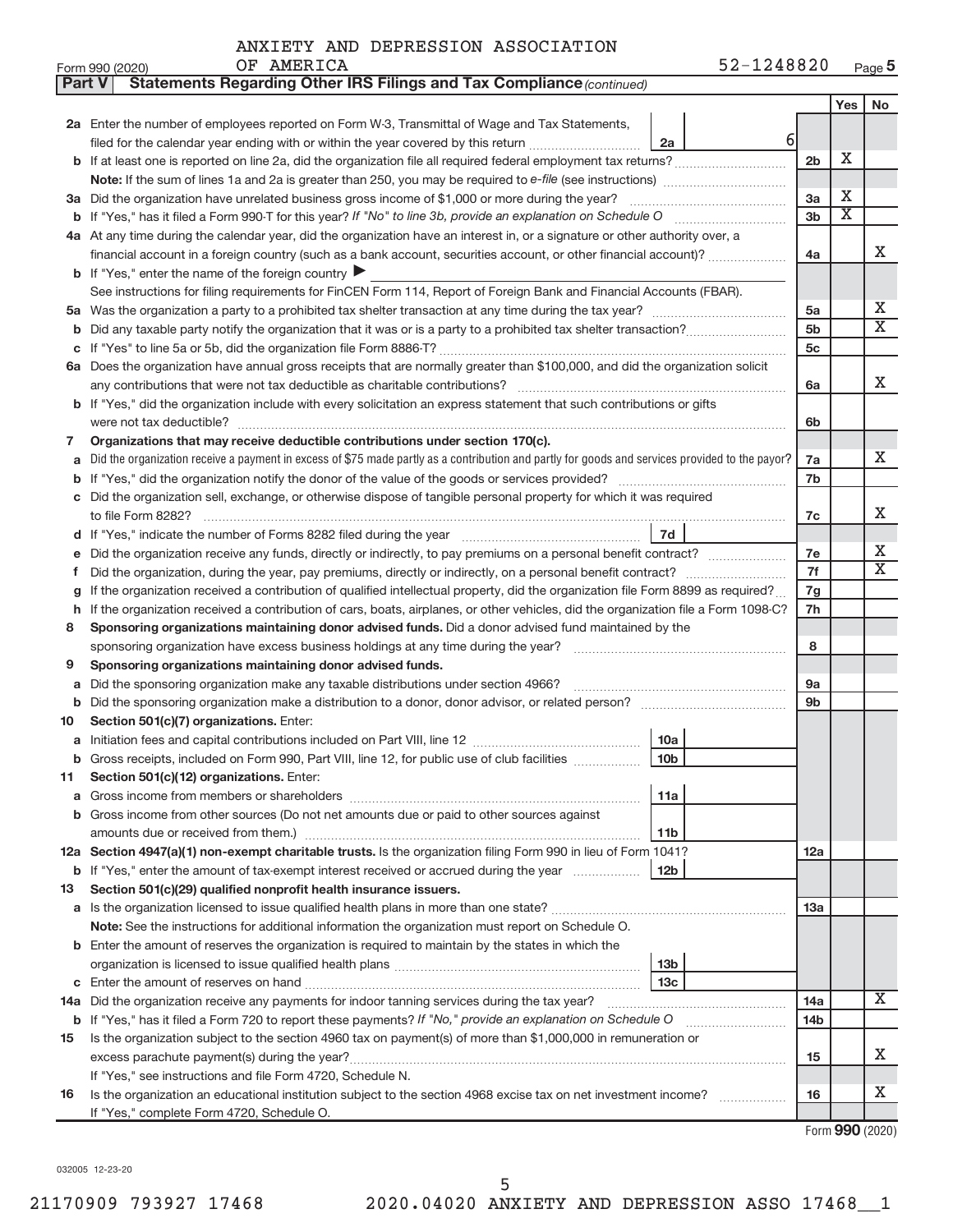| <b>Part V</b> | Statements Regarding Other IRS Filings and Tax Compliance (continued)                                                                                                                                                              |                 |                         |                       |  |  |
|---------------|------------------------------------------------------------------------------------------------------------------------------------------------------------------------------------------------------------------------------------|-----------------|-------------------------|-----------------------|--|--|
|               |                                                                                                                                                                                                                                    |                 | Yes                     | No                    |  |  |
|               | 2a Enter the number of employees reported on Form W-3, Transmittal of Wage and Tax Statements,                                                                                                                                     |                 |                         |                       |  |  |
|               | $6 \mid$<br>filed for the calendar year ending with or within the year covered by this return<br>2a                                                                                                                                |                 |                         |                       |  |  |
|               | b If at least one is reported on line 2a, did the organization file all required federal employment tax returns?                                                                                                                   | 2 <sub>b</sub>  | Х                       |                       |  |  |
|               |                                                                                                                                                                                                                                    |                 |                         |                       |  |  |
|               | 3a Did the organization have unrelated business gross income of \$1,000 or more during the year?                                                                                                                                   | 3a              | Х                       |                       |  |  |
|               |                                                                                                                                                                                                                                    | 3 <sub>b</sub>  | $\overline{\textbf{X}}$ |                       |  |  |
|               | 4a At any time during the calendar year, did the organization have an interest in, or a signature or other authority over, a                                                                                                       |                 |                         |                       |  |  |
|               | financial account in a foreign country (such as a bank account, securities account, or other financial account)?                                                                                                                   | 4a              |                         | x                     |  |  |
|               | <b>b</b> If "Yes," enter the name of the foreign country                                                                                                                                                                           |                 |                         |                       |  |  |
|               | See instructions for filing requirements for FinCEN Form 114, Report of Foreign Bank and Financial Accounts (FBAR).                                                                                                                |                 |                         |                       |  |  |
| 5a            |                                                                                                                                                                                                                                    | 5a              |                         | Х                     |  |  |
| b             |                                                                                                                                                                                                                                    | 5 <sub>b</sub>  |                         | $\overline{\text{X}}$ |  |  |
|               |                                                                                                                                                                                                                                    | 5c              |                         |                       |  |  |
|               | 6a Does the organization have annual gross receipts that are normally greater than \$100,000, and did the organization solicit                                                                                                     |                 |                         |                       |  |  |
|               |                                                                                                                                                                                                                                    | 6a              |                         | x                     |  |  |
|               | b If "Yes," did the organization include with every solicitation an express statement that such contributions or gifts                                                                                                             |                 |                         |                       |  |  |
|               |                                                                                                                                                                                                                                    | 6b              |                         |                       |  |  |
| 7             | Organizations that may receive deductible contributions under section 170(c).                                                                                                                                                      |                 |                         |                       |  |  |
| a             | Did the organization receive a payment in excess of \$75 made partly as a contribution and partly for goods and services provided to the payor?                                                                                    | 7a              |                         | x                     |  |  |
| b             |                                                                                                                                                                                                                                    | 7b              |                         |                       |  |  |
|               | Did the organization sell, exchange, or otherwise dispose of tangible personal property for which it was required                                                                                                                  |                 |                         |                       |  |  |
|               |                                                                                                                                                                                                                                    | 7c              |                         | х                     |  |  |
|               | 7d                                                                                                                                                                                                                                 |                 |                         | Х                     |  |  |
|               | Did the organization receive any funds, directly or indirectly, to pay premiums on a personal benefit contract?                                                                                                                    |                 |                         |                       |  |  |
| f.            |                                                                                                                                                                                                                                    |                 |                         |                       |  |  |
| g             | If the organization received a contribution of qualified intellectual property, did the organization file Form 8899 as required?                                                                                                   |                 |                         |                       |  |  |
| h             | If the organization received a contribution of cars, boats, airplanes, or other vehicles, did the organization file a Form 1098-C?                                                                                                 | 7h              |                         |                       |  |  |
| 8             | Sponsoring organizations maintaining donor advised funds. Did a donor advised fund maintained by the                                                                                                                               |                 |                         |                       |  |  |
|               |                                                                                                                                                                                                                                    | 8               |                         |                       |  |  |
| 9             | Sponsoring organizations maintaining donor advised funds.                                                                                                                                                                          |                 |                         |                       |  |  |
| а             | Did the sponsoring organization make any taxable distributions under section 4966?                                                                                                                                                 | <b>9a</b>       |                         |                       |  |  |
| b             | Did the sponsoring organization make a distribution to a donor, donor advisor, or related person?                                                                                                                                  | 9b              |                         |                       |  |  |
| 10            | Section 501(c)(7) organizations. Enter:<br>10a                                                                                                                                                                                     |                 |                         |                       |  |  |
|               | Initiation fees and capital contributions included on Part VIII, line 12 [100] [100] [100] [100] [100] [100] [<br>10 <sub>b</sub><br>b Gross receipts, included on Form 990, Part VIII, line 12, for public use of club facilities |                 |                         |                       |  |  |
| 11            | Section 501(c)(12) organizations. Enter:                                                                                                                                                                                           |                 |                         |                       |  |  |
|               | 11a                                                                                                                                                                                                                                |                 |                         |                       |  |  |
|               | <b>b</b> Gross income from other sources (Do not net amounts due or paid to other sources against                                                                                                                                  |                 |                         |                       |  |  |
|               | 11b                                                                                                                                                                                                                                |                 |                         |                       |  |  |
|               | 12a Section 4947(a)(1) non-exempt charitable trusts. Is the organization filing Form 990 in lieu of Form 1041?                                                                                                                     | <b>12a</b>      |                         |                       |  |  |
|               | <b>b</b> If "Yes," enter the amount of tax-exempt interest received or accrued during the year<br>12 <sub>b</sub>                                                                                                                  |                 |                         |                       |  |  |
| 13            | Section 501(c)(29) qualified nonprofit health insurance issuers.                                                                                                                                                                   |                 |                         |                       |  |  |
|               | a Is the organization licensed to issue qualified health plans in more than one state?                                                                                                                                             | 13a             |                         |                       |  |  |
|               | Note: See the instructions for additional information the organization must report on Schedule O.                                                                                                                                  |                 |                         |                       |  |  |
|               | <b>b</b> Enter the amount of reserves the organization is required to maintain by the states in which the                                                                                                                          |                 |                         |                       |  |  |
|               | 13 <sub>b</sub>                                                                                                                                                                                                                    |                 |                         |                       |  |  |
|               | 13 <sub>c</sub>                                                                                                                                                                                                                    |                 |                         |                       |  |  |
|               | 14a Did the organization receive any payments for indoor tanning services during the tax year?                                                                                                                                     | 14a             |                         | X.                    |  |  |
|               | <b>b</b> If "Yes," has it filed a Form 720 to report these payments? If "No," provide an explanation on Schedule O                                                                                                                 | 14 <sub>b</sub> |                         |                       |  |  |
| 15            | Is the organization subject to the section 4960 tax on payment(s) of more than \$1,000,000 in remuneration or                                                                                                                      |                 |                         |                       |  |  |
|               | excess parachute payment(s) during the year?                                                                                                                                                                                       | 15              |                         | x                     |  |  |
|               | If "Yes," see instructions and file Form 4720, Schedule N.                                                                                                                                                                         |                 |                         |                       |  |  |
| 16            | Is the organization an educational institution subject to the section 4968 excise tax on net investment income?                                                                                                                    | 16              |                         | X                     |  |  |
|               | If "Yes," complete Form 4720, Schedule O.                                                                                                                                                                                          |                 |                         |                       |  |  |

Form (2020) **990**

032005 12-23-20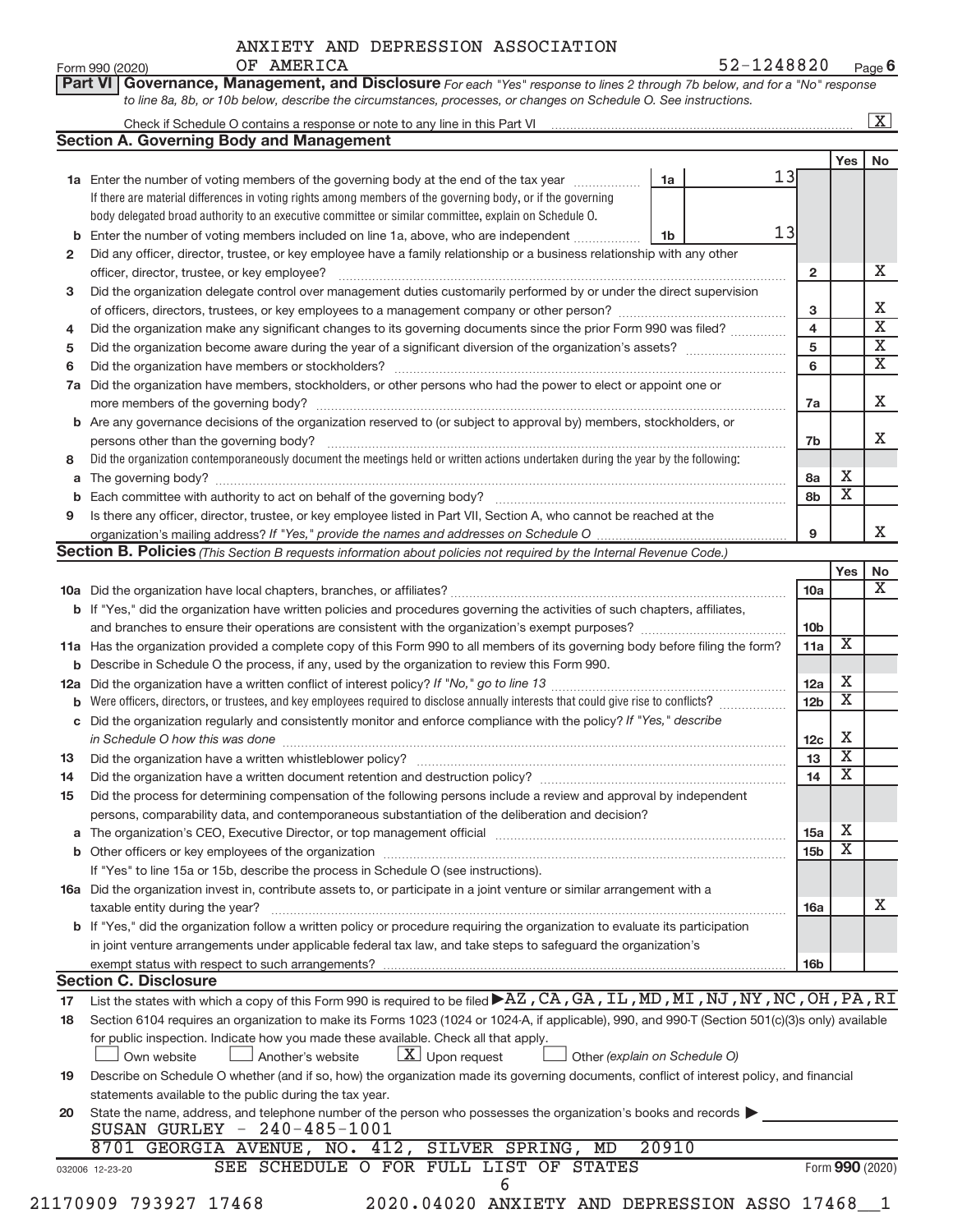**Part VI Governance, Management, and Disclosure** 

Form 990 (2020) Page **6** OF AMERICA 6 (1991) 1248820 (1992)

*For each "Yes" response to lines 2 through 7b below, and for a "No" response*

|                      | <b>Section A. Governing Body and Management</b>                                                                                                                                                                                |                        |                         |                                                    |
|----------------------|--------------------------------------------------------------------------------------------------------------------------------------------------------------------------------------------------------------------------------|------------------------|-------------------------|----------------------------------------------------|
|                      |                                                                                                                                                                                                                                |                        | Yes <sub>1</sub>        | No                                                 |
|                      | 13<br>1a Enter the number of voting members of the governing body at the end of the tax year<br>1a                                                                                                                             |                        |                         |                                                    |
|                      | If there are material differences in voting rights among members of the governing body, or if the governing                                                                                                                    |                        |                         |                                                    |
|                      | body delegated broad authority to an executive committee or similar committee, explain on Schedule O.                                                                                                                          |                        |                         |                                                    |
|                      | 13<br>Enter the number of voting members included on line 1a, above, who are independent<br>1b                                                                                                                                 |                        |                         |                                                    |
| 2                    | Did any officer, director, trustee, or key employee have a family relationship or a business relationship with any other                                                                                                       |                        |                         |                                                    |
|                      |                                                                                                                                                                                                                                | $\overline{2}$         |                         | Х                                                  |
| з                    | Did the organization delegate control over management duties customarily performed by or under the direct supervision                                                                                                          |                        |                         |                                                    |
|                      |                                                                                                                                                                                                                                | 3                      |                         | Χ                                                  |
| 4                    | Did the organization make any significant changes to its governing documents since the prior Form 990 was filed?                                                                                                               | 4                      |                         | $\overline{\mathbf{x}}$                            |
| 5                    |                                                                                                                                                                                                                                | 5                      |                         | $\overline{\mathbf{X}}$<br>$\overline{\mathbf{X}}$ |
| 6                    |                                                                                                                                                                                                                                | 6                      |                         |                                                    |
| 7a                   | Did the organization have members, stockholders, or other persons who had the power to elect or appoint one or                                                                                                                 |                        |                         |                                                    |
|                      |                                                                                                                                                                                                                                | 7a                     |                         | Χ                                                  |
|                      | b Are any governance decisions of the organization reserved to (or subject to approval by) members, stockholders, or                                                                                                           |                        |                         |                                                    |
|                      |                                                                                                                                                                                                                                | 7b                     |                         | X                                                  |
| 8                    | Did the organization contemporaneously document the meetings held or written actions undertaken during the year by the following:                                                                                              |                        |                         |                                                    |
| a                    |                                                                                                                                                                                                                                | 8a                     | х                       |                                                    |
|                      |                                                                                                                                                                                                                                | 8b                     | $\overline{\textbf{X}}$ |                                                    |
| 9                    | Is there any officer, director, trustee, or key employee listed in Part VII, Section A, who cannot be reached at the                                                                                                           |                        |                         | X                                                  |
|                      |                                                                                                                                                                                                                                | 9                      |                         |                                                    |
|                      | <b>Section B. Policies</b> (This Section B requests information about policies not required by the Internal Revenue Code.)                                                                                                     |                        |                         |                                                    |
|                      |                                                                                                                                                                                                                                |                        | Yes                     | No<br>X                                            |
|                      |                                                                                                                                                                                                                                | 10a                    |                         |                                                    |
|                      | b If "Yes," did the organization have written policies and procedures governing the activities of such chapters, affiliates,                                                                                                   |                        |                         |                                                    |
|                      |                                                                                                                                                                                                                                | 10 <sub>b</sub>        | $\overline{\textbf{X}}$ |                                                    |
|                      | 11a Has the organization provided a complete copy of this Form 990 to all members of its governing body before filing the form?                                                                                                | 11a                    |                         |                                                    |
|                      | <b>b</b> Describe in Schedule O the process, if any, used by the organization to review this Form 990.                                                                                                                         |                        | Х                       |                                                    |
| 12a                  |                                                                                                                                                                                                                                | 12a<br>12 <sub>b</sub> | $\overline{\textbf{X}}$ |                                                    |
|                      | c Did the organization regularly and consistently monitor and enforce compliance with the policy? If "Yes," describe                                                                                                           |                        |                         |                                                    |
|                      |                                                                                                                                                                                                                                | 12 <sub>c</sub>        | Х                       |                                                    |
| 13                   | in Schedule O how this was done manufactured and continuum and contract the state of the state of the state of                                                                                                                 | 13                     | $\overline{\textbf{X}}$ |                                                    |
| 14                   |                                                                                                                                                                                                                                | 14                     | $\overline{\textbf{X}}$ |                                                    |
| 15                   | Did the process for determining compensation of the following persons include a review and approval by independent                                                                                                             |                        |                         |                                                    |
|                      | persons, comparability data, and contemporaneous substantiation of the deliberation and decision?                                                                                                                              |                        |                         |                                                    |
|                      | The organization's CEO, Executive Director, or top management official [111] [12] manuscriptions are organization's CEO, Executive Director, or top management official [12] manuscriptions are organizations are organization | 15a                    | Х                       |                                                    |
|                      |                                                                                                                                                                                                                                | 15 <sub>b</sub>        | $\overline{\textbf{X}}$ |                                                    |
|                      |                                                                                                                                                                                                                                |                        |                         |                                                    |
|                      |                                                                                                                                                                                                                                |                        |                         |                                                    |
|                      | If "Yes" to line 15a or 15b, describe the process in Schedule O (see instructions).                                                                                                                                            |                        |                         |                                                    |
|                      | 16a Did the organization invest in, contribute assets to, or participate in a joint venture or similar arrangement with a                                                                                                      |                        |                         |                                                    |
|                      | taxable entity during the year?                                                                                                                                                                                                | 16a                    |                         |                                                    |
|                      | b If "Yes," did the organization follow a written policy or procedure requiring the organization to evaluate its participation                                                                                                 |                        |                         |                                                    |
|                      | in joint venture arrangements under applicable federal tax law, and take steps to safeguard the organization's                                                                                                                 |                        |                         |                                                    |
|                      | exempt status with respect to such arrangements?                                                                                                                                                                               | 16 <sub>b</sub>        |                         |                                                    |
|                      | <b>Section C. Disclosure</b>                                                                                                                                                                                                   |                        |                         |                                                    |
|                      | List the states with which a copy of this Form 990 is required to be filed >AZ, CA, GA, IL, MD, MI, NJ, NY, NC, OH, PA, RI                                                                                                     |                        |                         |                                                    |
|                      | Section 6104 requires an organization to make its Forms 1023 (1024 or 1024-A, if applicable), 990, and 990-T (Section 501(c)(3)s only) available                                                                               |                        |                         |                                                    |
|                      | for public inspection. Indicate how you made these available. Check all that apply.<br>Own website<br>Another's website                                                                                                        |                        |                         |                                                    |
|                      | $\lfloor x \rfloor$ Upon request<br>Other (explain on Schedule O)                                                                                                                                                              |                        |                         |                                                    |
|                      | Describe on Schedule O whether (and if so, how) the organization made its governing documents, conflict of interest policy, and financial                                                                                      |                        |                         |                                                    |
|                      | statements available to the public during the tax year.                                                                                                                                                                        |                        |                         |                                                    |
|                      | State the name, address, and telephone number of the person who possesses the organization's books and records<br>SUSAN GURLEY - 240-485-1001                                                                                  |                        |                         |                                                    |
| 17<br>18<br>19<br>20 | 20910<br>8701 GEORGIA AVENUE, NO. 412, SILVER SPRING, MD                                                                                                                                                                       |                        |                         | х                                                  |
|                      | SEE SCHEDULE O FOR FULL LIST OF STATES<br>032006 12-23-20                                                                                                                                                                      |                        | Form 990 (2020)         |                                                    |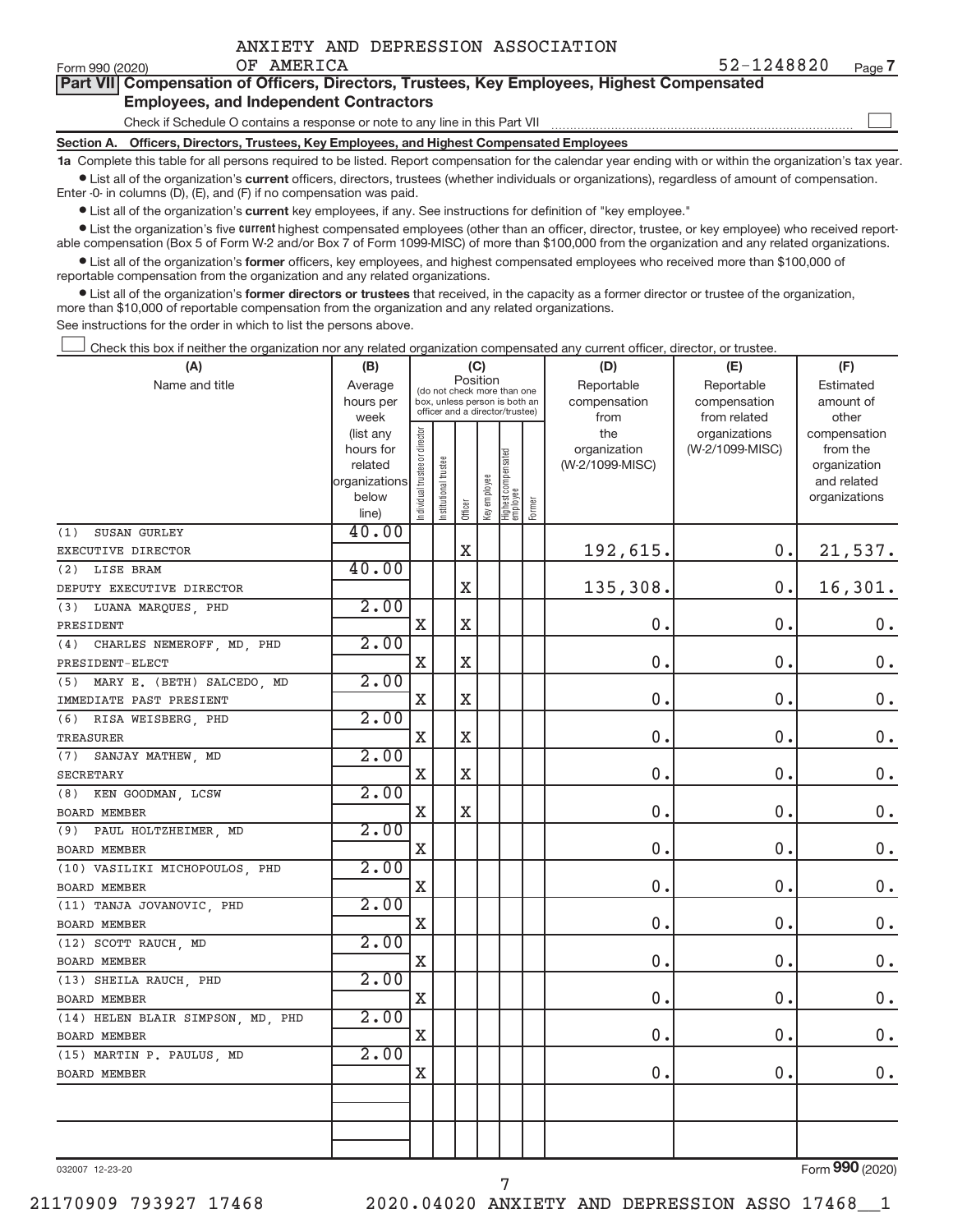|  | ANXIETY AND DEPRESSION ASSOCIATION |
|--|------------------------------------|
|  |                                    |

Form 990 (2020) Page **7** OF AMERICA 52-1248820

| <b>Employees, and Independent Contractors</b>                                |  |
|------------------------------------------------------------------------------|--|
| Check if Schedule O contains a response or note to any line in this Part VII |  |

**Section A. Officers, Directors, Trustees, Key Employees, and Highest Compensated Employees**

**1a**  Complete this table for all persons required to be listed. Report compensation for the calendar year ending with or within the organization's tax year.  $\bullet$  List all of the organization's current officers, directors, trustees (whether individuals or organizations), regardless of amount of compensation.

Enter -0- in columns (D), (E), and (F) if no compensation was paid.

**•** List all of the organization's **current** key employees, if any. See instructions for definition of "key employee."

**Examber 1** List the organization's five *current* highest compensated employees (other than an officer, director, trustee, or key employee) who received reportable compensation (Box 5 of Form W-2 and/or Box 7 of Form 1099-MISC) of more than \$100,000 from the organization and any related organizations.

 $\bullet$  List all of the organization's former officers, key employees, and highest compensated employees who received more than \$100,000 of reportable compensation from the organization and any related organizations.

**•** List all of the organization's former directors or trustees that received, in the capacity as a former director or trustee of the organization, more than \$10,000 of reportable compensation from the organization and any related organizations.

See instructions for the order in which to list the persons above.

Check this box if neither the organization nor any related organization compensated any current officer, director, or trustee.  $\overline{\phantom{a}}$ 

| (A)                               | (B)                    |                                         |                                                                  | (C)                   |              |                                 |        | (D)             | (E)             | (F)                          |
|-----------------------------------|------------------------|-----------------------------------------|------------------------------------------------------------------|-----------------------|--------------|---------------------------------|--------|-----------------|-----------------|------------------------------|
| Name and title                    | Average                | Position<br>(do not check more than one |                                                                  |                       |              |                                 |        | Reportable      | Reportable      | Estimated                    |
|                                   | hours per              |                                         | box, unless person is both an<br>officer and a director/trustee) |                       |              |                                 |        | compensation    | compensation    | amount of                    |
|                                   | week                   |                                         |                                                                  |                       |              |                                 |        | from            | from related    | other                        |
|                                   | (list any              |                                         |                                                                  |                       |              |                                 |        | the             | organizations   | compensation                 |
|                                   | hours for              |                                         |                                                                  |                       |              |                                 |        | organization    | (W-2/1099-MISC) | from the                     |
|                                   | related                |                                         |                                                                  |                       |              |                                 |        | (W-2/1099-MISC) |                 | organization                 |
|                                   | organizations<br>below |                                         |                                                                  |                       |              |                                 |        |                 |                 | and related<br>organizations |
|                                   | line)                  | Individual trustee or director          | Institutional trustee                                            | Officer               | Key employee | Highest compensated<br>employee | Former |                 |                 |                              |
| SUSAN GURLEY<br>(1)               | 40.00                  |                                         |                                                                  |                       |              |                                 |        |                 |                 |                              |
| EXECUTIVE DIRECTOR                |                        |                                         |                                                                  | $\mathbf X$           |              |                                 |        | 192,615.        | $\mathbf 0$ .   | 21,537.                      |
| (2) LISE BRAM                     | 40.00                  |                                         |                                                                  |                       |              |                                 |        |                 |                 |                              |
| DEPUTY EXECUTIVE DIRECTOR         |                        |                                         |                                                                  | $\overline{\text{X}}$ |              |                                 |        | 135,308.        | 0.              | 16,301.                      |
| (3) LUANA MARQUES, PHD            | 2.00                   |                                         |                                                                  |                       |              |                                 |        |                 |                 |                              |
| PRESIDENT                         |                        | X                                       |                                                                  | $\rm X$               |              |                                 |        | 0.              | 0.              | $0$ .                        |
| CHARLES NEMEROFF, MD, PHD<br>(4)  | 2.00                   |                                         |                                                                  |                       |              |                                 |        |                 |                 |                              |
| PRESIDENT-ELECT                   |                        | X                                       |                                                                  | $\mathbf X$           |              |                                 |        | 0.              | 0.              | $0$ .                        |
| (5) MARY E. (BETH) SALCEDO, MD    | 2.00                   |                                         |                                                                  |                       |              |                                 |        |                 |                 |                              |
| IMMEDIATE PAST PRESIENT           |                        | X                                       |                                                                  | $\mathbf X$           |              |                                 |        | 0.              | 0.              | $\mathbf 0$ .                |
| (6) RISA WEISBERG, PHD            | 2.00                   |                                         |                                                                  |                       |              |                                 |        |                 |                 |                              |
| TREASURER                         |                        | X                                       |                                                                  | $\mathbf X$           |              |                                 |        | 0.              | 0.              | $\mathbf 0$ .                |
| (7) SANJAY MATHEW, MD             | 2.00                   |                                         |                                                                  |                       |              |                                 |        |                 |                 |                              |
| <b>SECRETARY</b>                  |                        | X                                       |                                                                  | $\mathbf X$           |              |                                 |        | 0.              | $\mathbf 0$ .   | $\mathbf 0$ .                |
| (8) KEN GOODMAN, LCSW             | 2.00                   |                                         |                                                                  |                       |              |                                 |        |                 |                 |                              |
| <b>BOARD MEMBER</b>               |                        | Х                                       |                                                                  | X                     |              |                                 |        | 0.              | 0.              | 0.                           |
| (9) PAUL HOLTZHEIMER, MD          | 2.00                   |                                         |                                                                  |                       |              |                                 |        |                 |                 |                              |
| <b>BOARD MEMBER</b>               |                        | $\mathbf X$                             |                                                                  |                       |              |                                 |        | 0.              | $\mathbf 0$ .   | $\mathbf 0$ .                |
| (10) VASILIKI MICHOPOULOS, PHD    | 2.00                   |                                         |                                                                  |                       |              |                                 |        |                 |                 |                              |
| BOARD MEMBER                      |                        | X                                       |                                                                  |                       |              |                                 |        | 0.              | 0.              | $0$ .                        |
| (11) TANJA JOVANOVIC, PHD         | 2.00                   |                                         |                                                                  |                       |              |                                 |        |                 |                 |                              |
| <b>BOARD MEMBER</b>               |                        | X                                       |                                                                  |                       |              |                                 |        | 0.              | $\mathbf 0$ .   | $\mathbf 0$ .                |
| (12) SCOTT RAUCH, MD              | 2.00                   |                                         |                                                                  |                       |              |                                 |        |                 |                 |                              |
| <b>BOARD MEMBER</b>               |                        | X                                       |                                                                  |                       |              |                                 |        | 0.              | 0.              | $0$ .                        |
| (13) SHEILA RAUCH, PHD            | 2.00                   |                                         |                                                                  |                       |              |                                 |        |                 |                 |                              |
| <b>BOARD MEMBER</b>               |                        | X                                       |                                                                  |                       |              |                                 |        | 0.              | $\mathbf 0$ .   | $0$ .                        |
| (14) HELEN BLAIR SIMPSON, MD, PHD | 2.00                   |                                         |                                                                  |                       |              |                                 |        |                 |                 |                              |
| <b>BOARD MEMBER</b>               |                        | $\mathbf X$                             |                                                                  |                       |              |                                 |        | 0.              | 0.              | $0$ .                        |
| (15) MARTIN P. PAULUS, MD         | 2.00                   |                                         |                                                                  |                       |              |                                 |        |                 |                 |                              |
| <b>BOARD MEMBER</b>               |                        | X                                       |                                                                  |                       |              |                                 |        | 0.              | 0.              | $\mathbf 0$ .                |
|                                   |                        |                                         |                                                                  |                       |              |                                 |        |                 |                 |                              |
|                                   |                        |                                         |                                                                  |                       |              |                                 |        |                 |                 |                              |
|                                   |                        |                                         |                                                                  |                       |              |                                 |        |                 |                 |                              |
|                                   |                        |                                         |                                                                  |                       |              |                                 |        |                 |                 |                              |

032007 12-23-20

Form (2020) **990**

21170909 793927 17468 2020.04020 ANXIETY AND DEPRESSION ASSO 17468\_\_1

7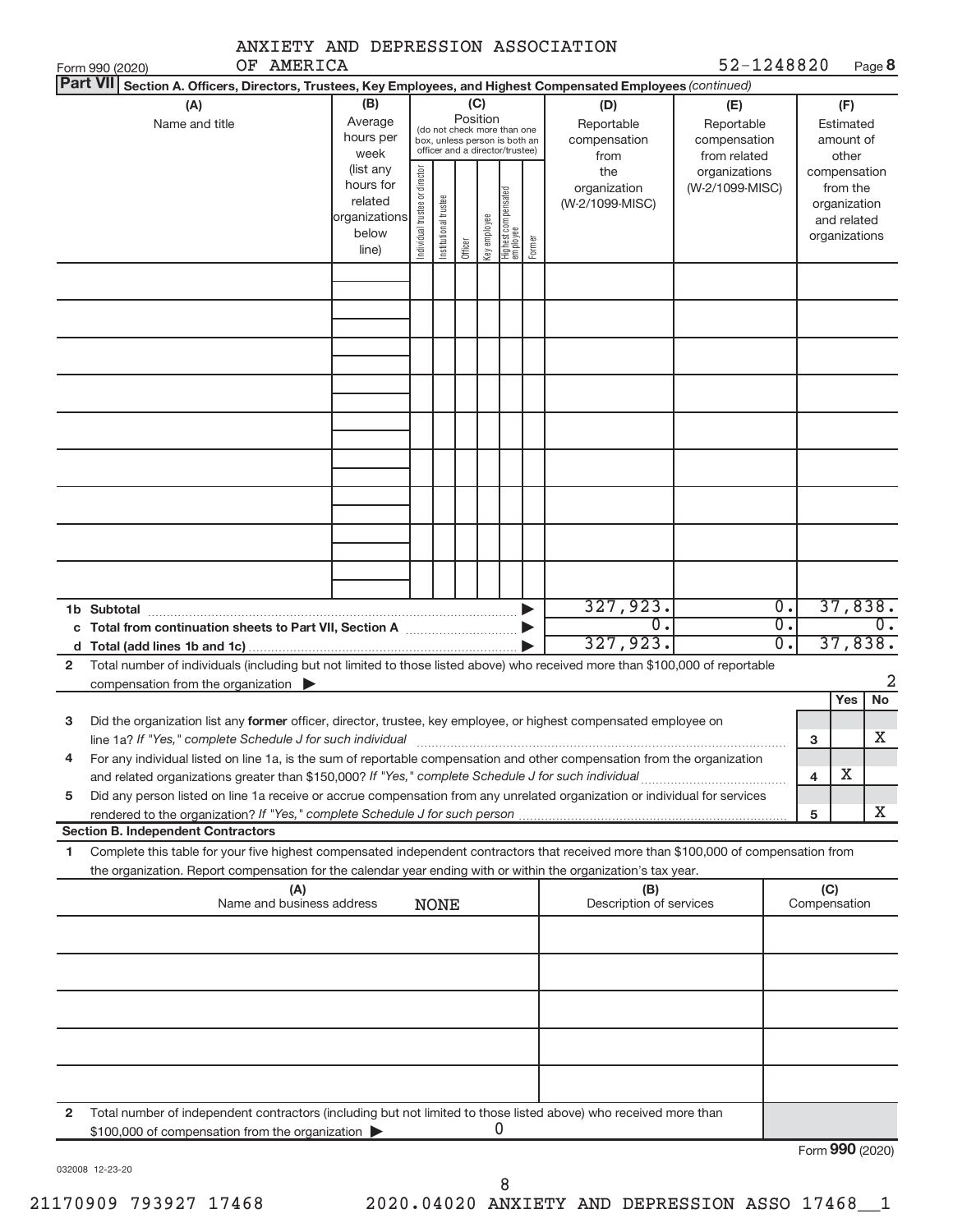| ANXIETY AND DEPRESSION ASSOCIATION                                                                                                                                                                                                   |                                                                              |                                |                                                              |                 |              |                                 |        |                                                |                                                  |                               |                                                                                   |                             |
|--------------------------------------------------------------------------------------------------------------------------------------------------------------------------------------------------------------------------------------|------------------------------------------------------------------------------|--------------------------------|--------------------------------------------------------------|-----------------|--------------|---------------------------------|--------|------------------------------------------------|--------------------------------------------------|-------------------------------|-----------------------------------------------------------------------------------|-----------------------------|
| OF AMERICA<br>Form 990 (2020)                                                                                                                                                                                                        |                                                                              |                                |                                                              |                 |              |                                 |        |                                                | 52-1248820                                       |                               |                                                                                   | Page 8                      |
| <b>Part VII</b><br>Section A. Officers, Directors, Trustees, Key Employees, and Highest Compensated Employees (continued)<br>(A)<br>Name and title                                                                                   | (B)<br>Average<br>hours per                                                  |                                | (do not check more than one<br>box, unless person is both an | (C)<br>Position |              |                                 |        | (D)<br>Reportable<br>compensation              | (E)<br>Reportable<br>compensation                | (F)<br>Estimated<br>amount of |                                                                                   |                             |
|                                                                                                                                                                                                                                      | week<br>(list any<br>hours for<br>related<br>organizations<br>below<br>line) | Individual trustee or director | officer and a director/trustee)<br>Institutional trustee     | Officer         | Key employee | Highest compensated<br>employee | Former | from<br>the<br>organization<br>(W-2/1099-MISC) | from related<br>organizations<br>(W-2/1099-MISC) |                               | other<br>compensation<br>from the<br>organization<br>and related<br>organizations |                             |
|                                                                                                                                                                                                                                      |                                                                              |                                |                                                              |                 |              |                                 |        |                                                |                                                  |                               |                                                                                   |                             |
|                                                                                                                                                                                                                                      |                                                                              |                                |                                                              |                 |              |                                 |        |                                                |                                                  |                               |                                                                                   |                             |
|                                                                                                                                                                                                                                      |                                                                              |                                |                                                              |                 |              |                                 |        |                                                |                                                  |                               |                                                                                   |                             |
|                                                                                                                                                                                                                                      |                                                                              |                                |                                                              |                 |              |                                 |        |                                                |                                                  |                               |                                                                                   |                             |
| 1b Subtotal<br>Total from continuation sheets to Part VII, Section A <b>manual</b> continuum                                                                                                                                         |                                                                              |                                |                                                              |                 |              |                                 |        | 327,923.<br>$\overline{0}$ .<br>327,923.       | 0.<br>$\overline{0}$ .<br>$\overline{0}$ .       |                               | 37,838.                                                                           | $\overline{0}$ .<br>37,838. |
| Total number of individuals (including but not limited to those listed above) who received more than \$100,000 of reportable<br>$\mathbf{2}$<br>compensation from the organization                                                   |                                                                              |                                |                                                              |                 |              |                                 |        |                                                |                                                  |                               |                                                                                   | 2                           |
| Did the organization list any former officer, director, trustee, key employee, or highest compensated employee on<br>з<br>line 1a? If "Yes," complete Schedule J for such individual                                                 |                                                                              |                                |                                                              |                 |              |                                 |        |                                                |                                                  | з                             | Yes                                                                               | No<br>$\overline{\text{X}}$ |
| For any individual listed on line 1a, is the sum of reportable compensation and other compensation from the organization<br>4<br>and related organizations greater than \$150,000? If "Yes," complete Schedule J for such individual |                                                                              |                                |                                                              |                 |              |                                 |        |                                                |                                                  |                               | X<br>4                                                                            |                             |
| Did any person listed on line 1a receive or accrue compensation from any unrelated organization or individual for services<br>5                                                                                                      |                                                                              |                                |                                                              |                 |              |                                 |        |                                                |                                                  | 5                             |                                                                                   | Х                           |
| <b>Section B. Independent Contractors</b><br>Complete this table for your five highest compensated independent contractors that received more than \$100,000 of compensation from<br>1                                               |                                                                              |                                |                                                              |                 |              |                                 |        |                                                |                                                  |                               |                                                                                   |                             |
| the organization. Report compensation for the calendar year ending with or within the organization's tax year.<br>(A)                                                                                                                |                                                                              |                                |                                                              |                 |              |                                 |        | (B)                                            |                                                  |                               | (C)                                                                               |                             |
| Name and business address                                                                                                                                                                                                            |                                                                              |                                | <b>NONE</b>                                                  |                 |              |                                 |        | Description of services                        |                                                  |                               | Compensation                                                                      |                             |
|                                                                                                                                                                                                                                      |                                                                              |                                |                                                              |                 |              |                                 |        |                                                |                                                  |                               |                                                                                   |                             |
|                                                                                                                                                                                                                                      |                                                                              |                                |                                                              |                 |              |                                 |        |                                                |                                                  |                               |                                                                                   |                             |
|                                                                                                                                                                                                                                      |                                                                              |                                |                                                              |                 |              |                                 |        |                                                |                                                  |                               |                                                                                   |                             |
| Total number of independent contractors (including but not limited to those listed above) who received more than<br>2<br>\$100,000 of compensation from the organization                                                             |                                                                              |                                |                                                              |                 |              |                                 |        |                                                |                                                  |                               | nnn.                                                                              |                             |

| 032008 | 12-23-20 |
|--------|----------|
|--------|----------|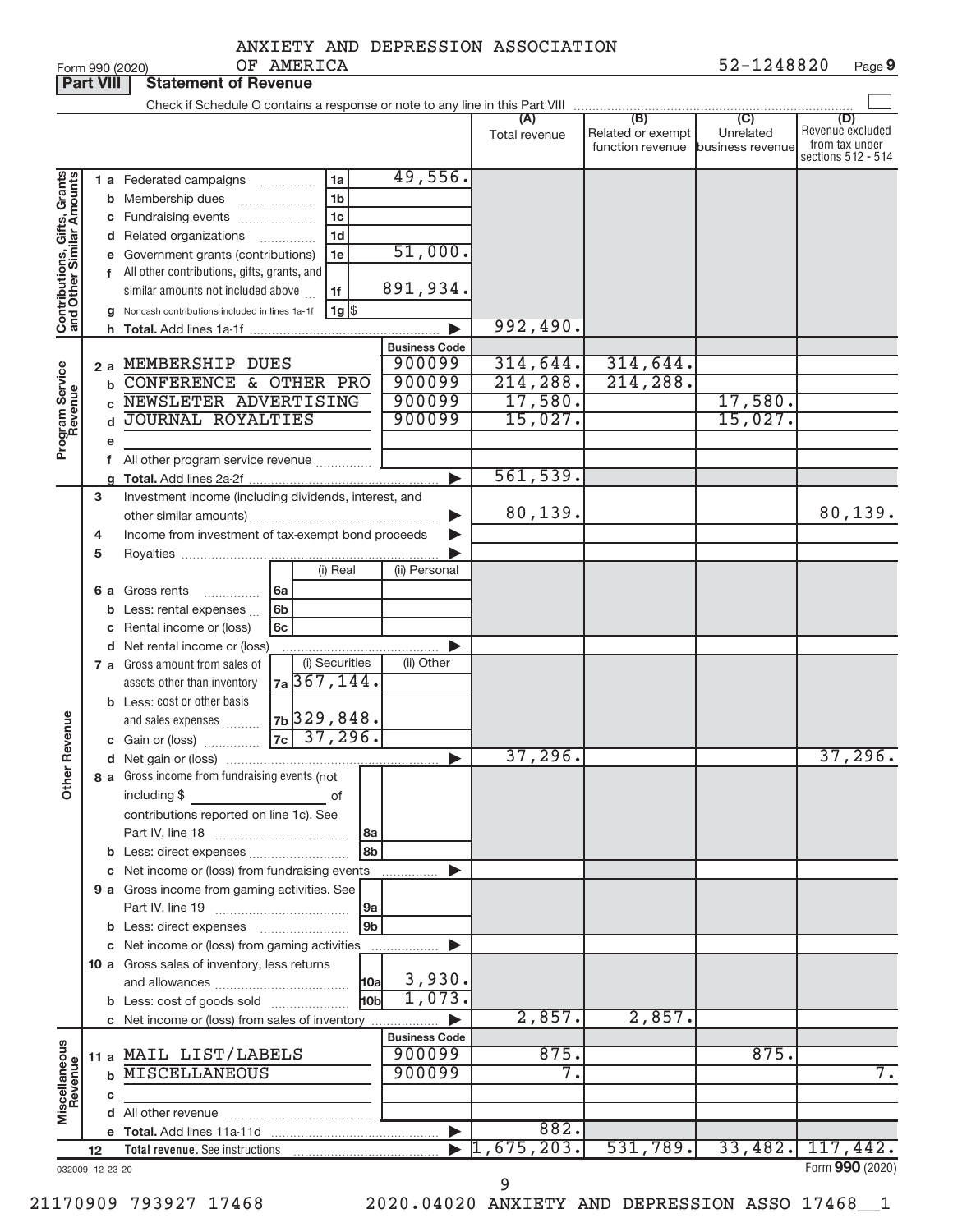|            |  | ANXIETY AND DEPRESSION ASSOCIATION |            |
|------------|--|------------------------------------|------------|
| OF AMERICA |  |                                    | 52-1248820 |

**Part VIII Statement of Revenue**

|                                                           |    | Check if Schedule O contains a response or note to any line in this Part VIII |                       |                  |                                       |                               |                                    |
|-----------------------------------------------------------|----|-------------------------------------------------------------------------------|-----------------------|------------------|---------------------------------------|-------------------------------|------------------------------------|
|                                                           |    |                                                                               |                       |                  | (B)                                   | (C)                           | (D)                                |
|                                                           |    |                                                                               |                       | Total revenue    | Related or exempt<br>function revenue | Unrelated<br>business revenue | Revenue excluded<br>from tax under |
|                                                           |    |                                                                               |                       |                  |                                       |                               | sections 512 - 514                 |
|                                                           |    | 1a<br>1 a Federated campaigns                                                 | 49,556.               |                  |                                       |                               |                                    |
|                                                           |    | 1 <sub>b</sub><br><b>b</b> Membership dues                                    |                       |                  |                                       |                               |                                    |
|                                                           |    | 1 <sub>c</sub>                                                                |                       |                  |                                       |                               |                                    |
|                                                           |    | c Fundraising events                                                          |                       |                  |                                       |                               |                                    |
| Contributions, Gifts, Grants<br>and Other Similar Amounts |    | 1 <sub>d</sub><br>d Related organizations<br>.                                | 51,000.               |                  |                                       |                               |                                    |
|                                                           |    | 1e<br>e Government grants (contributions)                                     |                       |                  |                                       |                               |                                    |
|                                                           |    | f All other contributions, gifts, grants, and                                 |                       |                  |                                       |                               |                                    |
|                                                           |    | similar amounts not included above<br>1f                                      | 891,934.              |                  |                                       |                               |                                    |
|                                                           |    | $1g$ $\frac{1}{3}$<br>g Noncash contributions included in lines 1a-1f         |                       |                  |                                       |                               |                                    |
|                                                           |    |                                                                               |                       | 992,490.         |                                       |                               |                                    |
|                                                           |    |                                                                               | <b>Business Code</b>  |                  |                                       |                               |                                    |
|                                                           | 2a | MEMBERSHIP DUES                                                               | 900099                | 314,644.         | 314,644.                              |                               |                                    |
|                                                           |    | CONFERENCE & OTHER PRO<br>b                                                   | 900099                | 214, 288.        | 214,288.                              |                               |                                    |
| Program Service<br>Revenue                                |    | NEWSLETER ADVERTISING                                                         | 900099                | 17,580.          |                                       | 17,580.                       |                                    |
|                                                           |    | <b>JOURNAL ROYALTIES</b>                                                      | 900099                | 15,027.          |                                       | 15,027.                       |                                    |
|                                                           | е  |                                                                               |                       |                  |                                       |                               |                                    |
|                                                           |    | All other program service revenue                                             |                       |                  |                                       |                               |                                    |
|                                                           |    | q                                                                             |                       | 561,539.         |                                       |                               |                                    |
|                                                           | 3  | Investment income (including dividends, interest, and                         |                       |                  |                                       |                               |                                    |
|                                                           |    |                                                                               |                       | 80,139.          |                                       |                               | 80, 139.                           |
|                                                           | 4  | Income from investment of tax-exempt bond proceeds                            |                       |                  |                                       |                               |                                    |
|                                                           | 5  |                                                                               |                       |                  |                                       |                               |                                    |
|                                                           |    | (i) Real                                                                      | (ii) Personal         |                  |                                       |                               |                                    |
|                                                           |    | Gross rents<br>6a                                                             |                       |                  |                                       |                               |                                    |
|                                                           | 6а | 6 <sub>b</sub>                                                                |                       |                  |                                       |                               |                                    |
|                                                           |    | Less: rental expenses<br>b<br>6c                                              |                       |                  |                                       |                               |                                    |
|                                                           |    | c Rental income or (loss)                                                     |                       |                  |                                       |                               |                                    |
|                                                           |    | d Net rental income or (loss)                                                 |                       |                  |                                       |                               |                                    |
|                                                           |    | (i) Securities<br>7 a Gross amount from sales of                              | (ii) Other            |                  |                                       |                               |                                    |
|                                                           |    | <sub>7a</sub> 367, 144.<br>assets other than inventory                        |                       |                  |                                       |                               |                                    |
|                                                           |    | <b>b</b> Less: cost or other basis                                            |                       |                  |                                       |                               |                                    |
| <b>ther Revenue</b>                                       |    | 7b 329, 848.<br>and sales expenses                                            |                       |                  |                                       |                               |                                    |
|                                                           |    | $7c$ 37, 296.<br>c Gain or (loss)                                             |                       |                  |                                       |                               |                                    |
|                                                           |    |                                                                               |                       | 37,296.          |                                       |                               | 37,296.                            |
|                                                           |    | 8 a Gross income from fundraising events (not                                 |                       |                  |                                       |                               |                                    |
|                                                           |    | including \$<br>of                                                            |                       |                  |                                       |                               |                                    |
|                                                           |    | contributions reported on line 1c). See                                       |                       |                  |                                       |                               |                                    |
|                                                           |    | l 8a                                                                          |                       |                  |                                       |                               |                                    |
|                                                           |    | 8b                                                                            |                       |                  |                                       |                               |                                    |
|                                                           |    | c Net income or (loss) from fundraising events                                |                       |                  |                                       |                               |                                    |
|                                                           |    | 9 a Gross income from gaming activities. See                                  |                       |                  |                                       |                               |                                    |
|                                                           |    | 9a                                                                            |                       |                  |                                       |                               |                                    |
|                                                           |    | 9 <sub>b</sub>                                                                |                       |                  |                                       |                               |                                    |
|                                                           |    | c Net income or (loss) from gaming activities                                 |                       |                  |                                       |                               |                                    |
|                                                           |    | 10 a Gross sales of inventory, less returns                                   |                       |                  |                                       |                               |                                    |
|                                                           |    | 10a                                                                           | 3,930.                |                  |                                       |                               |                                    |
|                                                           |    | 10bl<br><b>b</b> Less: cost of goods sold                                     | 1,073.                |                  |                                       |                               |                                    |
|                                                           |    | c Net income or (loss) from sales of inventory                                |                       | 2,857.           | 2,857.                                |                               |                                    |
|                                                           |    |                                                                               | <b>Business Code</b>  |                  |                                       |                               |                                    |
|                                                           |    | 11 a MAIL LIST/LABELS                                                         | 900099                | 875.             |                                       | 875.                          |                                    |
|                                                           |    | <b>MISCELLANEOUS</b><br>b                                                     | 900099                | $\overline{7}$ . |                                       |                               | 7.                                 |
|                                                           |    |                                                                               |                       |                  |                                       |                               |                                    |
| Miscellaneous<br>Revenue                                  | c  |                                                                               |                       |                  |                                       |                               |                                    |
|                                                           |    |                                                                               | $\blacktriangleright$ | 882.             |                                       |                               |                                    |
|                                                           |    |                                                                               |                       | 1,675,203.       | 531,789.                              | 33,482.                       | 117,442.                           |
|                                                           | 12 |                                                                               |                       |                  |                                       |                               | Form 990 (2020)                    |
| 032009 12-23-20                                           |    |                                                                               |                       |                  |                                       |                               |                                    |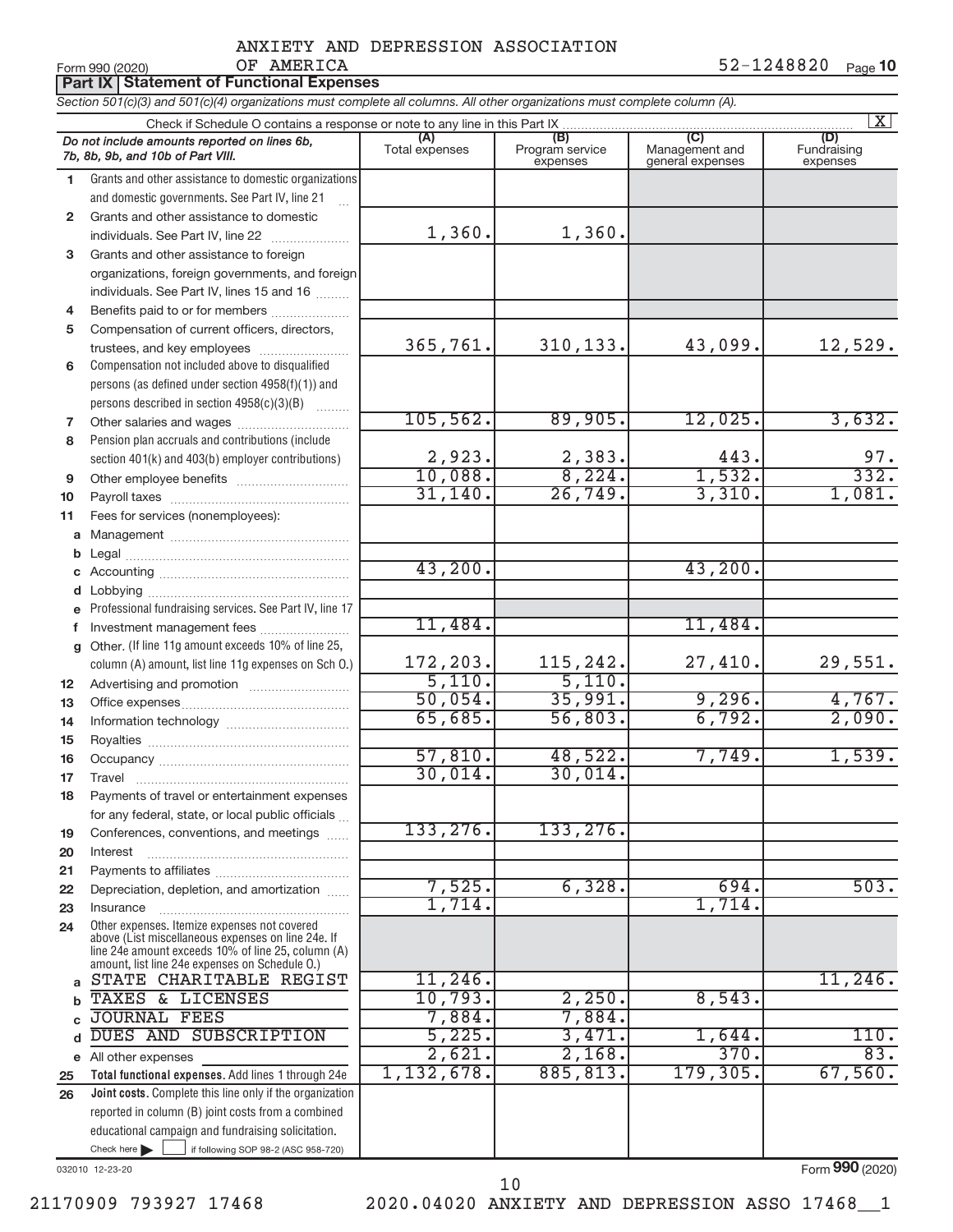#### ANXIETY AND DEPRESSION ASSOCIATION OF AMERICA 52-1248820

|              | Form 990 (2020)<br>OF AMERICA<br><b>Part IX   Statement of Functional Expenses</b>                                                                                                                         |                       |                                    |                                           | 52-1248820<br>Page 10          |
|--------------|------------------------------------------------------------------------------------------------------------------------------------------------------------------------------------------------------------|-----------------------|------------------------------------|-------------------------------------------|--------------------------------|
|              | Section 501(c)(3) and 501(c)(4) organizations must complete all columns. All other organizations must complete column (A).                                                                                 |                       |                                    |                                           |                                |
|              |                                                                                                                                                                                                            |                       |                                    |                                           | X                              |
|              | Do not include amounts reported on lines 6b,<br>7b, 8b, 9b, and 10b of Part VIII.                                                                                                                          | (A)<br>Total expenses | (B)<br>Program service<br>expenses | (C)<br>Management and<br>general expenses | (D)<br>Fundraising<br>expenses |
| 1            | Grants and other assistance to domestic organizations                                                                                                                                                      |                       |                                    |                                           |                                |
|              | and domestic governments. See Part IV, line 21                                                                                                                                                             |                       |                                    |                                           |                                |
| $\mathbf{2}$ | Grants and other assistance to domestic                                                                                                                                                                    |                       |                                    |                                           |                                |
|              | individuals. See Part IV, line 22                                                                                                                                                                          | 1,360.                | 1,360.                             |                                           |                                |
| 3            | Grants and other assistance to foreign                                                                                                                                                                     |                       |                                    |                                           |                                |
|              | organizations, foreign governments, and foreign                                                                                                                                                            |                       |                                    |                                           |                                |
|              | individuals. See Part IV, lines 15 and 16                                                                                                                                                                  |                       |                                    |                                           |                                |
| 4            | Benefits paid to or for members                                                                                                                                                                            |                       |                                    |                                           |                                |
| 5            | Compensation of current officers, directors,                                                                                                                                                               | 365,761.              | 310, 133.                          | 43,099.                                   | 12,529.                        |
|              | trustees, and key employees                                                                                                                                                                                |                       |                                    |                                           |                                |
| 6            | Compensation not included above to disqualified<br>persons (as defined under section 4958(f)(1)) and                                                                                                       |                       |                                    |                                           |                                |
|              | persons described in section 4958(c)(3)(B)                                                                                                                                                                 |                       |                                    |                                           |                                |
| 7            |                                                                                                                                                                                                            | 105, 562.             | 89,905.                            | 12,025.                                   | 3,632.                         |
| 8            | Pension plan accruals and contributions (include                                                                                                                                                           |                       |                                    |                                           |                                |
|              | section 401(k) and 403(b) employer contributions)                                                                                                                                                          | 2,923.                | 2,383.                             | 443.                                      | 97.                            |
| 9            |                                                                                                                                                                                                            | 10,088.               | 8,224.                             | 1,532.                                    | 332.                           |
| 10           |                                                                                                                                                                                                            | 31,140.               | 26,749.                            | 3,310.                                    | 1,081.                         |
| 11           | Fees for services (nonemployees):                                                                                                                                                                          |                       |                                    |                                           |                                |
|              |                                                                                                                                                                                                            |                       |                                    |                                           |                                |
| b            |                                                                                                                                                                                                            |                       |                                    |                                           |                                |
| c            |                                                                                                                                                                                                            | 43,200.               |                                    | 43,200.                                   |                                |
| d            |                                                                                                                                                                                                            |                       |                                    |                                           |                                |
| е            | Professional fundraising services. See Part IV, line 17                                                                                                                                                    |                       |                                    |                                           |                                |
| f            | Investment management fees                                                                                                                                                                                 | 11,484.               |                                    | 11,484.                                   |                                |
| g            | Other. (If line 11g amount exceeds 10% of line 25,                                                                                                                                                         |                       |                                    |                                           |                                |
|              | column (A) amount, list line 11g expenses on Sch O.)                                                                                                                                                       | 172,203.<br>5,110.    | 115,242.<br>5,110.                 | 27,410.                                   | 29,551.                        |
| 12           |                                                                                                                                                                                                            | 50,054.               | 35,991.                            | 9,296.                                    | 4,767.                         |
| 13<br>14     |                                                                                                                                                                                                            | 65,685.               | 56,803.                            | 6,792.                                    | 2,090.                         |
| 15           |                                                                                                                                                                                                            |                       |                                    |                                           |                                |
| 16           | Occupancy                                                                                                                                                                                                  | 57,810.               | 48,522.                            | 7,749.                                    | 1,539.                         |
| 17           |                                                                                                                                                                                                            | 30,014.               | 30,014.                            |                                           |                                |
| 18           | Payments of travel or entertainment expenses                                                                                                                                                               |                       |                                    |                                           |                                |
|              | for any federal, state, or local public officials                                                                                                                                                          |                       |                                    |                                           |                                |
| 19           | Conferences, conventions, and meetings                                                                                                                                                                     | 133, 276.             | 133,276.                           |                                           |                                |
| 20           | Interest                                                                                                                                                                                                   |                       |                                    |                                           |                                |
| 21           |                                                                                                                                                                                                            |                       |                                    |                                           |                                |
| 22           | Depreciation, depletion, and amortization                                                                                                                                                                  | 7,525.                | 6,328.                             | 694.                                      | 503.                           |
| 23           | Insurance                                                                                                                                                                                                  | 1,714.                |                                    | 1,714.                                    |                                |
| 24           | Other expenses. Itemize expenses not covered<br>above (List miscellaneous expenses on line 24e. If<br>line 24e amount exceeds 10% of line 25, column (A)<br>amount, list line 24e expenses on Schedule O.) |                       |                                    |                                           |                                |
| a            | STATE CHARITABLE REGIST                                                                                                                                                                                    | 11,246.               |                                    |                                           | 11,246.                        |
|              | TAXES & LICENSES                                                                                                                                                                                           | 10,793.               | 2,250.                             | 8,543.                                    |                                |
|              | <b>JOURNAL FEES</b>                                                                                                                                                                                        | 7,884.                | 7,884.                             |                                           |                                |
|              | DUES AND SUBSCRIPTION                                                                                                                                                                                      | 5,225.<br>2,621.      | 3,471.<br>2,168.                   | 1,644.<br>370.                            | 110.<br>83.                    |
|              | e All other expenses                                                                                                                                                                                       | 1,132,678.            | 885,813.                           | 179,305.                                  | 67,560.                        |
| 25<br>26     | Total functional expenses. Add lines 1 through 24e<br>Joint costs. Complete this line only if the organization                                                                                             |                       |                                    |                                           |                                |
|              | reported in column (B) joint costs from a combined                                                                                                                                                         |                       |                                    |                                           |                                |
|              | educational campaign and fundraising solicitation.                                                                                                                                                         |                       |                                    |                                           |                                |
|              | Check here $\blacktriangleright$<br>if following SOP 98-2 (ASC 958-720)                                                                                                                                    |                       |                                    |                                           |                                |

032010 12-23-20

Form (2020) **990**

10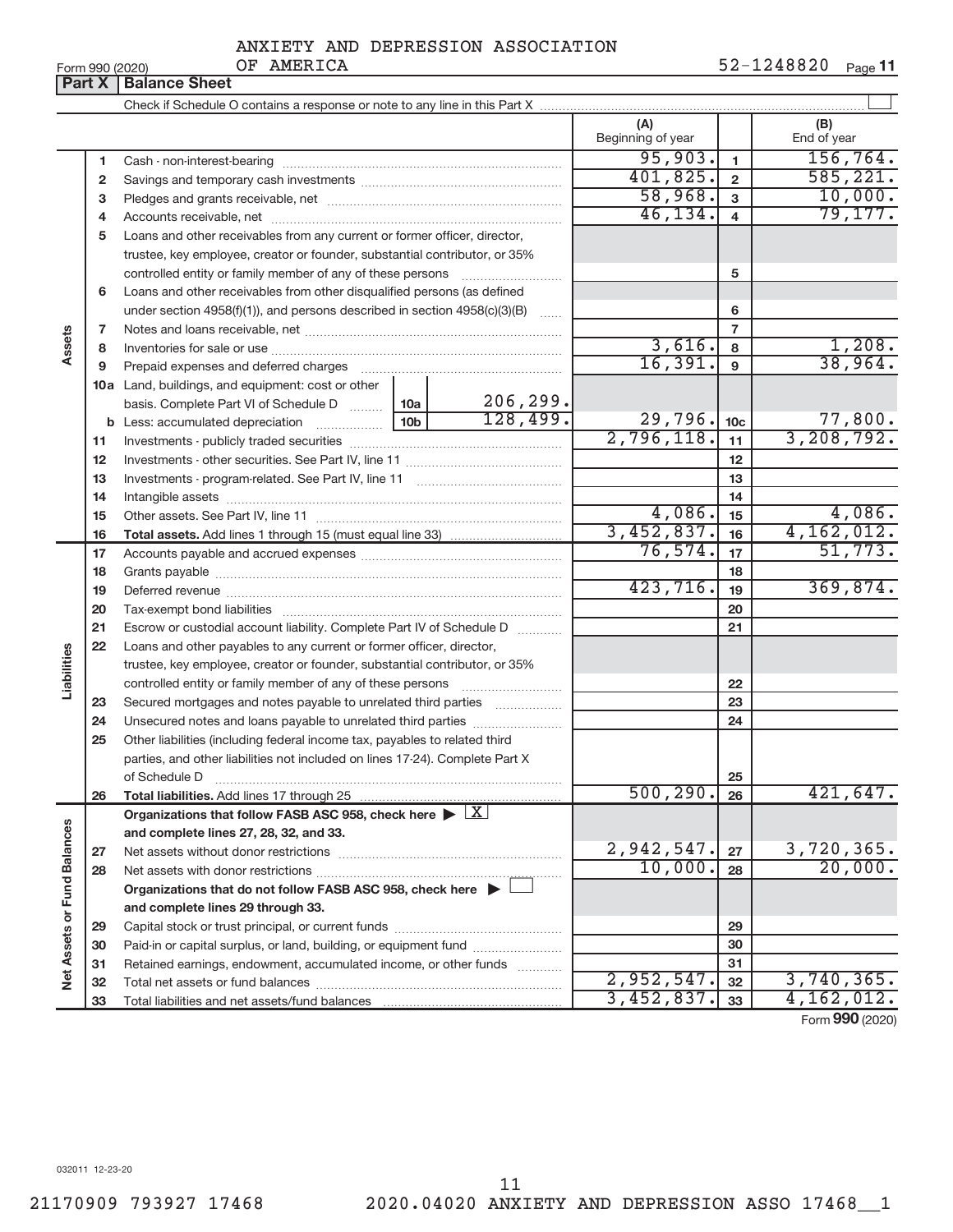| Form 990 (2020) |  |
|-----------------|--|
|-----------------|--|

|                             | Form 990 (2020)<br>Part X | UF AMLRICA<br><b>Balance Sheet</b>                                                                     |                          |                 | 0200821-20<br>Page 11 |
|-----------------------------|---------------------------|--------------------------------------------------------------------------------------------------------|--------------------------|-----------------|-----------------------|
|                             |                           |                                                                                                        |                          |                 |                       |
|                             |                           |                                                                                                        | (A)<br>Beginning of year |                 | (B)<br>End of year    |
|                             | 1                         |                                                                                                        | 95,903.                  | $\mathbf{1}$    | 156,764.              |
|                             | $\mathbf{2}$              |                                                                                                        | 401,825.                 | $\overline{2}$  | 585, 221.             |
|                             | 3                         |                                                                                                        | 58,968.                  | 3               | 10,000.               |
|                             | 4                         |                                                                                                        | 46, 134.                 | $\overline{4}$  | 79, 177.              |
|                             | 5                         | Loans and other receivables from any current or former officer, director,                              |                          |                 |                       |
|                             |                           | trustee, key employee, creator or founder, substantial contributor, or 35%                             |                          |                 |                       |
|                             |                           | controlled entity or family member of any of these persons                                             |                          | 5               |                       |
|                             | 6                         | Loans and other receivables from other disqualified persons (as defined                                |                          |                 |                       |
|                             |                           | under section 4958(f)(1)), and persons described in section 4958(c)(3)(B)                              |                          | 6               |                       |
|                             | 7                         |                                                                                                        |                          | $\overline{7}$  |                       |
| Assets                      | 8                         |                                                                                                        | 3,616.                   | 8               | 1,208.                |
|                             | 9                         |                                                                                                        | 16,391.                  | 9               | 38,964.               |
|                             |                           | 10a Land, buildings, and equipment: cost or other                                                      |                          |                 |                       |
|                             |                           | 206, 299.<br>basis. Complete Part VI of Schedule D  10a                                                |                          |                 |                       |
|                             |                           | 128,499.                                                                                               | 29,796.                  | 10 <sub>c</sub> | 77,800.               |
|                             | 11                        |                                                                                                        | 2,796,118.               | 11              | 3,208,792.            |
|                             | 12                        |                                                                                                        |                          | 12              |                       |
|                             | 13                        |                                                                                                        |                          | 13              |                       |
|                             | 14                        |                                                                                                        |                          | 14              |                       |
|                             | 15                        |                                                                                                        | 4,086.                   | 15              | 4,086.                |
|                             | 16                        |                                                                                                        | 3,452,837.               | 16              | 4,162,012.            |
|                             | 17                        |                                                                                                        | 76, 574.                 | 17              | 51,773.               |
|                             | 18                        |                                                                                                        |                          | 18              |                       |
|                             | 19                        |                                                                                                        | 423,716.                 | 19              | 369,874.              |
|                             | 20                        |                                                                                                        |                          | 20              |                       |
|                             | 21                        | Escrow or custodial account liability. Complete Part IV of Schedule D                                  |                          | 21              |                       |
|                             | 22                        | Loans and other payables to any current or former officer, director,                                   |                          |                 |                       |
| Liabilities                 |                           | trustee, key employee, creator or founder, substantial contributor, or 35%                             |                          |                 |                       |
|                             |                           | controlled entity or family member of any of these persons                                             |                          | 22              |                       |
|                             | 23                        | Secured mortgages and notes payable to unrelated third parties                                         |                          | 23              |                       |
|                             | 24                        | Unsecured notes and loans payable to unrelated third parties                                           |                          | 24              |                       |
|                             | 25                        | Other liabilities (including federal income tax, payables to related third                             |                          |                 |                       |
|                             |                           | parties, and other liabilities not included on lines 17-24). Complete Part X                           |                          |                 |                       |
|                             |                           | of Schedule D                                                                                          |                          | 25              |                       |
|                             | 26                        | Total liabilities. Add lines 17 through 25                                                             | 500, 290.                | 26              | 421,647.              |
|                             |                           | Organizations that follow FASB ASC 958, check here $\blacktriangleright \lfloor \underline{X} \rfloor$ |                          |                 |                       |
|                             |                           | and complete lines 27, 28, 32, and 33.                                                                 |                          |                 |                       |
|                             | 27                        |                                                                                                        | 2,942,547.<br>10,000.    | 27              | 3,720,365.<br>20,000. |
|                             | 28                        |                                                                                                        |                          | 28              |                       |
|                             |                           | Organizations that do not follow FASB ASC 958, check here $\blacktriangleright \Box$                   |                          |                 |                       |
|                             |                           | and complete lines 29 through 33.                                                                      |                          |                 |                       |
|                             | 29                        |                                                                                                        |                          | 29              |                       |
|                             | 30                        | Paid-in or capital surplus, or land, building, or equipment fund                                       |                          | 30              |                       |
| Net Assets or Fund Balances | 31                        | Retained earnings, endowment, accumulated income, or other funds                                       | 2,952,547.               | 31              | 3,740,365.            |
|                             | 32                        |                                                                                                        | 3,452,837.               | 32              | 4,162,012.            |
|                             | 33                        |                                                                                                        |                          | 33              |                       |

Form (2020) **990**

032011 12-23-20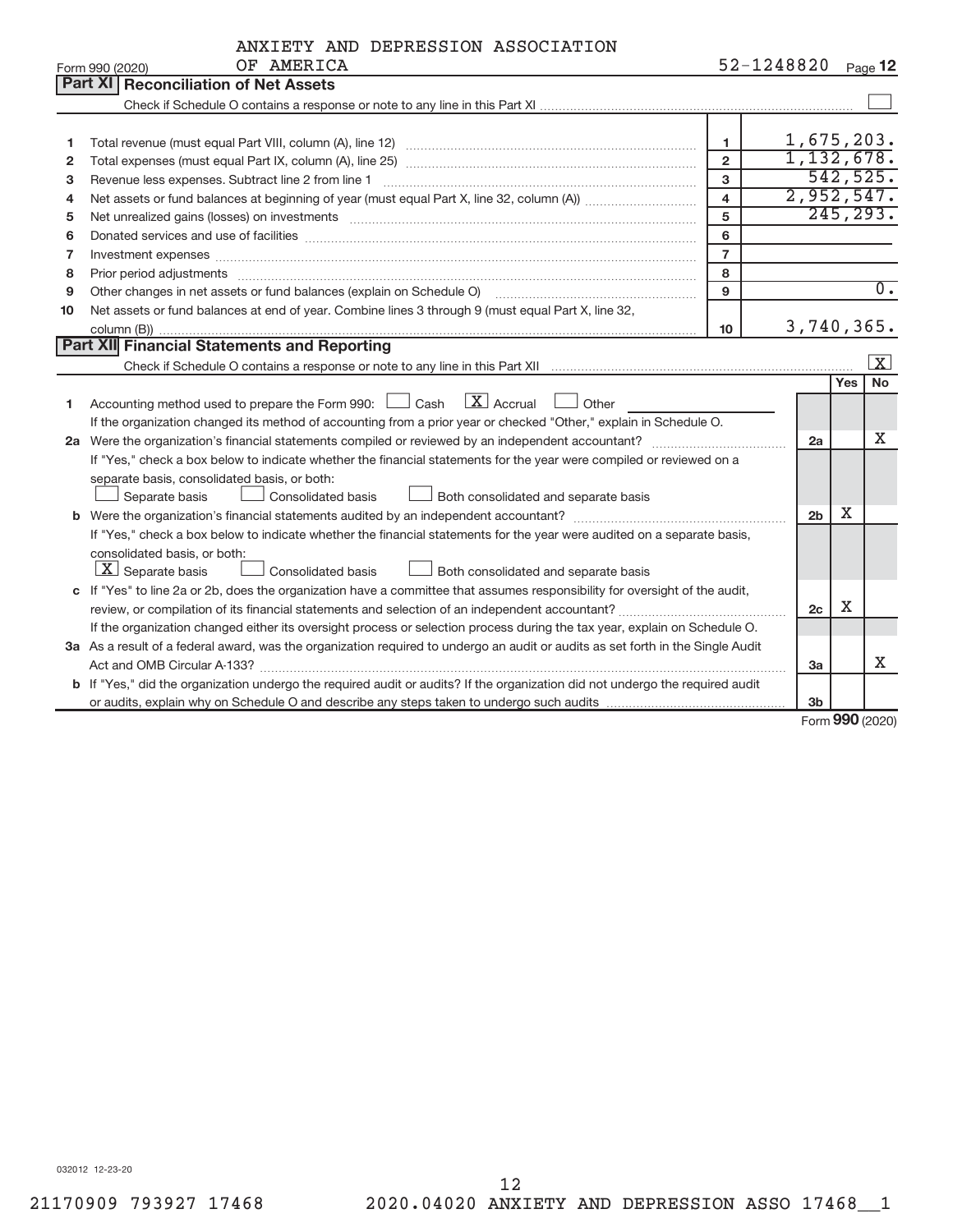|              | ANXIETY AND DEPRESSION ASSOCIATION                                                                                                                                                                                             |                         |                |     |                         |  |  |  |  |
|--------------|--------------------------------------------------------------------------------------------------------------------------------------------------------------------------------------------------------------------------------|-------------------------|----------------|-----|-------------------------|--|--|--|--|
|              | OF AMERICA<br>Form 990 (2020)                                                                                                                                                                                                  | 52-1248820 Page 12      |                |     |                         |  |  |  |  |
|              | Part XI<br><b>Reconciliation of Net Assets</b>                                                                                                                                                                                 |                         |                |     |                         |  |  |  |  |
|              |                                                                                                                                                                                                                                |                         |                |     |                         |  |  |  |  |
|              |                                                                                                                                                                                                                                |                         |                |     |                         |  |  |  |  |
| 1            | 1,675,203.<br>$\mathbf{1}$                                                                                                                                                                                                     |                         |                |     |                         |  |  |  |  |
| $\mathbf{2}$ |                                                                                                                                                                                                                                | $\overline{2}$          | 1,132,678.     |     |                         |  |  |  |  |
| з            |                                                                                                                                                                                                                                | 3                       |                |     | 542, 525.               |  |  |  |  |
| 4            |                                                                                                                                                                                                                                | $\overline{\mathbf{4}}$ | 2,952,547.     |     |                         |  |  |  |  |
| 5            |                                                                                                                                                                                                                                | 5                       |                |     | 245, 293.               |  |  |  |  |
| 6            |                                                                                                                                                                                                                                | 6                       |                |     |                         |  |  |  |  |
| 7            | Investment expenses www.communication.com/www.communication.com/www.communication.com/www.com                                                                                                                                  | $\overline{7}$          |                |     |                         |  |  |  |  |
| 8            | Prior period adjustments manufactured and content and content and all the manufactured adjustments manufactured and content and content and content and content and content and content and content and content and content an | 8                       |                |     |                         |  |  |  |  |
| 9            | Other changes in net assets or fund balances (explain on Schedule O)                                                                                                                                                           | $\mathbf{q}$            |                |     | $\overline{0}$ .        |  |  |  |  |
| 10           | Net assets or fund balances at end of year. Combine lines 3 through 9 (must equal Part X, line 32,                                                                                                                             |                         |                |     |                         |  |  |  |  |
|              |                                                                                                                                                                                                                                | 10                      | 3,740,365.     |     |                         |  |  |  |  |
|              | Part XII Financial Statements and Reporting                                                                                                                                                                                    |                         |                |     |                         |  |  |  |  |
|              |                                                                                                                                                                                                                                |                         |                |     | $\overline{\mathbf{x}}$ |  |  |  |  |
|              |                                                                                                                                                                                                                                |                         |                | Yes | <b>No</b>               |  |  |  |  |
| 1            | $\mathbf{X}$ Accrual<br>Accounting method used to prepare the Form 990: [130] Cash<br>$\Box$ Other                                                                                                                             |                         |                |     |                         |  |  |  |  |
|              | If the organization changed its method of accounting from a prior year or checked "Other," explain in Schedule O.                                                                                                              |                         |                |     |                         |  |  |  |  |
|              |                                                                                                                                                                                                                                |                         | 2a             |     | x                       |  |  |  |  |
|              | If "Yes," check a box below to indicate whether the financial statements for the year were compiled or reviewed on a                                                                                                           |                         |                |     |                         |  |  |  |  |
|              | separate basis, consolidated basis, or both:                                                                                                                                                                                   |                         |                |     |                         |  |  |  |  |
|              | Separate basis<br>$\perp$ Consolidated basis<br>Both consolidated and separate basis                                                                                                                                           |                         |                |     |                         |  |  |  |  |
|              | b Were the organization's financial statements audited by an independent accountant?                                                                                                                                           |                         | 2 <sub>b</sub> | x   |                         |  |  |  |  |
|              | If "Yes," check a box below to indicate whether the financial statements for the year were audited on a separate basis,                                                                                                        |                         |                |     |                         |  |  |  |  |
|              | consolidated basis, or both:                                                                                                                                                                                                   |                         |                |     |                         |  |  |  |  |
|              | $ \mathbf{X} $ Separate basis<br>Both consolidated and separate basis<br>Consolidated basis                                                                                                                                    |                         |                |     |                         |  |  |  |  |
|              | c If "Yes" to line 2a or 2b, does the organization have a committee that assumes responsibility for oversight of the audit,                                                                                                    |                         |                |     |                         |  |  |  |  |
|              | review, or compilation of its financial statements and selection of an independent accountant?                                                                                                                                 |                         | 2c             | х   |                         |  |  |  |  |
|              | If the organization changed either its oversight process or selection process during the tax year, explain on Schedule O.                                                                                                      |                         |                |     |                         |  |  |  |  |
|              | 3a As a result of a federal award, was the organization required to undergo an audit or audits as set forth in the Single Audit                                                                                                |                         |                |     |                         |  |  |  |  |
|              |                                                                                                                                                                                                                                |                         | 3a             |     | Χ                       |  |  |  |  |
|              | b If "Yes," did the organization undergo the required audit or audits? If the organization did not undergo the required audit                                                                                                  |                         |                |     |                         |  |  |  |  |
|              |                                                                                                                                                                                                                                |                         | 3 <sub>b</sub> |     |                         |  |  |  |  |

Form (2020) **990**

032012 12-23-20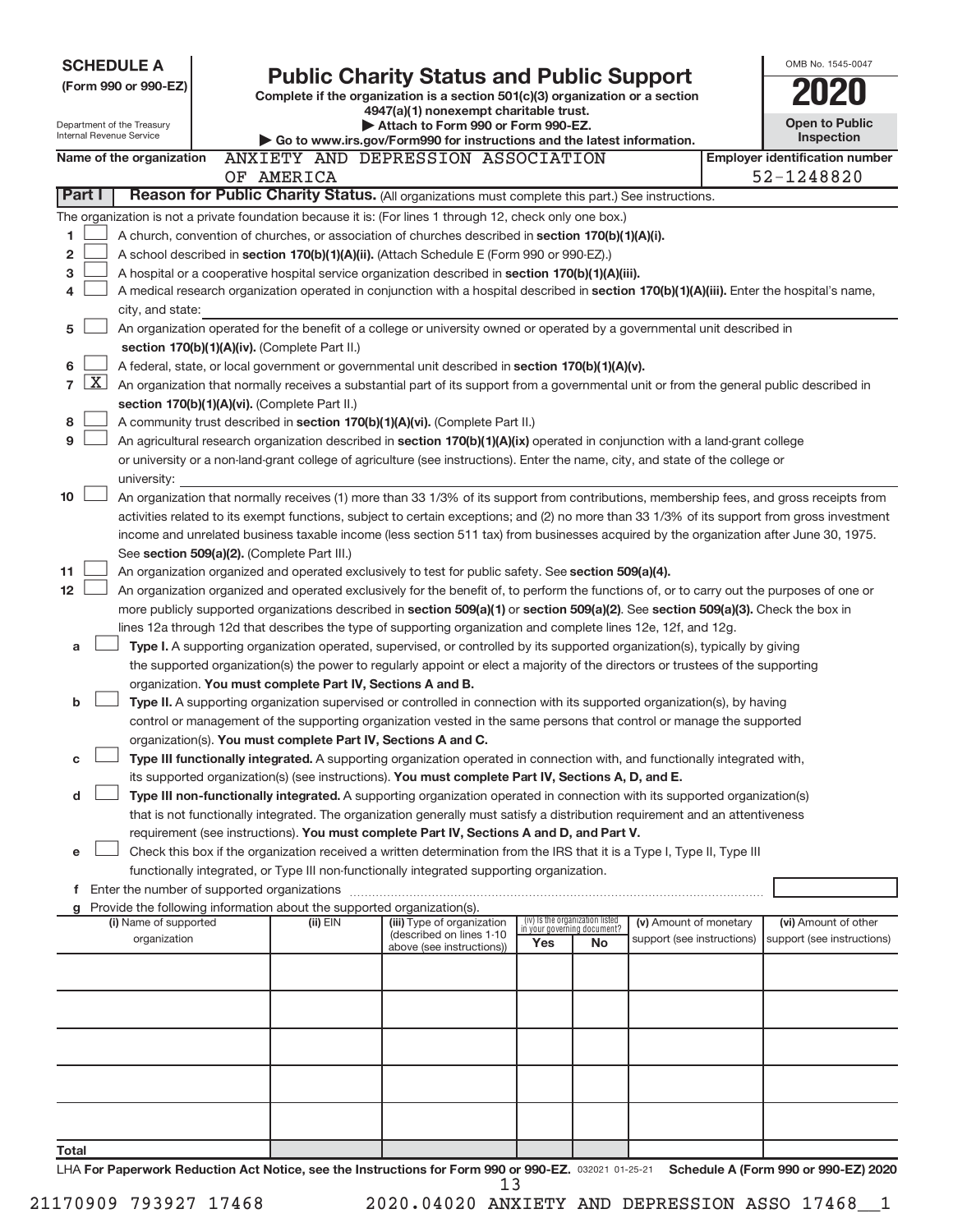|                   | <b>SCHEDULE A</b>                             |                                                            |                                                                                                                                                                                                                                                                                  |     |                                                                |                            | OMB No. 1545-0047                     |
|-------------------|-----------------------------------------------|------------------------------------------------------------|----------------------------------------------------------------------------------------------------------------------------------------------------------------------------------------------------------------------------------------------------------------------------------|-----|----------------------------------------------------------------|----------------------------|---------------------------------------|
|                   | (Form 990 or 990-EZ)                          |                                                            | <b>Public Charity Status and Public Support</b>                                                                                                                                                                                                                                  |     |                                                                |                            |                                       |
|                   |                                               |                                                            | Complete if the organization is a section 501(c)(3) organization or a section<br>4947(a)(1) nonexempt charitable trust.                                                                                                                                                          |     |                                                                |                            |                                       |
|                   | Department of the Treasury                    |                                                            | Attach to Form 990 or Form 990-EZ.                                                                                                                                                                                                                                               |     |                                                                |                            | <b>Open to Public</b>                 |
|                   | Internal Revenue Service                      |                                                            | Go to www.irs.gov/Form990 for instructions and the latest information.                                                                                                                                                                                                           |     |                                                                |                            | Inspection                            |
|                   | Name of the organization                      |                                                            | ANXIETY AND DEPRESSION ASSOCIATION                                                                                                                                                                                                                                               |     |                                                                |                            | <b>Employer identification number</b> |
|                   | Part I                                        | OF AMERICA                                                 |                                                                                                                                                                                                                                                                                  |     |                                                                |                            | 52-1248820                            |
|                   |                                               |                                                            | Reason for Public Charity Status. (All organizations must complete this part.) See instructions.                                                                                                                                                                                 |     |                                                                |                            |                                       |
|                   |                                               |                                                            | The organization is not a private foundation because it is: (For lines 1 through 12, check only one box.)                                                                                                                                                                        |     |                                                                |                            |                                       |
| 1                 |                                               |                                                            | A church, convention of churches, or association of churches described in section 170(b)(1)(A)(i).                                                                                                                                                                               |     |                                                                |                            |                                       |
| $\mathbf{2}$<br>3 |                                               |                                                            | A school described in section 170(b)(1)(A)(ii). (Attach Schedule E (Form 990 or 990-EZ).)<br>A hospital or a cooperative hospital service organization described in section 170(b)(1)(A)(iii).                                                                                   |     |                                                                |                            |                                       |
| 4                 |                                               |                                                            | A medical research organization operated in conjunction with a hospital described in section 170(b)(1)(A)(iii). Enter the hospital's name,                                                                                                                                       |     |                                                                |                            |                                       |
|                   | city, and state:                              |                                                            |                                                                                                                                                                                                                                                                                  |     |                                                                |                            |                                       |
| 5                 |                                               |                                                            | An organization operated for the benefit of a college or university owned or operated by a governmental unit described in                                                                                                                                                        |     |                                                                |                            |                                       |
|                   |                                               | section 170(b)(1)(A)(iv). (Complete Part II.)              |                                                                                                                                                                                                                                                                                  |     |                                                                |                            |                                       |
| 6                 |                                               |                                                            | A federal, state, or local government or governmental unit described in section 170(b)(1)(A)(v).                                                                                                                                                                                 |     |                                                                |                            |                                       |
| $\overline{7}$    | $\mathbf{X}$                                  |                                                            | An organization that normally receives a substantial part of its support from a governmental unit or from the general public described in                                                                                                                                        |     |                                                                |                            |                                       |
|                   |                                               | section 170(b)(1)(A)(vi). (Complete Part II.)              |                                                                                                                                                                                                                                                                                  |     |                                                                |                            |                                       |
| 8                 |                                               |                                                            | A community trust described in section 170(b)(1)(A)(vi). (Complete Part II.)                                                                                                                                                                                                     |     |                                                                |                            |                                       |
| 9                 |                                               |                                                            | An agricultural research organization described in section 170(b)(1)(A)(ix) operated in conjunction with a land-grant college                                                                                                                                                    |     |                                                                |                            |                                       |
|                   |                                               |                                                            | or university or a non-land-grant college of agriculture (see instructions). Enter the name, city, and state of the college or                                                                                                                                                   |     |                                                                |                            |                                       |
|                   | university:                                   |                                                            |                                                                                                                                                                                                                                                                                  |     |                                                                |                            |                                       |
| 10                |                                               |                                                            | An organization that normally receives (1) more than 33 1/3% of its support from contributions, membership fees, and gross receipts from                                                                                                                                         |     |                                                                |                            |                                       |
|                   |                                               |                                                            | activities related to its exempt functions, subject to certain exceptions; and (2) no more than 33 1/3% of its support from gross investment                                                                                                                                     |     |                                                                |                            |                                       |
|                   |                                               |                                                            | income and unrelated business taxable income (less section 511 tax) from businesses acquired by the organization after June 30, 1975.                                                                                                                                            |     |                                                                |                            |                                       |
|                   |                                               | See section 509(a)(2). (Complete Part III.)                |                                                                                                                                                                                                                                                                                  |     |                                                                |                            |                                       |
| 11<br>12          |                                               |                                                            | An organization organized and operated exclusively to test for public safety. See section 509(a)(4).                                                                                                                                                                             |     |                                                                |                            |                                       |
|                   |                                               |                                                            | An organization organized and operated exclusively for the benefit of, to perform the functions of, or to carry out the purposes of one or<br>more publicly supported organizations described in section 509(a)(1) or section 509(a)(2). See section 509(a)(3). Check the box in |     |                                                                |                            |                                       |
|                   |                                               |                                                            | lines 12a through 12d that describes the type of supporting organization and complete lines 12e, 12f, and 12g.                                                                                                                                                                   |     |                                                                |                            |                                       |
| a                 |                                               |                                                            | <b>Type I.</b> A supporting organization operated, supervised, or controlled by its supported organization(s), typically by giving                                                                                                                                               |     |                                                                |                            |                                       |
|                   |                                               |                                                            | the supported organization(s) the power to regularly appoint or elect a majority of the directors or trustees of the supporting                                                                                                                                                  |     |                                                                |                            |                                       |
|                   |                                               | organization. You must complete Part IV, Sections A and B. |                                                                                                                                                                                                                                                                                  |     |                                                                |                            |                                       |
| b                 |                                               |                                                            | Type II. A supporting organization supervised or controlled in connection with its supported organization(s), by having                                                                                                                                                          |     |                                                                |                            |                                       |
|                   |                                               |                                                            | control or management of the supporting organization vested in the same persons that control or manage the supported                                                                                                                                                             |     |                                                                |                            |                                       |
|                   |                                               |                                                            | organization(s). You must complete Part IV, Sections A and C.                                                                                                                                                                                                                    |     |                                                                |                            |                                       |
| С                 |                                               |                                                            | Type III functionally integrated. A supporting organization operated in connection with, and functionally integrated with,                                                                                                                                                       |     |                                                                |                            |                                       |
|                   |                                               |                                                            | its supported organization(s) (see instructions). You must complete Part IV, Sections A, D, and E.                                                                                                                                                                               |     |                                                                |                            |                                       |
| d                 |                                               |                                                            | Type III non-functionally integrated. A supporting organization operated in connection with its supported organization(s)                                                                                                                                                        |     |                                                                |                            |                                       |
|                   |                                               |                                                            | that is not functionally integrated. The organization generally must satisfy a distribution requirement and an attentiveness                                                                                                                                                     |     |                                                                |                            |                                       |
|                   |                                               |                                                            | requirement (see instructions). You must complete Part IV, Sections A and D, and Part V.<br>Check this box if the organization received a written determination from the IRS that it is a Type I, Type II, Type III                                                              |     |                                                                |                            |                                       |
| е                 |                                               |                                                            | functionally integrated, or Type III non-functionally integrated supporting organization.                                                                                                                                                                                        |     |                                                                |                            |                                       |
|                   | f Enter the number of supported organizations |                                                            |                                                                                                                                                                                                                                                                                  |     |                                                                |                            |                                       |
| g                 |                                               |                                                            | Provide the following information about the supported organization(s).                                                                                                                                                                                                           |     |                                                                |                            |                                       |
|                   | (i) Name of supported                         | $(ii)$ EIN                                                 | (iii) Type of organization                                                                                                                                                                                                                                                       |     | (iv) Is the organization listed<br>in your governing document? | (v) Amount of monetary     | (vi) Amount of other                  |
|                   | organization                                  |                                                            | (described on lines 1-10<br>above (see instructions))                                                                                                                                                                                                                            | Yes | No                                                             | support (see instructions) | support (see instructions)            |
|                   |                                               |                                                            |                                                                                                                                                                                                                                                                                  |     |                                                                |                            |                                       |
|                   |                                               |                                                            |                                                                                                                                                                                                                                                                                  |     |                                                                |                            |                                       |
|                   |                                               |                                                            |                                                                                                                                                                                                                                                                                  |     |                                                                |                            |                                       |
|                   |                                               |                                                            |                                                                                                                                                                                                                                                                                  |     |                                                                |                            |                                       |
|                   |                                               |                                                            |                                                                                                                                                                                                                                                                                  |     |                                                                |                            |                                       |
|                   |                                               |                                                            |                                                                                                                                                                                                                                                                                  |     |                                                                |                            |                                       |
|                   |                                               |                                                            |                                                                                                                                                                                                                                                                                  |     |                                                                |                            |                                       |
|                   |                                               |                                                            |                                                                                                                                                                                                                                                                                  |     |                                                                |                            |                                       |
|                   |                                               |                                                            |                                                                                                                                                                                                                                                                                  |     |                                                                |                            |                                       |
| Total             |                                               |                                                            |                                                                                                                                                                                                                                                                                  |     |                                                                |                            |                                       |
|                   |                                               |                                                            | LHA For Panerwork Reduction Act Notice, see the Instructions for Form 990 or 990-FZ, 032021 01-25-21 Schedule A (Form 990 or 990-FZ) 2020                                                                                                                                        |     |                                                                |                            |                                       |

032021 01-25-21 **For Paperwork Reduction Act Notice, see the Instructions for Form 990 or 990-EZ. Schedule A (Form 990 or 990-EZ) 2020** .HA For Pa ں مار سود ns for Form<br>13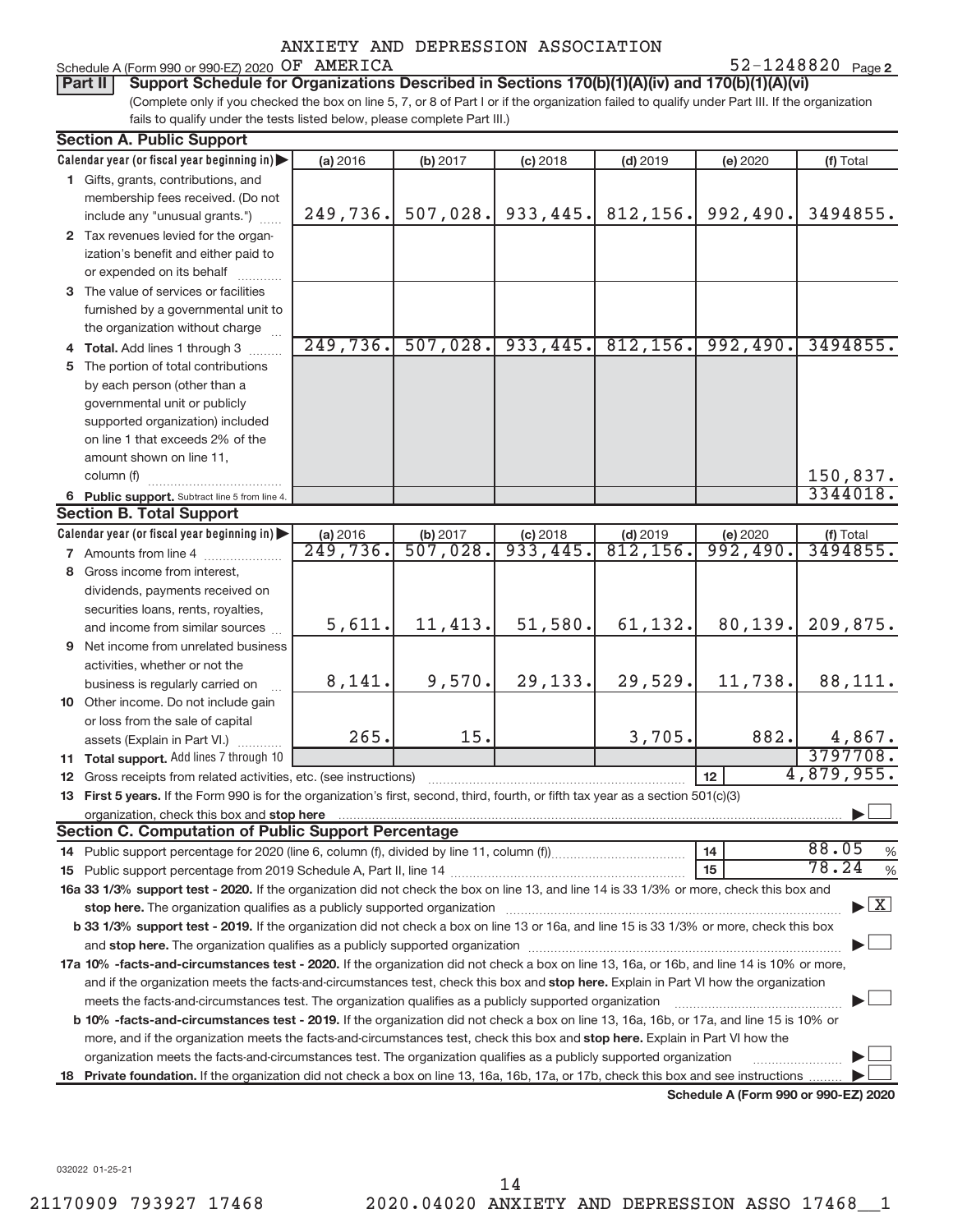#### **2** OF AMERICA 52-1248820  $_{\text{Page 2}}$ Schedule A (Form 990 or 990-EZ) 2020 OF AMERICA

(Complete only if you checked the box on line 5, 7, or 8 of Part I or if the organization failed to qualify under Part III. If the organization fails to qualify under the tests listed below, please complete Part III.) **Part II** Support Schedule for Organizations Described in Sections 170(b)(1)(A)(iv) and 170(b)(1)(A)(vi)

|    | <b>Section A. Public Support</b>                                                                                                                                                                                |                                |                         |                     |                                |                                      |                                    |
|----|-----------------------------------------------------------------------------------------------------------------------------------------------------------------------------------------------------------------|--------------------------------|-------------------------|---------------------|--------------------------------|--------------------------------------|------------------------------------|
|    | Calendar year (or fiscal year beginning in)                                                                                                                                                                     | (a) 2016                       | (b) 2017                | $(c)$ 2018          | $(d)$ 2019                     | (e) 2020                             | (f) Total                          |
|    | 1 Gifts, grants, contributions, and                                                                                                                                                                             |                                |                         |                     |                                |                                      |                                    |
|    | membership fees received. (Do not                                                                                                                                                                               |                                |                         |                     |                                |                                      |                                    |
|    | include any "unusual grants.")                                                                                                                                                                                  | 249,736.                       | 507,028.                | 933, 445.           | 812, 156.                      | 992,490.                             | 3494855.                           |
|    | 2 Tax revenues levied for the organ-                                                                                                                                                                            |                                |                         |                     |                                |                                      |                                    |
|    | ization's benefit and either paid to                                                                                                                                                                            |                                |                         |                     |                                |                                      |                                    |
|    | or expended on its behalf                                                                                                                                                                                       |                                |                         |                     |                                |                                      |                                    |
|    | 3 The value of services or facilities                                                                                                                                                                           |                                |                         |                     |                                |                                      |                                    |
|    | furnished by a governmental unit to                                                                                                                                                                             |                                |                         |                     |                                |                                      |                                    |
|    | the organization without charge                                                                                                                                                                                 |                                |                         |                     |                                |                                      |                                    |
|    | 4 Total. Add lines 1 through 3                                                                                                                                                                                  | 249,736.                       | 507,028.                | 933,445.            | 812, 156.                      | 992,490.                             | 3494855.                           |
|    | 5 The portion of total contributions                                                                                                                                                                            |                                |                         |                     |                                |                                      |                                    |
|    | by each person (other than a                                                                                                                                                                                    |                                |                         |                     |                                |                                      |                                    |
|    | governmental unit or publicly                                                                                                                                                                                   |                                |                         |                     |                                |                                      |                                    |
|    | supported organization) included                                                                                                                                                                                |                                |                         |                     |                                |                                      |                                    |
|    | on line 1 that exceeds 2% of the                                                                                                                                                                                |                                |                         |                     |                                |                                      |                                    |
|    | amount shown on line 11,                                                                                                                                                                                        |                                |                         |                     |                                |                                      |                                    |
|    | column (f)                                                                                                                                                                                                      |                                |                         |                     |                                |                                      | 150,837.                           |
|    | 6 Public support. Subtract line 5 from line 4.                                                                                                                                                                  |                                |                         |                     |                                |                                      | 3344018.                           |
|    | <b>Section B. Total Support</b>                                                                                                                                                                                 |                                |                         |                     |                                |                                      |                                    |
|    | Calendar year (or fiscal year beginning in)                                                                                                                                                                     | $\frac{$ (a) 2016<br>249, 736. | $(b)$ 2017<br>507, 028. | $\frac{c}{933,445}$ | $\frac{$ (d) 2019<br>812, 156. | $\frac{6}{992,490}$                  | $(f)$ Total<br>3494855.            |
|    | 7 Amounts from line 4                                                                                                                                                                                           |                                |                         |                     |                                |                                      |                                    |
|    | 8 Gross income from interest,                                                                                                                                                                                   |                                |                         |                     |                                |                                      |                                    |
|    | dividends, payments received on                                                                                                                                                                                 |                                |                         |                     |                                |                                      |                                    |
|    | securities loans, rents, royalties,                                                                                                                                                                             |                                |                         |                     |                                |                                      |                                    |
|    | and income from similar sources                                                                                                                                                                                 | 5,611.                         | 11,413.                 | 51,580.             | 61,132.                        | 80,139.                              | 209,875.                           |
|    | <b>9</b> Net income from unrelated business                                                                                                                                                                     |                                |                         |                     |                                |                                      |                                    |
|    | activities, whether or not the                                                                                                                                                                                  | 8,141.                         | 9,570.                  | 29,133.             | 29,529.                        | 11,738.                              | 88,111.                            |
|    | business is regularly carried on                                                                                                                                                                                |                                |                         |                     |                                |                                      |                                    |
|    | 10 Other income. Do not include gain                                                                                                                                                                            |                                |                         |                     |                                |                                      |                                    |
|    | or loss from the sale of capital                                                                                                                                                                                | 265.                           | 15.                     |                     | 3,705.                         | 882.                                 |                                    |
|    | assets (Explain in Part VI.)                                                                                                                                                                                    |                                |                         |                     |                                |                                      | 4,867.<br>3797708.                 |
|    | 11 Total support. Add lines 7 through 10                                                                                                                                                                        |                                |                         |                     |                                |                                      | 4,879,955.                         |
|    | <b>12</b> Gross receipts from related activities, etc. (see instructions)<br>13 First 5 years. If the Form 990 is for the organization's first, second, third, fourth, or fifth tax year as a section 501(c)(3) |                                |                         |                     |                                | 12                                   |                                    |
|    | organization, check this box and stop here                                                                                                                                                                      |                                |                         |                     |                                |                                      |                                    |
|    | <b>Section C. Computation of Public Support Percentage</b>                                                                                                                                                      |                                |                         |                     |                                |                                      |                                    |
|    |                                                                                                                                                                                                                 |                                |                         |                     |                                | 14                                   | 88.05<br>%                         |
|    |                                                                                                                                                                                                                 |                                |                         |                     |                                | 15                                   | 78.24<br>%                         |
|    | 16a 33 1/3% support test - 2020. If the organization did not check the box on line 13, and line 14 is 33 1/3% or more, check this box and                                                                       |                                |                         |                     |                                |                                      |                                    |
|    |                                                                                                                                                                                                                 |                                |                         |                     |                                |                                      | $\blacktriangleright$ $\mathbf{X}$ |
|    | b 33 1/3% support test - 2019. If the organization did not check a box on line 13 or 16a, and line 15 is 33 1/3% or more, check this box                                                                        |                                |                         |                     |                                |                                      |                                    |
|    |                                                                                                                                                                                                                 |                                |                         |                     |                                |                                      |                                    |
|    | 17a 10% -facts-and-circumstances test - 2020. If the organization did not check a box on line 13, 16a, or 16b, and line 14 is 10% or more,                                                                      |                                |                         |                     |                                |                                      |                                    |
|    | and if the organization meets the facts-and-circumstances test, check this box and stop here. Explain in Part VI how the organization                                                                           |                                |                         |                     |                                |                                      |                                    |
|    | meets the facts-and-circumstances test. The organization qualifies as a publicly supported organization                                                                                                         |                                |                         |                     |                                |                                      |                                    |
|    | <b>b 10%</b> -facts-and-circumstances test - 2019. If the organization did not check a box on line 13, 16a, 16b, or 17a, and line 15 is 10% or                                                                  |                                |                         |                     |                                |                                      |                                    |
|    | more, and if the organization meets the facts-and-circumstances test, check this box and <b>stop here.</b> Explain in Part VI how the                                                                           |                                |                         |                     |                                |                                      |                                    |
|    | organization meets the facts-and-circumstances test. The organization qualifies as a publicly supported organization                                                                                            |                                |                         |                     |                                |                                      |                                    |
| 18 | <b>Private foundation.</b> If the organization did not check a box on line 13, 16a, 16b, 17a, or 17b, check this box and see instructions                                                                       |                                |                         |                     |                                |                                      |                                    |
|    |                                                                                                                                                                                                                 |                                |                         |                     |                                | Schedule A (Form 990 or 990-EZ) 2020 |                                    |

**Schedule A (Form 990 or 990-EZ) 2020**

032022 01-25-21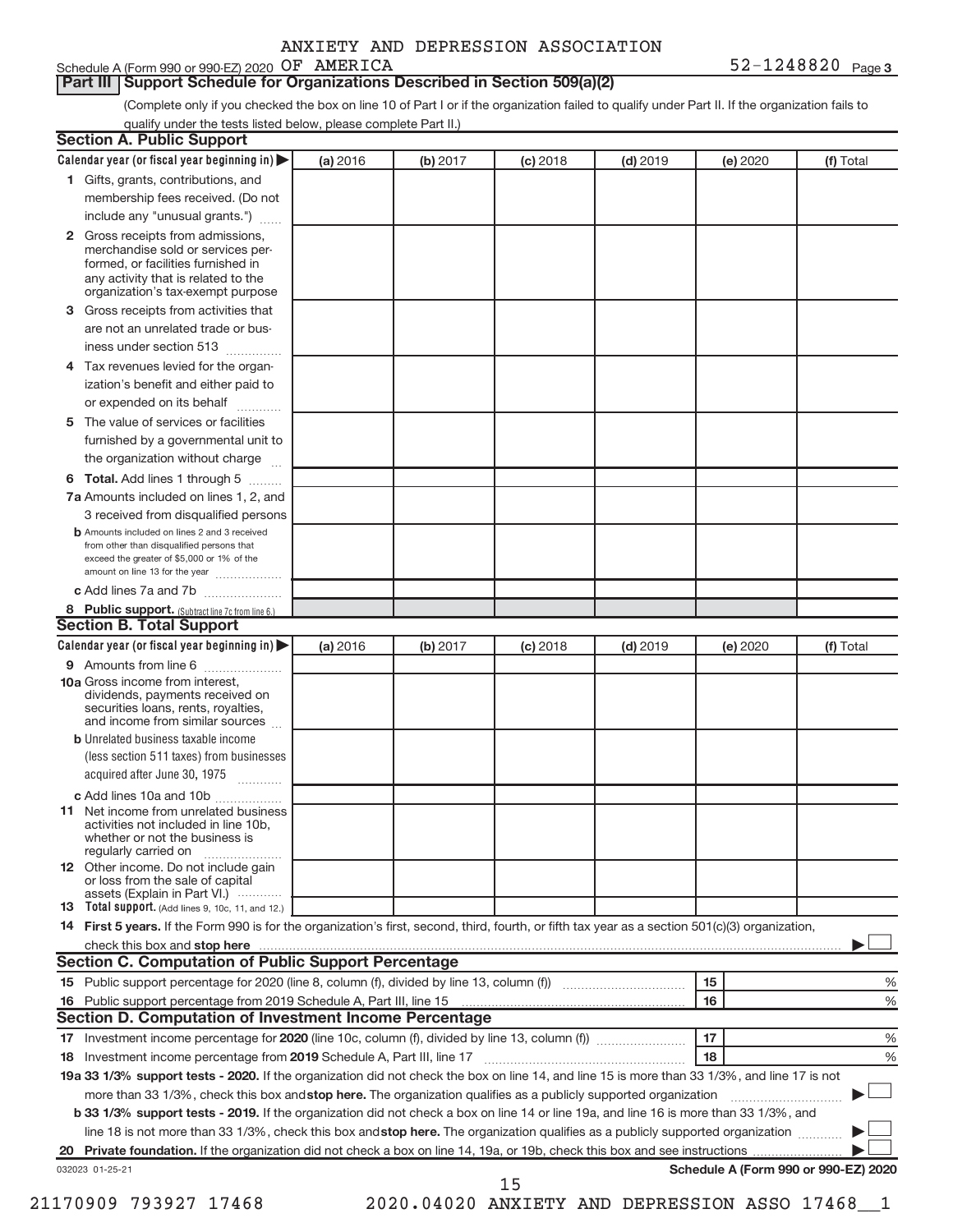# Schedule A (Form 990 or 990-EZ) 2020 OF AMERICA

#### **Part III | Support Schedule for Organizations Described in Section 509(a)(2)**

(Complete only if you checked the box on line 10 of Part I or if the organization failed to qualify under Part II. If the organization fails to qualify under the tests listed below, please complete Part II.)

| <b>Section A. Public Support</b>                                                                                                                                                         |          |          |                 |            |          |                                      |
|------------------------------------------------------------------------------------------------------------------------------------------------------------------------------------------|----------|----------|-----------------|------------|----------|--------------------------------------|
| Calendar year (or fiscal year beginning in)                                                                                                                                              | (a) 2016 | (b) 2017 | $(c)$ 2018      | $(d)$ 2019 | (e) 2020 | (f) Total                            |
| 1 Gifts, grants, contributions, and                                                                                                                                                      |          |          |                 |            |          |                                      |
| membership fees received. (Do not                                                                                                                                                        |          |          |                 |            |          |                                      |
| include any "unusual grants.")                                                                                                                                                           |          |          |                 |            |          |                                      |
| 2 Gross receipts from admissions,<br>merchandise sold or services per-<br>formed, or facilities furnished in<br>any activity that is related to the<br>organization's tax-exempt purpose |          |          |                 |            |          |                                      |
| 3 Gross receipts from activities that                                                                                                                                                    |          |          |                 |            |          |                                      |
| are not an unrelated trade or bus-                                                                                                                                                       |          |          |                 |            |          |                                      |
| iness under section 513                                                                                                                                                                  |          |          |                 |            |          |                                      |
| 4 Tax revenues levied for the organ-                                                                                                                                                     |          |          |                 |            |          |                                      |
| ization's benefit and either paid to                                                                                                                                                     |          |          |                 |            |          |                                      |
| or expended on its behalf                                                                                                                                                                |          |          |                 |            |          |                                      |
| 5 The value of services or facilities                                                                                                                                                    |          |          |                 |            |          |                                      |
| furnished by a governmental unit to                                                                                                                                                      |          |          |                 |            |          |                                      |
| the organization without charge                                                                                                                                                          |          |          |                 |            |          |                                      |
| 6 Total. Add lines 1 through 5                                                                                                                                                           |          |          |                 |            |          |                                      |
| 7a Amounts included on lines 1, 2, and                                                                                                                                                   |          |          |                 |            |          |                                      |
| 3 received from disqualified persons                                                                                                                                                     |          |          |                 |            |          |                                      |
| <b>b</b> Amounts included on lines 2 and 3 received<br>from other than disqualified persons that<br>exceed the greater of \$5,000 or 1% of the<br>amount on line 13 for the year         |          |          |                 |            |          |                                      |
| c Add lines 7a and 7b                                                                                                                                                                    |          |          |                 |            |          |                                      |
| 8 Public support. (Subtract line 7c from line 6.)                                                                                                                                        |          |          |                 |            |          |                                      |
| <b>Section B. Total Support</b>                                                                                                                                                          |          |          |                 |            |          |                                      |
| Calendar year (or fiscal year beginning in)                                                                                                                                              | (a) 2016 | (b) 2017 | <b>(c)</b> 2018 | $(d)$ 2019 | (e) 2020 | (f) Total                            |
| 9 Amounts from line 6                                                                                                                                                                    |          |          |                 |            |          |                                      |
| <b>10a</b> Gross income from interest,<br>dividends, payments received on<br>securities loans, rents, royalties,<br>and income from similar sources                                      |          |          |                 |            |          |                                      |
| <b>b</b> Unrelated business taxable income                                                                                                                                               |          |          |                 |            |          |                                      |
| (less section 511 taxes) from businesses                                                                                                                                                 |          |          |                 |            |          |                                      |
| acquired after June 30, 1975                                                                                                                                                             |          |          |                 |            |          |                                      |
| c Add lines 10a and 10b                                                                                                                                                                  |          |          |                 |            |          |                                      |
| <b>11</b> Net income from unrelated business<br>activities not included in line 10b,<br>whether or not the business is<br>regularly carried on                                           |          |          |                 |            |          |                                      |
| 12 Other income. Do not include gain<br>or loss from the sale of capital<br>assets (Explain in Part VI.)                                                                                 |          |          |                 |            |          |                                      |
| <b>13</b> Total support. (Add lines 9, 10c, 11, and 12.)                                                                                                                                 |          |          |                 |            |          |                                      |
| 14 First 5 years. If the Form 990 is for the organization's first, second, third, fourth, or fifth tax year as a section 501(c)(3) organization,                                         |          |          |                 |            |          |                                      |
|                                                                                                                                                                                          |          |          |                 |            |          |                                      |
| <b>Section C. Computation of Public Support Percentage</b>                                                                                                                               |          |          |                 |            |          |                                      |
|                                                                                                                                                                                          |          |          |                 |            | 15       | %                                    |
| 16 Public support percentage from 2019 Schedule A, Part III, line 15                                                                                                                     |          |          |                 |            | 16       | %                                    |
| Section D. Computation of Investment Income Percentage                                                                                                                                   |          |          |                 |            |          |                                      |
|                                                                                                                                                                                          |          |          |                 |            | 17       | %                                    |
| 18 Investment income percentage from 2019 Schedule A, Part III, line 17                                                                                                                  |          |          |                 |            | 18       | %                                    |
| 19a 33 1/3% support tests - 2020. If the organization did not check the box on line 14, and line 15 is more than 33 1/3%, and line 17 is not                                             |          |          |                 |            |          |                                      |
| more than 33 1/3%, check this box and stop here. The organization qualifies as a publicly supported organization                                                                         |          |          |                 |            |          |                                      |
| b 33 1/3% support tests - 2019. If the organization did not check a box on line 14 or line 19a, and line 16 is more than 33 1/3%, and                                                    |          |          |                 |            |          |                                      |
| line 18 is not more than 33 1/3%, check this box and stop here. The organization qualifies as a publicly supported organization                                                          |          |          |                 |            |          |                                      |
|                                                                                                                                                                                          |          |          |                 |            |          |                                      |
| 032023 01-25-21                                                                                                                                                                          |          |          |                 |            |          | Schedule A (Form 990 or 990-EZ) 2020 |
|                                                                                                                                                                                          |          |          | 15              |            |          |                                      |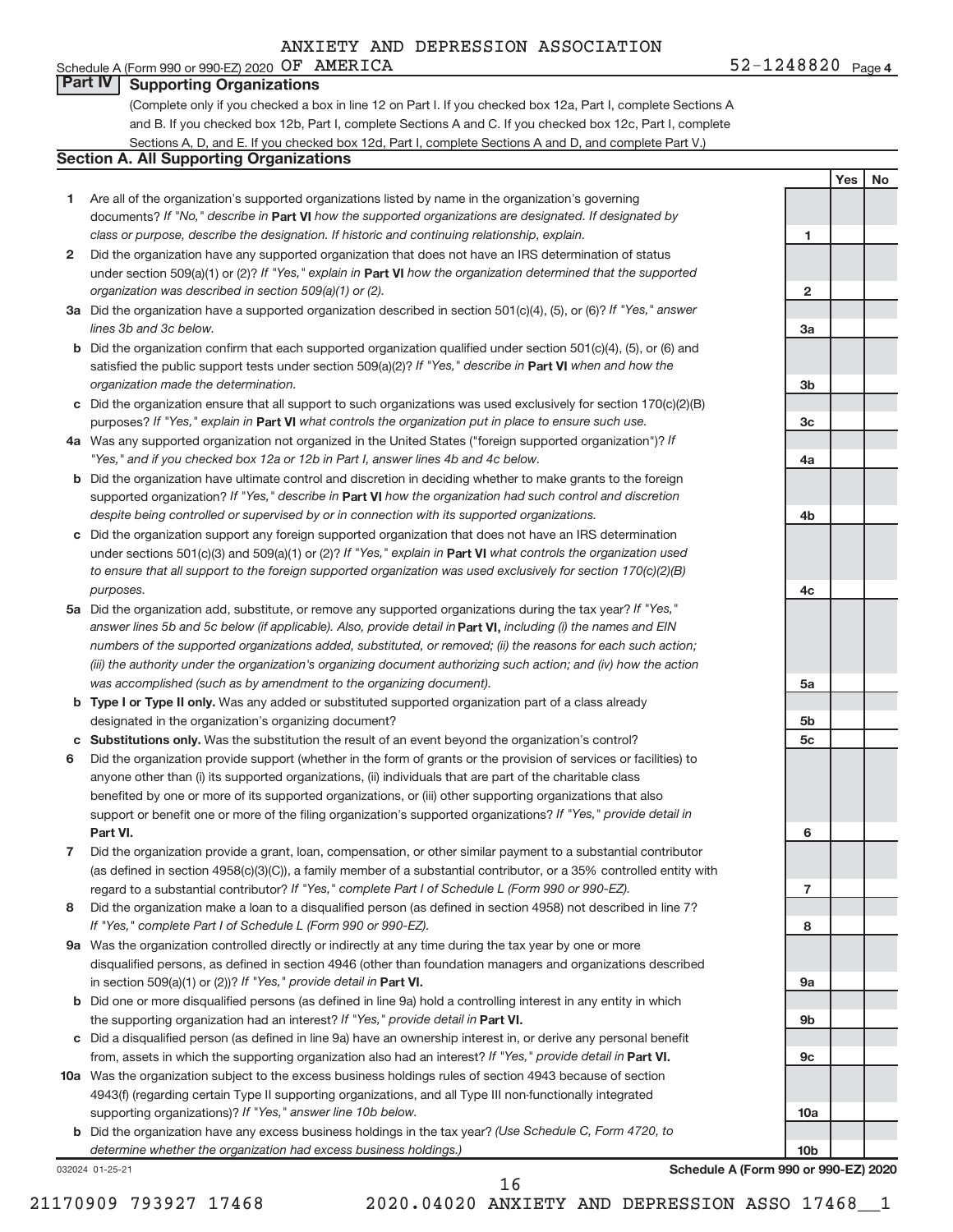# **Part IV Supporting Organizations**

(Complete only if you checked a box in line 12 on Part I. If you checked box 12a, Part I, complete Sections A and B. If you checked box 12b, Part I, complete Sections A and C. If you checked box 12c, Part I, complete Sections A, D, and E. If you checked box 12d, Part I, complete Sections A and D, and complete Part V.)

# **Section A. All Supporting Organizations**

- **1** Are all of the organization's supported organizations listed by name in the organization's governing documents? If "No," describe in Part VI how the supported organizations are designated. If designated by *class or purpose, describe the designation. If historic and continuing relationship, explain.*
- **2** Did the organization have any supported organization that does not have an IRS determination of status under section 509(a)(1) or (2)? If "Yes," explain in Part **VI** how the organization determined that the supported *organization was described in section 509(a)(1) or (2).*
- **3a** Did the organization have a supported organization described in section 501(c)(4), (5), or (6)? If "Yes," answer *lines 3b and 3c below.*
- **b** Did the organization confirm that each supported organization qualified under section 501(c)(4), (5), or (6) and satisfied the public support tests under section 509(a)(2)? If "Yes," describe in Part VI when and how the *organization made the determination.*
- **c** Did the organization ensure that all support to such organizations was used exclusively for section 170(c)(2)(B) purposes? If "Yes," explain in Part VI what controls the organization put in place to ensure such use.
- **4 a** *If* Was any supported organization not organized in the United States ("foreign supported organization")? *"Yes," and if you checked box 12a or 12b in Part I, answer lines 4b and 4c below.*
- **b** Did the organization have ultimate control and discretion in deciding whether to make grants to the foreign supported organization? If "Yes," describe in Part VI how the organization had such control and discretion *despite being controlled or supervised by or in connection with its supported organizations.*
- **c** Did the organization support any foreign supported organization that does not have an IRS determination under sections 501(c)(3) and 509(a)(1) or (2)? If "Yes," explain in Part VI what controls the organization used *to ensure that all support to the foreign supported organization was used exclusively for section 170(c)(2)(B) purposes.*
- **5a** Did the organization add, substitute, or remove any supported organizations during the tax year? If "Yes," answer lines 5b and 5c below (if applicable). Also, provide detail in **Part VI,** including (i) the names and EIN *numbers of the supported organizations added, substituted, or removed; (ii) the reasons for each such action; (iii) the authority under the organization's organizing document authorizing such action; and (iv) how the action was accomplished (such as by amendment to the organizing document).*
- **b** Type I or Type II only. Was any added or substituted supported organization part of a class already designated in the organization's organizing document?
- **c Substitutions only.**  Was the substitution the result of an event beyond the organization's control?
- **6** Did the organization provide support (whether in the form of grants or the provision of services or facilities) to **Part VI.** support or benefit one or more of the filing organization's supported organizations? If "Yes," provide detail in anyone other than (i) its supported organizations, (ii) individuals that are part of the charitable class benefited by one or more of its supported organizations, or (iii) other supporting organizations that also
- **7** Did the organization provide a grant, loan, compensation, or other similar payment to a substantial contributor regard to a substantial contributor? If "Yes," complete Part I of Schedule L (Form 990 or 990-EZ). (as defined in section 4958(c)(3)(C)), a family member of a substantial contributor, or a 35% controlled entity with
- **8** Did the organization make a loan to a disqualified person (as defined in section 4958) not described in line 7? *If "Yes," complete Part I of Schedule L (Form 990 or 990-EZ).*
- **9 a** Was the organization controlled directly or indirectly at any time during the tax year by one or more in section 509(a)(1) or (2))? If "Yes," provide detail in **Part VI.** disqualified persons, as defined in section 4946 (other than foundation managers and organizations described
- **b** Did one or more disqualified persons (as defined in line 9a) hold a controlling interest in any entity in which the supporting organization had an interest? If "Yes," provide detail in Part VI.
- **c** Did a disqualified person (as defined in line 9a) have an ownership interest in, or derive any personal benefit from, assets in which the supporting organization also had an interest? If "Yes," provide detail in Part VI.
- **10 a** Was the organization subject to the excess business holdings rules of section 4943 because of section supporting organizations)? If "Yes," answer line 10b below. 4943(f) (regarding certain Type II supporting organizations, and all Type III non-functionally integrated
	- **b** Did the organization have any excess business holdings in the tax year? (Use Schedule C, Form 4720, to *determine whether the organization had excess business holdings.)*

032024 01-25-21

**5a 5b 5c 6 7 8 9a 9b 9c 10a 10b Schedule A (Form 990 or 990-EZ) 2020**

16

**1**

**2**

**3a**

**3b**

**3c**

**4a**

**4b**

**4c**

**Yes No**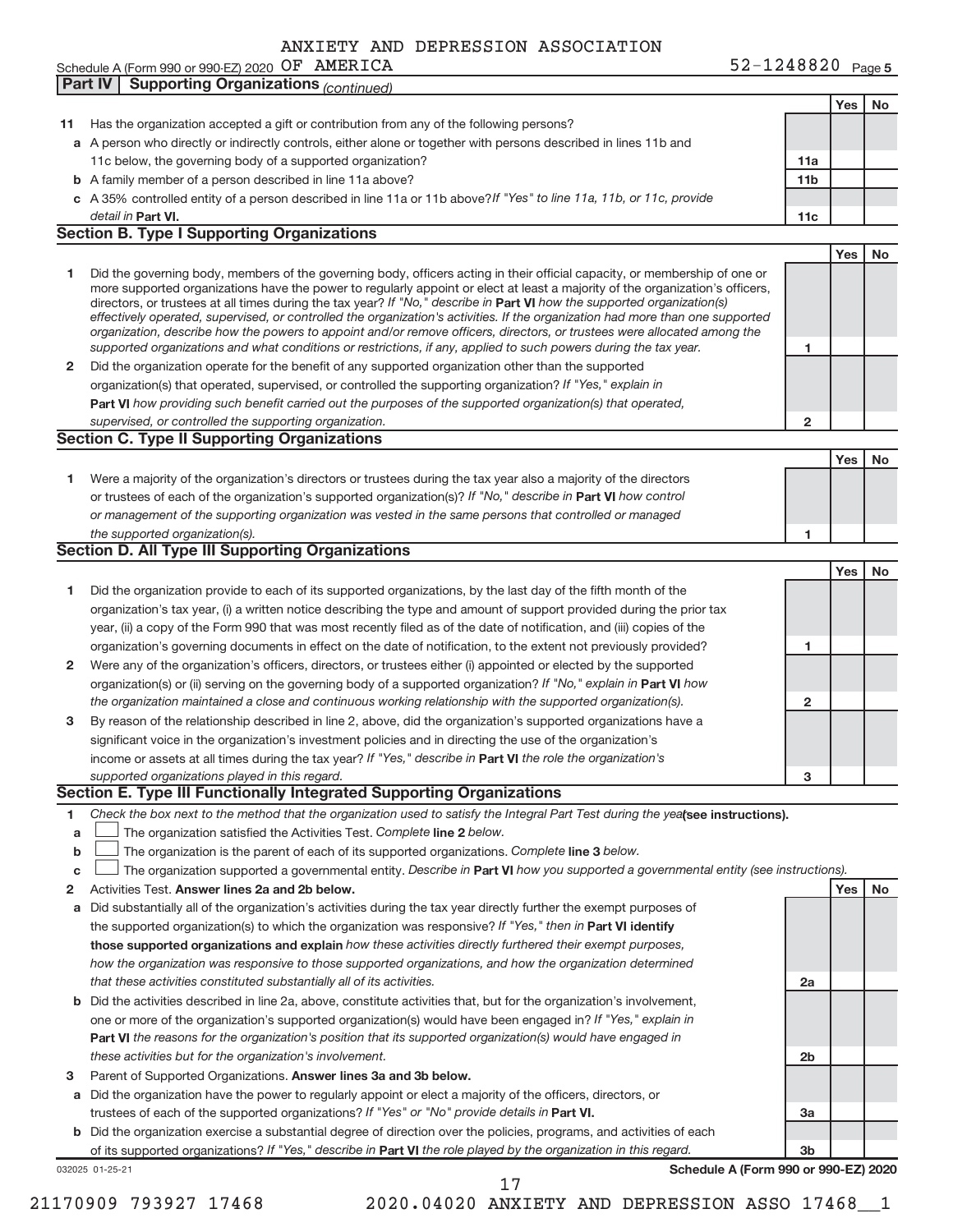Yes | No **11** Has the organization accepted a gift or contribution from any of the following persons? **a** A person who directly or indirectly controls, either alone or together with persons described in lines 11b and **b** A family member of a person described in line 11a above? **c** *If "Yes" to line 11a, 11b, or 11c, provide* A 35% controlled entity of a person described in line 11a or 11b above? **11a 11b Part VI. 11c Yes No 1** Did the governing body, members of the governing body, officers acting in their official capacity, or membership of one or **2** Did the organization operate for the benefit of any supported organization other than the supported directors, or trustees at all times during the tax year? If "No," describe in Part VI how the supported organization(s) **1 2 Part VI**  *how providing such benefit carried out the purposes of the supported organization(s) that operated,* **Yes No 1** Were a majority of the organization's directors or trustees during the tax year also a majority of the directors or trustees of each of the organization's supported organization(s)? If "No," describe in Part VI how control **1** Yes | No **1** Did the organization provide to each of its supported organizations, by the last day of the fifth month of the **2** Were any of the organization's officers, directors, or trustees either (i) appointed or elected by the supported **3** By reason of the relationship described in line 2, above, did the organization's supported organizations have a **1 2 3** organization(s) or (ii) serving on the governing body of a supported organization? If "No," explain in Part VI how income or assets at all times during the tax year? If "Yes," describe in Part VI the role the organization's **1 2 Answer lines 2a and 2b below. Yes No** Activities Test. 3 Parent of Supported Organizations. Answer lines 3a and 3b below. Check the box next to the method that the organization used to satisfy the Integral Part Test during the yealsee instructions). **a b c line organization satisfied the Activities Test. Complete line 2 below.** The organization is the parent of each of its supported organizations. Complete line 3 below. The organization supported a governmental entity. Describe in Part VI how you supported a governmental entity (see instructions). **a** Did substantially all of the organization's activities during the tax year directly further the exempt purposes of **b** Did the activities described in line 2a, above, constitute activities that, but for the organization's involvement, **a** Did the organization have the power to regularly appoint or elect a majority of the officers, directors, or **b** Did the organization exercise a substantial degree of direction over the policies, programs, and activities of each the supported organization(s) to which the organization was responsive? If "Yes," then in Part VI identify **those supported organizations and explain**  *how these activities directly furthered their exempt purposes,* **2a 2b 3a 3b Part VI**  *the reasons for the organization's position that its supported organization(s) would have engaged in* trustees of each of the supported organizations? If "Yes" or "No" provide details in Part VI. of its supported organizations? If "Yes," describe in Part VI the role played by the organization in this regard. detail in Part VI. *effectively operated, supervised, or controlled the organization's activities. If the organization had more than one supported organization, describe how the powers to appoint and/or remove officers, directors, or trustees were allocated among the supported organizations and what conditions or restrictions, if any, applied to such powers during the tax year.* organization(s) that operated, supervised, or controlled the supporting organization? If "Yes," explain in *supervised, or controlled the supporting organization. or management of the supporting organization was vested in the same persons that controlled or managed the supported organization(s). the organization maintained a close and continuous working relationship with the supported organization(s). supported organizations played in this regard. how the organization was responsive to those supported organizations, and how the organization determined that these activities constituted substantially all of its activities.* one or more of the organization's supported organization(s) would have been engaged in? If "Yes," explain in *these activities but for the organization's involvement.* Schedule A (Form 990 or 990-EZ) 2020  $OF$   $AMERICA$  52-1248820  $Page$ 11c below, the governing body of a supported organization? more supported organizations have the power to regularly appoint or elect at least a majority of the organization's officers, organization's tax year, (i) a written notice describing the type and amount of support provided during the prior tax year, (ii) a copy of the Form 990 that was most recently filed as of the date of notification, and (iii) copies of the organization's governing documents in effect on the date of notification, to the extent not previously provided? significant voice in the organization's investment policies and in directing the use of the organization's **Part IV | Supporting Organizations** *(continued)* **Section B. Type I Supporting Organizations Section C. Type II Supporting Organizations Section D. All Type III Supporting Organizations Section E. Type III Functionally Integrated Supporting Organizations**  $\begin{array}{c} \hline \end{array}$  $\begin{array}{c} \hline \end{array}$ 

032025 01-25-21

**Schedule A (Form 990 or 990-EZ) 2020**

52-1248820 <sub>Page 5</sub>

17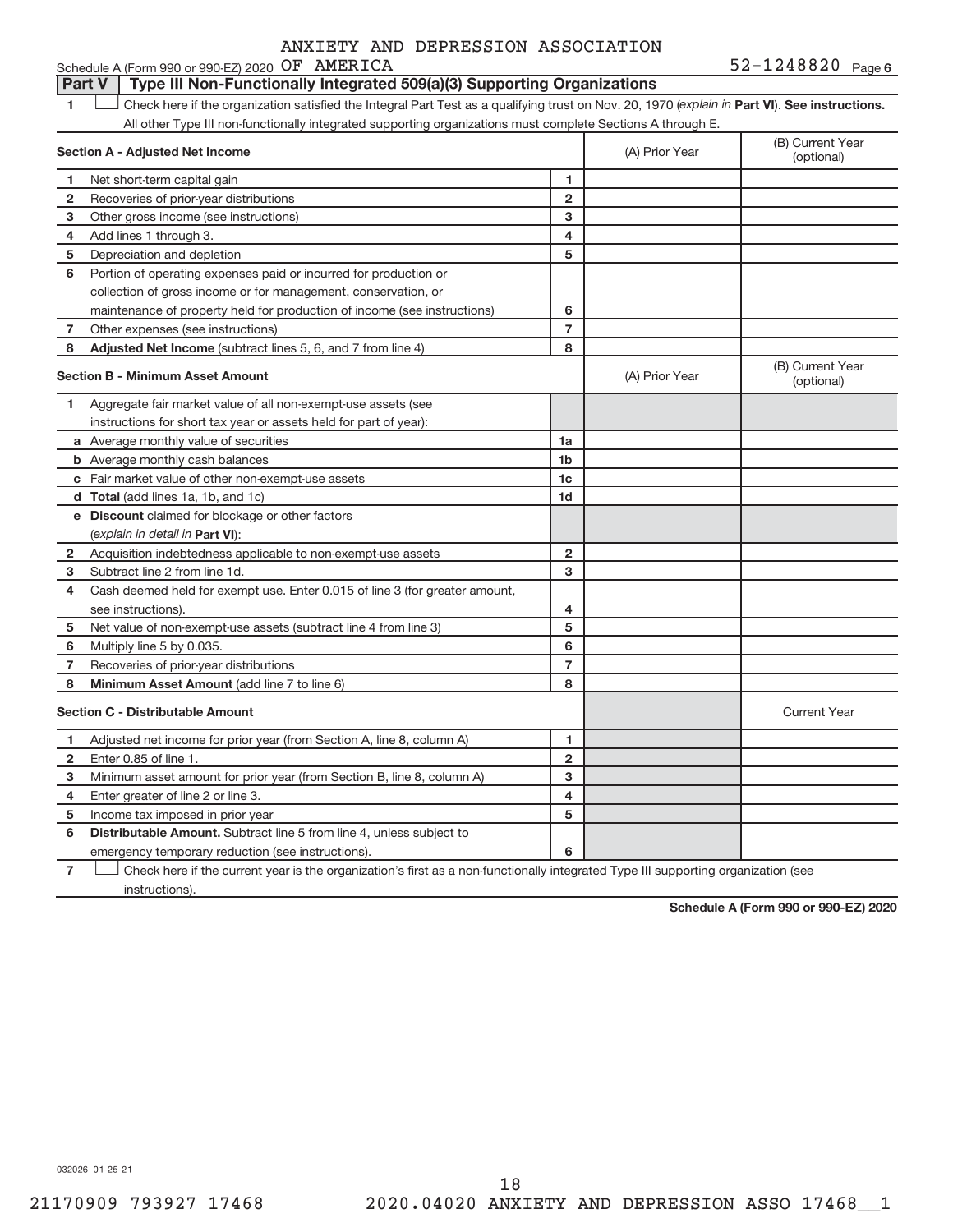#### Schedule A (Form 990 or 990-EZ) 2020 OF AMERICA **Part V** | Type III Non-Functionally Integrated 509(a)(3) Supporting Organizations

1 **Luck Liet also here if the organization satisfied the Integral Part Test as a qualifying trust on Nov. 20, 1970 (***explain in* **Part <b>VI**). See instructions. All other Type III non-functionally integrated supporting organizations must complete Sections A through E.

|                                         | Section A - Adjusted Net Income                                             | (A) Prior Year | (B) Current Year<br>(optional) |                                |
|-----------------------------------------|-----------------------------------------------------------------------------|----------------|--------------------------------|--------------------------------|
| 1                                       | Net short-term capital gain                                                 | 1              |                                |                                |
| 2                                       | Recoveries of prior-year distributions                                      | $\overline{2}$ |                                |                                |
| 3                                       | Other gross income (see instructions)                                       | 3              |                                |                                |
| 4                                       | Add lines 1 through 3.                                                      | 4              |                                |                                |
| 5                                       | Depreciation and depletion                                                  | 5              |                                |                                |
| 6                                       | Portion of operating expenses paid or incurred for production or            |                |                                |                                |
|                                         | collection of gross income or for management, conservation, or              |                |                                |                                |
|                                         | maintenance of property held for production of income (see instructions)    | 6              |                                |                                |
| 7                                       | Other expenses (see instructions)                                           | $\overline{7}$ |                                |                                |
| 8                                       | Adjusted Net Income (subtract lines 5, 6, and 7 from line 4)                | 8              |                                |                                |
| <b>Section B - Minimum Asset Amount</b> |                                                                             |                | (A) Prior Year                 | (B) Current Year<br>(optional) |
| 1.                                      | Aggregate fair market value of all non-exempt-use assets (see               |                |                                |                                |
|                                         | instructions for short tax year or assets held for part of year):           |                |                                |                                |
|                                         | a Average monthly value of securities                                       | 1a             |                                |                                |
|                                         | <b>b</b> Average monthly cash balances                                      | 1 <sub>b</sub> |                                |                                |
|                                         | c Fair market value of other non-exempt-use assets                          | 1c             |                                |                                |
|                                         | d Total (add lines 1a, 1b, and 1c)                                          | 1 <sub>d</sub> |                                |                                |
|                                         | e Discount claimed for blockage or other factors                            |                |                                |                                |
|                                         | (explain in detail in Part VI):                                             |                |                                |                                |
| $\mathbf{2}$                            | Acquisition indebtedness applicable to non-exempt-use assets                | $\overline{2}$ |                                |                                |
| з                                       | Subtract line 2 from line 1d.                                               | 3              |                                |                                |
| 4                                       | Cash deemed held for exempt use. Enter 0.015 of line 3 (for greater amount, |                |                                |                                |
|                                         | see instructions)                                                           | 4              |                                |                                |
| 5                                       | Net value of non-exempt-use assets (subtract line 4 from line 3)            | 5              |                                |                                |
| 6                                       | Multiply line 5 by 0.035.                                                   | 6              |                                |                                |
| 7                                       | Recoveries of prior-year distributions                                      | $\overline{7}$ |                                |                                |
| 8                                       | Minimum Asset Amount (add line 7 to line 6)                                 | 8              |                                |                                |
| <b>Section C - Distributable Amount</b> |                                                                             |                |                                | <b>Current Year</b>            |
| 1                                       | Adjusted net income for prior year (from Section A, line 8, column A)       | 1              |                                |                                |
| $\mathbf{2}$                            | Enter 0.85 of line 1.                                                       | $\overline{2}$ |                                |                                |
| 3                                       | Minimum asset amount for prior year (from Section B, line 8, column A)      | 3              |                                |                                |
| 4                                       | Enter greater of line 2 or line 3.                                          | 4              |                                |                                |
| 5                                       | Income tax imposed in prior year                                            | 5              |                                |                                |
| 6                                       | Distributable Amount. Subtract line 5 from line 4, unless subject to        |                |                                |                                |
|                                         | emergency temporary reduction (see instructions).                           | 6              |                                |                                |
|                                         |                                                                             |                |                                |                                |

**7** Check here if the current year is the organization's first as a non-functionally integrated Type III supporting organization (see instructions).

**Schedule A (Form 990 or 990-EZ) 2020**

032026 01-25-21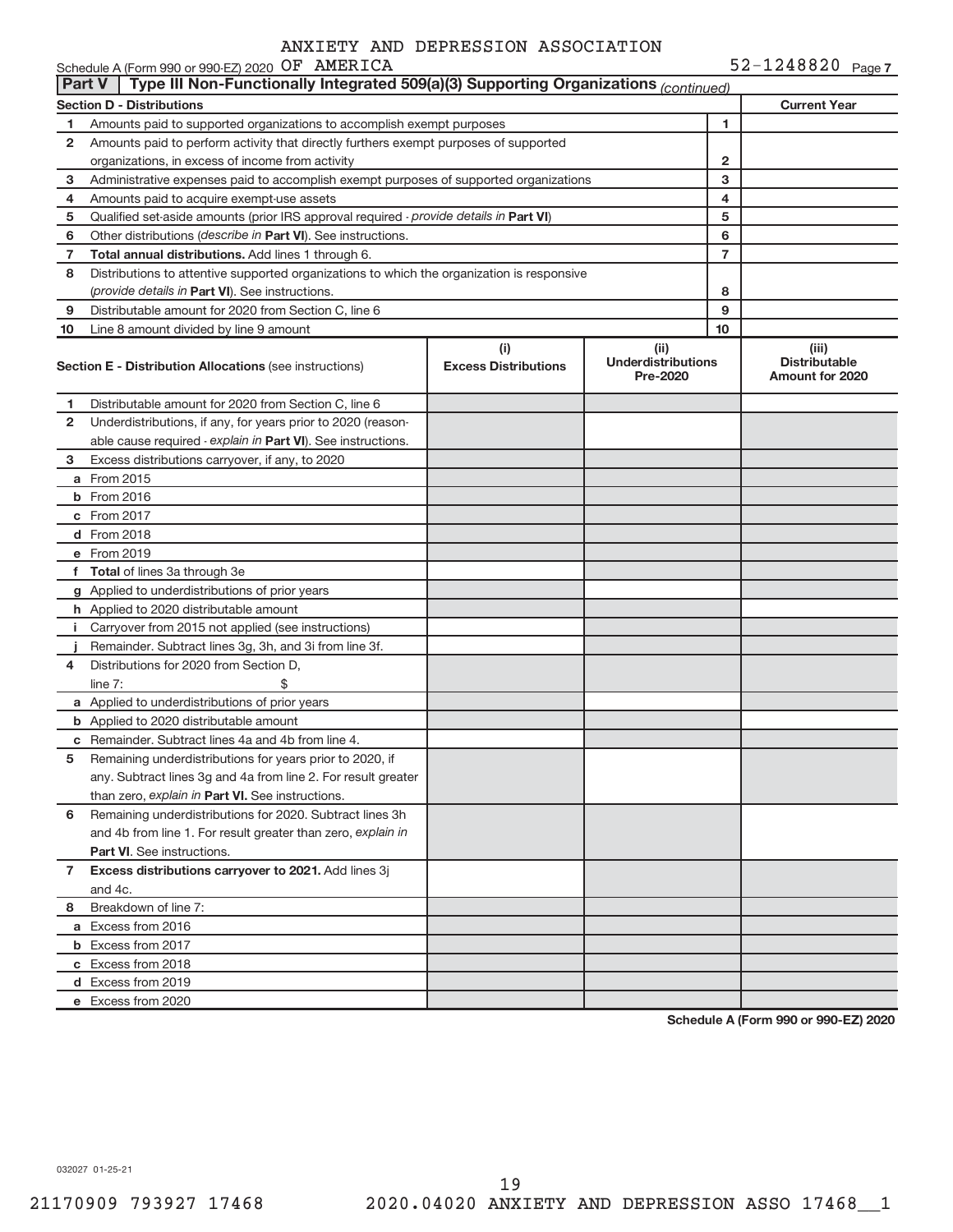|    | $52 - 1248820$ Page 7<br>Schedule A (Form 990 or 990-EZ) 2020 OF AMERICA                             |                                    |                                               |    |                                                         |  |  |  |  |
|----|------------------------------------------------------------------------------------------------------|------------------------------------|-----------------------------------------------|----|---------------------------------------------------------|--|--|--|--|
|    | Type III Non-Functionally Integrated 509(a)(3) Supporting Organizations (continued)<br><b>Part V</b> |                                    |                                               |    |                                                         |  |  |  |  |
|    | <b>Section D - Distributions</b>                                                                     |                                    |                                               |    | <b>Current Year</b>                                     |  |  |  |  |
| 1  | Amounts paid to supported organizations to accomplish exempt purposes                                |                                    |                                               | 1  |                                                         |  |  |  |  |
| 2  | Amounts paid to perform activity that directly furthers exempt purposes of supported                 |                                    |                                               |    |                                                         |  |  |  |  |
|    | organizations, in excess of income from activity                                                     |                                    | 2                                             |    |                                                         |  |  |  |  |
| 3  | Administrative expenses paid to accomplish exempt purposes of supported organizations                |                                    |                                               | 3  |                                                         |  |  |  |  |
| 4  | Amounts paid to acquire exempt-use assets                                                            |                                    |                                               | 4  |                                                         |  |  |  |  |
| 5  | Qualified set-aside amounts (prior IRS approval required - provide details in Part VI)               |                                    |                                               | 5  |                                                         |  |  |  |  |
| 6  | Other distributions ( <i>describe in Part VI</i> ). See instructions.                                |                                    |                                               | 6  |                                                         |  |  |  |  |
| 7  | Total annual distributions. Add lines 1 through 6.                                                   |                                    |                                               | 7  |                                                         |  |  |  |  |
| 8  | Distributions to attentive supported organizations to which the organization is responsive           |                                    |                                               |    |                                                         |  |  |  |  |
|    | (provide details in Part VI). See instructions.                                                      |                                    |                                               | 8  |                                                         |  |  |  |  |
| 9  | Distributable amount for 2020 from Section C, line 6                                                 |                                    |                                               | 9  |                                                         |  |  |  |  |
| 10 | Line 8 amount divided by line 9 amount                                                               |                                    |                                               | 10 |                                                         |  |  |  |  |
|    | <b>Section E - Distribution Allocations (see instructions)</b>                                       | (i)<br><b>Excess Distributions</b> | (ii)<br><b>Underdistributions</b><br>Pre-2020 |    | (iii)<br><b>Distributable</b><br><b>Amount for 2020</b> |  |  |  |  |
| 1  | Distributable amount for 2020 from Section C, line 6                                                 |                                    |                                               |    |                                                         |  |  |  |  |
| 2  | Underdistributions, if any, for years prior to 2020 (reason-                                         |                                    |                                               |    |                                                         |  |  |  |  |
|    | able cause required - explain in Part VI). See instructions.                                         |                                    |                                               |    |                                                         |  |  |  |  |
| 3  | Excess distributions carryover, if any, to 2020                                                      |                                    |                                               |    |                                                         |  |  |  |  |
|    | a From 2015                                                                                          |                                    |                                               |    |                                                         |  |  |  |  |
|    | <b>b</b> From 2016                                                                                   |                                    |                                               |    |                                                         |  |  |  |  |
|    | c From 2017                                                                                          |                                    |                                               |    |                                                         |  |  |  |  |
|    | d From 2018                                                                                          |                                    |                                               |    |                                                         |  |  |  |  |
|    | e From 2019                                                                                          |                                    |                                               |    |                                                         |  |  |  |  |
|    | f Total of lines 3a through 3e                                                                       |                                    |                                               |    |                                                         |  |  |  |  |
|    | g Applied to underdistributions of prior years                                                       |                                    |                                               |    |                                                         |  |  |  |  |
|    | <b>h</b> Applied to 2020 distributable amount                                                        |                                    |                                               |    |                                                         |  |  |  |  |
| Ť. | Carryover from 2015 not applied (see instructions)                                                   |                                    |                                               |    |                                                         |  |  |  |  |
|    | Remainder. Subtract lines 3g, 3h, and 3i from line 3f.                                               |                                    |                                               |    |                                                         |  |  |  |  |
| 4  | Distributions for 2020 from Section D,                                                               |                                    |                                               |    |                                                         |  |  |  |  |
|    | line $7:$                                                                                            |                                    |                                               |    |                                                         |  |  |  |  |
|    | a Applied to underdistributions of prior years                                                       |                                    |                                               |    |                                                         |  |  |  |  |
|    | <b>b</b> Applied to 2020 distributable amount                                                        |                                    |                                               |    |                                                         |  |  |  |  |
|    | <b>c</b> Remainder. Subtract lines 4a and 4b from line 4.                                            |                                    |                                               |    |                                                         |  |  |  |  |
|    | Remaining underdistributions for years prior to 2020, if                                             |                                    |                                               |    |                                                         |  |  |  |  |
|    | any. Subtract lines 3g and 4a from line 2. For result greater                                        |                                    |                                               |    |                                                         |  |  |  |  |
|    | than zero, explain in Part VI. See instructions.                                                     |                                    |                                               |    |                                                         |  |  |  |  |
| 6  | Remaining underdistributions for 2020. Subtract lines 3h                                             |                                    |                                               |    |                                                         |  |  |  |  |
|    | and 4b from line 1. For result greater than zero, explain in                                         |                                    |                                               |    |                                                         |  |  |  |  |
|    | <b>Part VI.</b> See instructions.                                                                    |                                    |                                               |    |                                                         |  |  |  |  |
| 7  | Excess distributions carryover to 2021. Add lines 3j                                                 |                                    |                                               |    |                                                         |  |  |  |  |
|    | and 4c.                                                                                              |                                    |                                               |    |                                                         |  |  |  |  |
| 8. | Breakdown of line 7:                                                                                 |                                    |                                               |    |                                                         |  |  |  |  |
|    | a Excess from 2016                                                                                   |                                    |                                               |    |                                                         |  |  |  |  |
|    | <b>b</b> Excess from 2017                                                                            |                                    |                                               |    |                                                         |  |  |  |  |
|    | c Excess from 2018                                                                                   |                                    |                                               |    |                                                         |  |  |  |  |
|    | d Excess from 2019                                                                                   |                                    |                                               |    |                                                         |  |  |  |  |
|    | e Excess from 2020                                                                                   |                                    |                                               |    |                                                         |  |  |  |  |
|    |                                                                                                      |                                    |                                               |    |                                                         |  |  |  |  |

**Schedule A (Form 990 or 990-EZ) 2020**

032027 01-25-21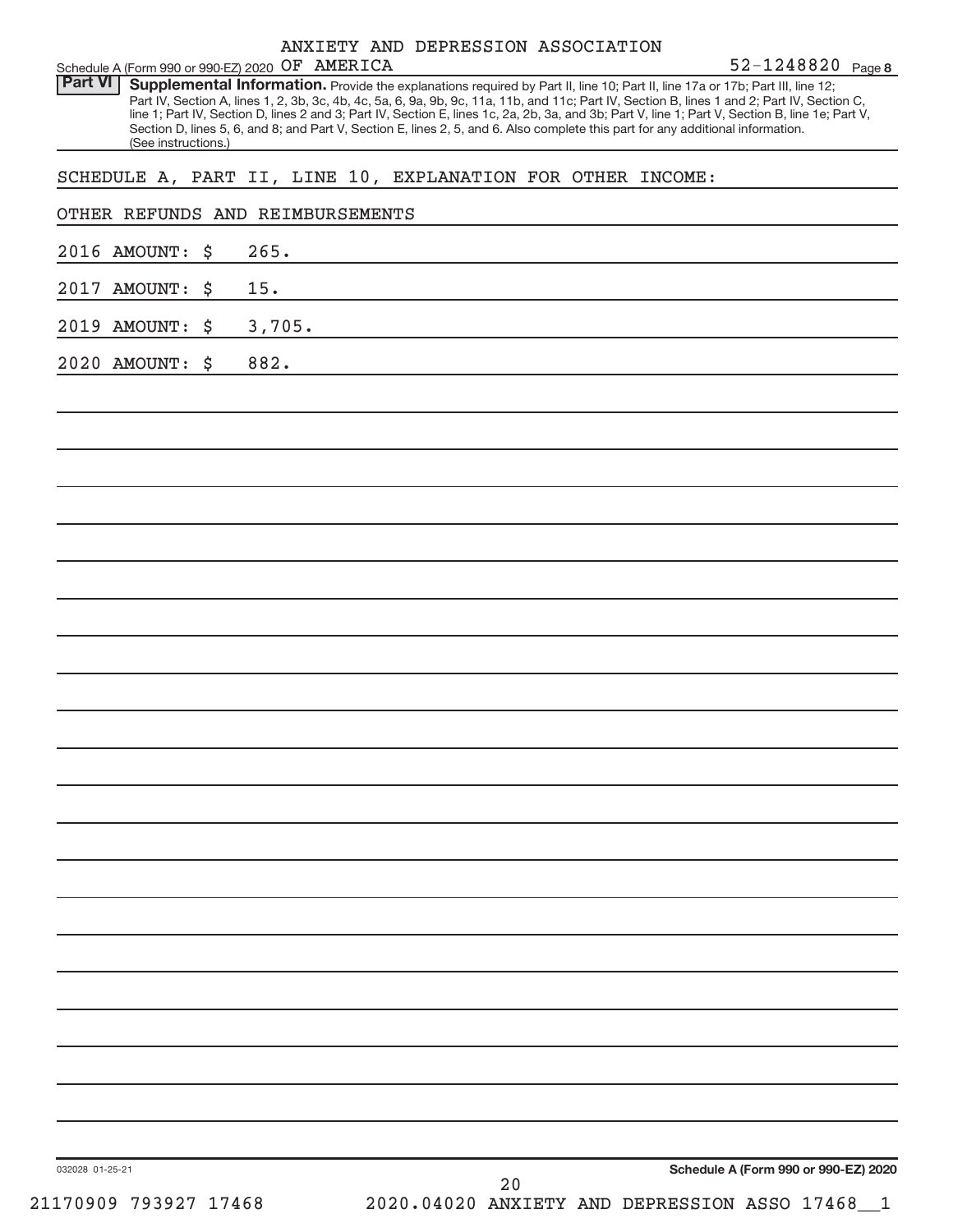| Schedule A (Form 990 or 990-EZ) 2020 OF AMERICA             |        | ANXIETY AND DEPRESSION ASSOCIATION                                                                                                                                                                                                                                                                                                                                                                                                                                                                                                                                   |    |  | 52-1248820 Page 8                    |
|-------------------------------------------------------------|--------|----------------------------------------------------------------------------------------------------------------------------------------------------------------------------------------------------------------------------------------------------------------------------------------------------------------------------------------------------------------------------------------------------------------------------------------------------------------------------------------------------------------------------------------------------------------------|----|--|--------------------------------------|
| Part VI<br>(See instructions.)                              |        | Supplemental Information. Provide the explanations required by Part II, line 10; Part II, line 17a or 17b; Part III, line 12;<br>Part IV, Section A, lines 1, 2, 3b, 3c, 4b, 4c, 5a, 6, 9a, 9b, 9c, 11a, 11b, and 11c; Part IV, Section B, lines 1 and 2; Part IV, Section C,<br>line 1; Part IV, Section D, lines 2 and 3; Part IV, Section E, lines 1c, 2a, 2b, 3a, and 3b; Part V, line 1; Part V, Section B, line 1e; Part V,<br>Section D, lines 5, 6, and 8; and Part V, Section E, lines 2, 5, and 6. Also complete this part for any additional information. |    |  |                                      |
| SCHEDULE A, PART II, LINE 10, EXPLANATION FOR OTHER INCOME: |        |                                                                                                                                                                                                                                                                                                                                                                                                                                                                                                                                                                      |    |  |                                      |
| OTHER REFUNDS AND REIMBURSEMENTS                            |        |                                                                                                                                                                                                                                                                                                                                                                                                                                                                                                                                                                      |    |  |                                      |
| 2016 AMOUNT:<br>\$                                          | 265.   |                                                                                                                                                                                                                                                                                                                                                                                                                                                                                                                                                                      |    |  |                                      |
| 2017 AMOUNT:<br>\$                                          | 15.    |                                                                                                                                                                                                                                                                                                                                                                                                                                                                                                                                                                      |    |  |                                      |
| 2019 AMOUNT:<br>\$                                          | 3,705. |                                                                                                                                                                                                                                                                                                                                                                                                                                                                                                                                                                      |    |  |                                      |
| 2020 AMOUNT:<br>\$                                          | 882.   |                                                                                                                                                                                                                                                                                                                                                                                                                                                                                                                                                                      |    |  |                                      |
|                                                             |        |                                                                                                                                                                                                                                                                                                                                                                                                                                                                                                                                                                      |    |  |                                      |
|                                                             |        |                                                                                                                                                                                                                                                                                                                                                                                                                                                                                                                                                                      |    |  |                                      |
|                                                             |        |                                                                                                                                                                                                                                                                                                                                                                                                                                                                                                                                                                      |    |  |                                      |
|                                                             |        |                                                                                                                                                                                                                                                                                                                                                                                                                                                                                                                                                                      |    |  |                                      |
|                                                             |        |                                                                                                                                                                                                                                                                                                                                                                                                                                                                                                                                                                      |    |  |                                      |
|                                                             |        |                                                                                                                                                                                                                                                                                                                                                                                                                                                                                                                                                                      |    |  |                                      |
|                                                             |        |                                                                                                                                                                                                                                                                                                                                                                                                                                                                                                                                                                      |    |  |                                      |
|                                                             |        |                                                                                                                                                                                                                                                                                                                                                                                                                                                                                                                                                                      |    |  |                                      |
|                                                             |        |                                                                                                                                                                                                                                                                                                                                                                                                                                                                                                                                                                      |    |  |                                      |
|                                                             |        |                                                                                                                                                                                                                                                                                                                                                                                                                                                                                                                                                                      |    |  |                                      |
|                                                             |        |                                                                                                                                                                                                                                                                                                                                                                                                                                                                                                                                                                      |    |  |                                      |
|                                                             |        |                                                                                                                                                                                                                                                                                                                                                                                                                                                                                                                                                                      |    |  |                                      |
|                                                             |        |                                                                                                                                                                                                                                                                                                                                                                                                                                                                                                                                                                      |    |  |                                      |
|                                                             |        |                                                                                                                                                                                                                                                                                                                                                                                                                                                                                                                                                                      |    |  |                                      |
|                                                             |        |                                                                                                                                                                                                                                                                                                                                                                                                                                                                                                                                                                      |    |  |                                      |
|                                                             |        |                                                                                                                                                                                                                                                                                                                                                                                                                                                                                                                                                                      |    |  |                                      |
|                                                             |        |                                                                                                                                                                                                                                                                                                                                                                                                                                                                                                                                                                      |    |  |                                      |
|                                                             |        |                                                                                                                                                                                                                                                                                                                                                                                                                                                                                                                                                                      |    |  |                                      |
|                                                             |        |                                                                                                                                                                                                                                                                                                                                                                                                                                                                                                                                                                      |    |  |                                      |
|                                                             |        |                                                                                                                                                                                                                                                                                                                                                                                                                                                                                                                                                                      |    |  |                                      |
|                                                             |        |                                                                                                                                                                                                                                                                                                                                                                                                                                                                                                                                                                      |    |  |                                      |
| 032028 01-25-21                                             |        |                                                                                                                                                                                                                                                                                                                                                                                                                                                                                                                                                                      | 20 |  | Schedule A (Form 990 or 990-EZ) 2020 |
| 21170909 793927 17468                                       |        | 2020.04020 ANXIETY AND DEPRESSION ASSO 17468_1                                                                                                                                                                                                                                                                                                                                                                                                                                                                                                                       |    |  |                                      |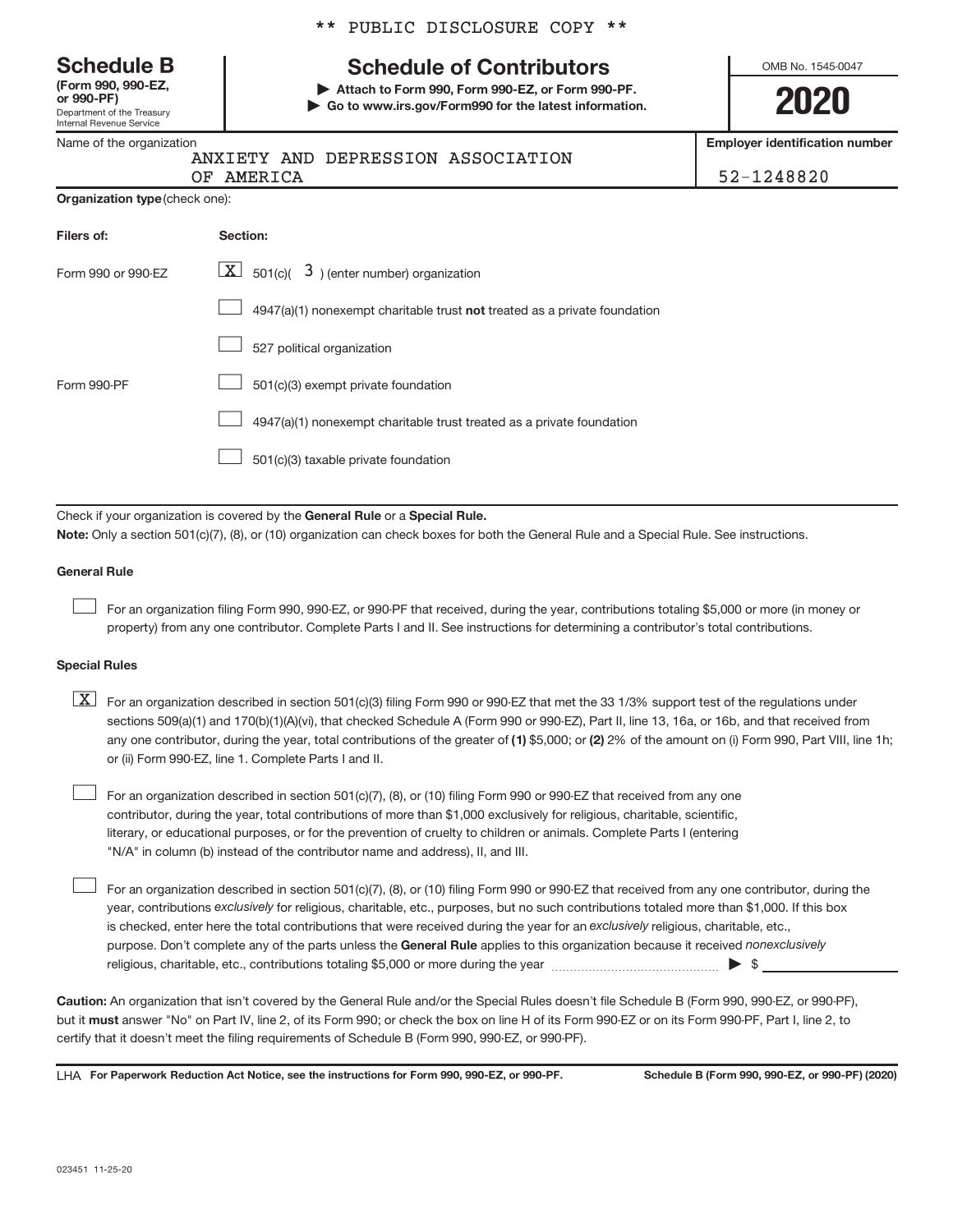Department of the Treasury Internal Revenue Service **(Form 990, 990-EZ,** \*\* PUBLIC DISCLOSURE COPY \*\*

# **Schedule B Schedule of Contributors**

**or 990-PF) | Attach to Form 990, Form 990-EZ, or Form 990-PF. | Go to www.irs.gov/Form990 for the latest information.** OMB No. 1545-0047

**2020**

**Employer identification number**

| Name of the organization |  |  |
|--------------------------|--|--|
|--------------------------|--|--|

ANXIETY AND DEPRESSION ASSOCIATION OF AMERICA

| 52-1248820 |  |  |  |  |
|------------|--|--|--|--|
|            |  |  |  |  |

| Organization type (check one): |  |  |
|--------------------------------|--|--|
|                                |  |  |

| Filers of:         | Section:                                                                           |
|--------------------|------------------------------------------------------------------------------------|
| Form 990 or 990-FZ | $\lfloor x \rfloor$ 501(c)( 3) (enter number) organization                         |
|                    | $4947(a)(1)$ nonexempt charitable trust <b>not</b> treated as a private foundation |
|                    | 527 political organization                                                         |
| Form 990-PF        | 501(c)(3) exempt private foundation                                                |
|                    | 4947(a)(1) nonexempt charitable trust treated as a private foundation              |
|                    | 501(c)(3) taxable private foundation                                               |

Check if your organization is covered by the General Rule or a Special Rule.

**Note:**  Only a section 501(c)(7), (8), or (10) organization can check boxes for both the General Rule and a Special Rule. See instructions.

#### **General Rule**

 $\begin{array}{c} \hline \end{array}$ 

 $\begin{array}{c} \hline \end{array}$ 

For an organization filing Form 990, 990-EZ, or 990-PF that received, during the year, contributions totaling \$5,000 or more (in money or property) from any one contributor. Complete Parts I and II. See instructions for determining a contributor's total contributions.

#### **Special Rules**

any one contributor, during the year, total contributions of the greater of (1) \$5,000; or (2) 2% of the amount on (i) Form 990, Part VIII, line 1h;  $\boxed{\text{X}}$  For an organization described in section 501(c)(3) filing Form 990 or 990-EZ that met the 33 1/3% support test of the regulations under sections 509(a)(1) and 170(b)(1)(A)(vi), that checked Schedule A (Form 990 or 990-EZ), Part II, line 13, 16a, or 16b, and that received from or (ii) Form 990-EZ, line 1. Complete Parts I and II.

For an organization described in section 501(c)(7), (8), or (10) filing Form 990 or 990-EZ that received from any one contributor, during the year, total contributions of more than \$1,000 exclusively for religious, charitable, scientific, literary, or educational purposes, or for the prevention of cruelty to children or animals. Complete Parts I (entering "N/A" in column (b) instead of the contributor name and address), II, and III.  $\begin{array}{c} \hline \end{array}$ 

purpose. Don't complete any of the parts unless the General Rule applies to this organization because it received nonexclusively year, contributions exclusively for religious, charitable, etc., purposes, but no such contributions totaled more than \$1,000. If this box is checked, enter here the total contributions that were received during the year for an exclusively religious, charitable, etc., For an organization described in section 501(c)(7), (8), or (10) filing Form 990 or 990-EZ that received from any one contributor, during the religious, charitable, etc., contributions totaling \$5,000 or more during the year  $\ldots$  $\ldots$  $\ldots$  $\ldots$  $\ldots$  $\ldots$ 

**Caution:**  An organization that isn't covered by the General Rule and/or the Special Rules doesn't file Schedule B (Form 990, 990-EZ, or 990-PF),  **must** but it answer "No" on Part IV, line 2, of its Form 990; or check the box on line H of its Form 990-EZ or on its Form 990-PF, Part I, line 2, to certify that it doesn't meet the filing requirements of Schedule B (Form 990, 990-EZ, or 990-PF).

LHA For Paperwork Reduction Act Notice, see the instructions for Form 990, 990-EZ, or 990-PF. Schedule B (Form 990, 990-EZ, or 990-PF) (2020)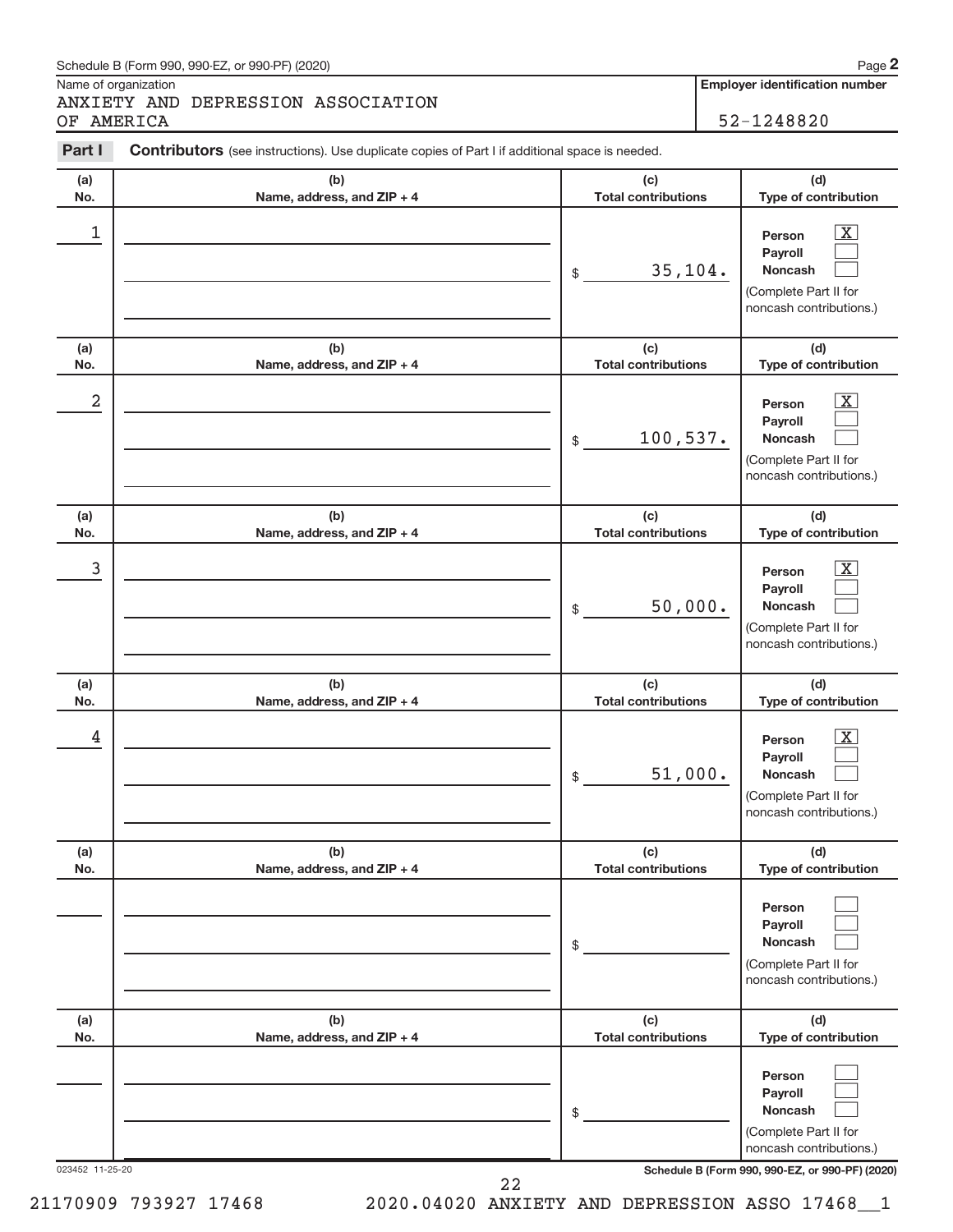#### Schedule B (Form 990, 990-EZ, or 990-PF) (2020)

Name of organization

ANXIETY AND DEPRESSION ASSOCIATION OF AMERICA 52-1248820

**Employer identification number**

**2**

| Part I          | <b>Contributors</b> (see instructions). Use duplicate copies of Part I if additional space is needed. |                                   |                                                                                                                                           |  |  |  |
|-----------------|-------------------------------------------------------------------------------------------------------|-----------------------------------|-------------------------------------------------------------------------------------------------------------------------------------------|--|--|--|
| (a)             | (b)                                                                                                   | (c)                               | (d)                                                                                                                                       |  |  |  |
| No.             | Name, address, and ZIP + 4                                                                            | <b>Total contributions</b>        | Type of contribution                                                                                                                      |  |  |  |
| 1               |                                                                                                       | 35,104.<br>\$                     | $\overline{\text{X}}$<br>Person<br>Payroll<br><b>Noncash</b><br>(Complete Part II for<br>noncash contributions.)                          |  |  |  |
| (a)             | (b)                                                                                                   | (c)                               | (d)                                                                                                                                       |  |  |  |
| No.             | Name, address, and ZIP + 4                                                                            | <b>Total contributions</b>        | Type of contribution                                                                                                                      |  |  |  |
| 2               |                                                                                                       | 100, 537.<br>\$                   | $\overline{\text{X}}$<br>Person<br>Payroll<br><b>Noncash</b><br>(Complete Part II for<br>noncash contributions.)                          |  |  |  |
| (a)             | (b)                                                                                                   | (c)<br><b>Total contributions</b> | (d)                                                                                                                                       |  |  |  |
| No.<br>3        | Name, address, and ZIP + 4                                                                            | 50,000.<br>\$                     | Type of contribution<br>$\overline{\text{X}}$<br>Person<br>Payroll<br><b>Noncash</b><br>(Complete Part II for<br>noncash contributions.)  |  |  |  |
| (a)<br>No.      | (b)<br>Name, address, and ZIP + 4                                                                     | (c)<br><b>Total contributions</b> | (d)<br>Type of contribution                                                                                                               |  |  |  |
| 4               |                                                                                                       | 51,000.<br>\$                     | $\overline{\mathbf{X}}$<br>Person<br>Payroll<br><b>Noncash</b><br>(Complete Part II for<br>noncash contributions.)                        |  |  |  |
| (a)<br>No.      | (b)<br>Name, address, and ZIP + 4                                                                     | (c)<br><b>Total contributions</b> | (d)<br>Type of contribution                                                                                                               |  |  |  |
|                 |                                                                                                       | \$                                | Person<br>Payroll<br><b>Noncash</b><br>(Complete Part II for<br>noncash contributions.)                                                   |  |  |  |
| (a)<br>No.      | (b)<br>Name, address, and ZIP + 4                                                                     | (c)<br><b>Total contributions</b> | (d)<br>Type of contribution                                                                                                               |  |  |  |
| 023452 11-25-20 |                                                                                                       | \$                                | Person<br>Payroll<br><b>Noncash</b><br>(Complete Part II for<br>noncash contributions.)<br>Schedule B (Form 990, 990-F7, or 990-PF) (2020 |  |  |  |

023452 11-25-20 **Schedule B (Form 990, 990-EZ, or 990-PF) (2020)**

22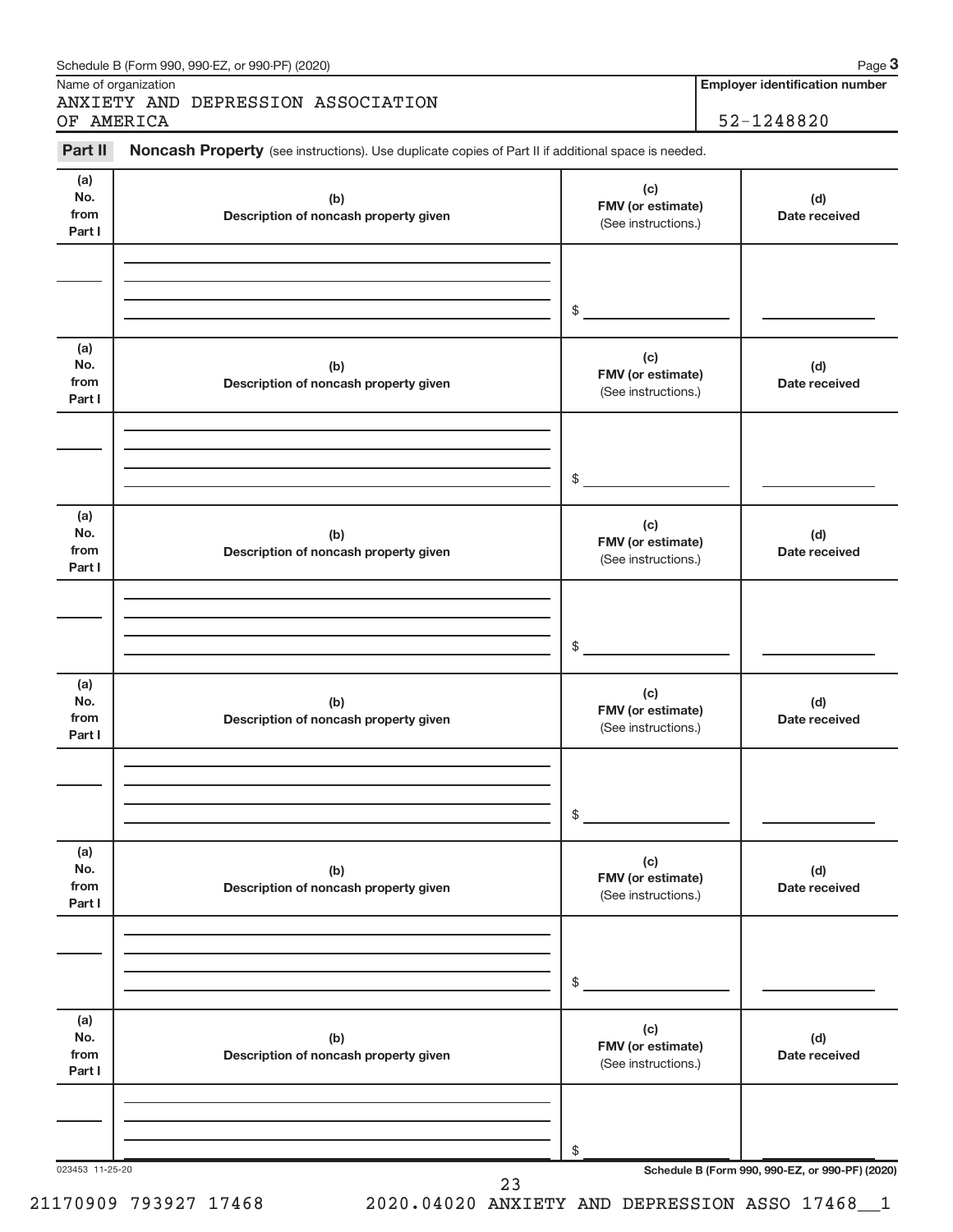| Part II                      | Noncash Property (see instructions). Use duplicate copies of Part II if additional space is needed. |                                                 |                      |
|------------------------------|-----------------------------------------------------------------------------------------------------|-------------------------------------------------|----------------------|
| (a)<br>No.<br>from<br>Part I | (b)<br>Description of noncash property given                                                        | (c)<br>FMV (or estimate)<br>(See instructions.) | (d)<br>Date received |
|                              |                                                                                                     | $$\mathbb{S}$$                                  |                      |
| (a)<br>No.<br>from<br>Part I | (b)<br>Description of noncash property given                                                        | (c)<br>FMV (or estimate)<br>(See instructions.) | (d)<br>Date received |
|                              |                                                                                                     | \$                                              |                      |
| (a)<br>No.<br>from<br>Part I | (b)<br>Description of noncash property given                                                        | (c)<br>FMV (or estimate)<br>(See instructions.) | (d)<br>Date received |
|                              |                                                                                                     | \$                                              |                      |
| (a)<br>No.<br>from<br>Part I | (b)<br>Description of noncash property given                                                        | (c)<br>FMV (or estimate)<br>(See instructions.) | (d)<br>Date received |
|                              |                                                                                                     | \$                                              |                      |
| (a)<br>No.<br>from<br>Part I | (b)<br>Description of noncash property given                                                        | (c)<br>FMV (or estimate)<br>(See instructions.) | (d)<br>Date received |
|                              |                                                                                                     | \$                                              |                      |
| (a)<br>No.<br>from<br>Part I | (b)<br>Description of noncash property given                                                        | (c)<br>FMV (or estimate)<br>(See instructions.) | (d)<br>Date received |
|                              |                                                                                                     | \$                                              |                      |

#### Schedule B (Form 990, 990-EZ, or 990-PF) (2020)

Name of organization<br> **ANIX LETTY** AND

**Employer identification number 3**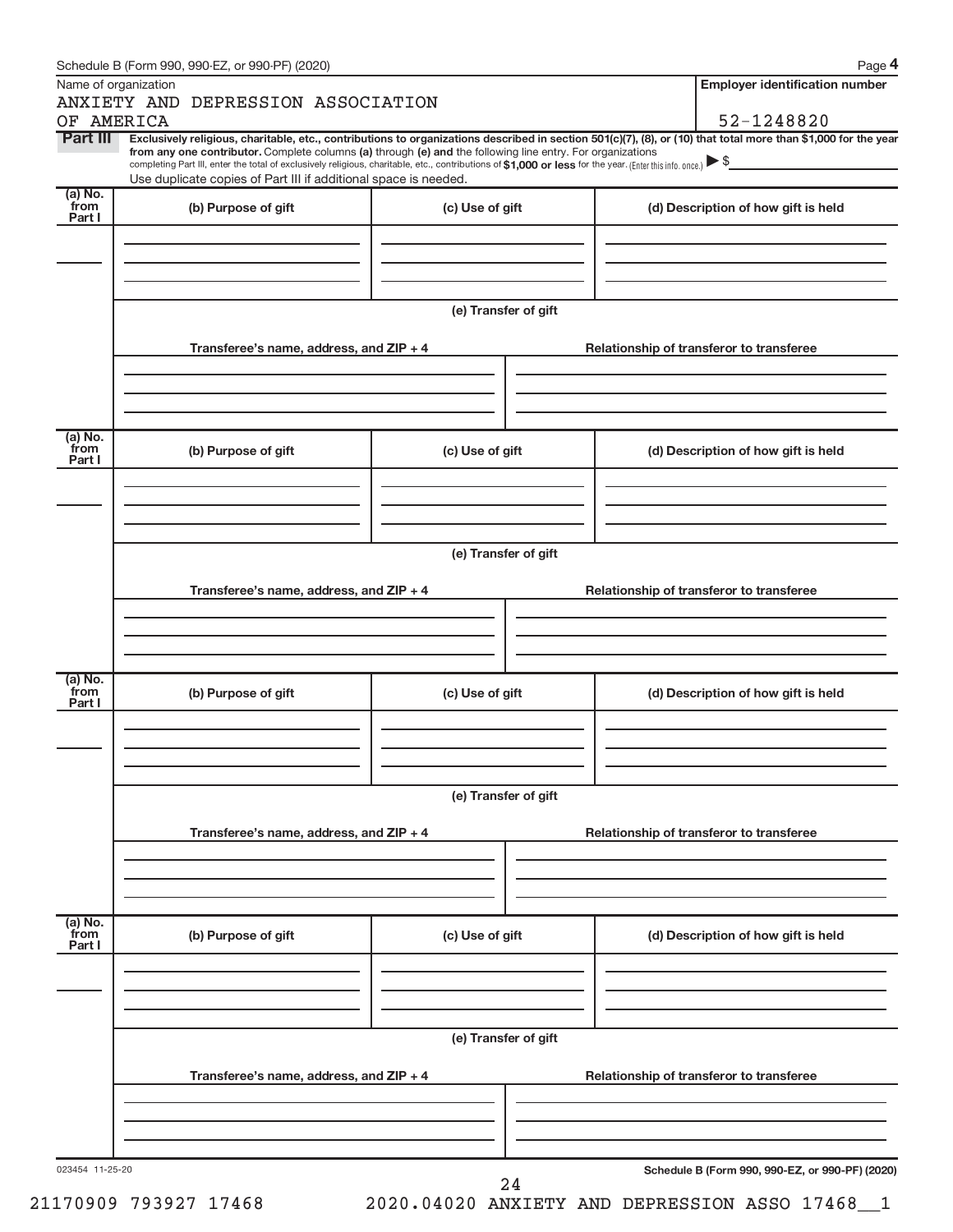| Name of organization      |                                                                                                                                                                                                                                                                                                                                           |                                                                                     |                                          | <b>Employer identification number</b>           |  |  |  |
|---------------------------|-------------------------------------------------------------------------------------------------------------------------------------------------------------------------------------------------------------------------------------------------------------------------------------------------------------------------------------------|-------------------------------------------------------------------------------------|------------------------------------------|-------------------------------------------------|--|--|--|
|                           | ANXIETY AND DEPRESSION ASSOCIATION                                                                                                                                                                                                                                                                                                        |                                                                                     |                                          |                                                 |  |  |  |
| OF AMERICA<br>Part III    | Exclusively religious, charitable, etc., contributions to organizations described in section 501(c)(7), (8), or (10) that total more than \$1,000 for the year                                                                                                                                                                            |                                                                                     |                                          | 52-1248820                                      |  |  |  |
|                           | from any one contributor. Complete columns (a) through (e) and the following line entry. For organizations<br>completing Part III, enter the total of exclusively religious, charitable, etc., contributions of \$1,000 or less for the year. [Enter this info. once.]<br>Use duplicate copies of Part III if additional space is needed. |                                                                                     |                                          |                                                 |  |  |  |
| (a) No.<br>from<br>Part I | (b) Purpose of gift                                                                                                                                                                                                                                                                                                                       | (c) Use of gift                                                                     |                                          | (d) Description of how gift is held             |  |  |  |
|                           |                                                                                                                                                                                                                                                                                                                                           |                                                                                     |                                          |                                                 |  |  |  |
|                           |                                                                                                                                                                                                                                                                                                                                           | (e) Transfer of gift                                                                |                                          |                                                 |  |  |  |
|                           | Transferee's name, address, and ZIP + 4                                                                                                                                                                                                                                                                                                   |                                                                                     |                                          | Relationship of transferor to transferee        |  |  |  |
|                           |                                                                                                                                                                                                                                                                                                                                           |                                                                                     |                                          |                                                 |  |  |  |
| (a) No.<br>from<br>Part I | (b) Purpose of gift                                                                                                                                                                                                                                                                                                                       | (c) Use of gift                                                                     |                                          | (d) Description of how gift is held             |  |  |  |
|                           |                                                                                                                                                                                                                                                                                                                                           |                                                                                     |                                          |                                                 |  |  |  |
|                           |                                                                                                                                                                                                                                                                                                                                           | (e) Transfer of gift                                                                |                                          |                                                 |  |  |  |
|                           | Transferee's name, address, and ZIP + 4                                                                                                                                                                                                                                                                                                   |                                                                                     | Relationship of transferor to transferee |                                                 |  |  |  |
|                           |                                                                                                                                                                                                                                                                                                                                           |                                                                                     |                                          |                                                 |  |  |  |
|                           |                                                                                                                                                                                                                                                                                                                                           |                                                                                     |                                          |                                                 |  |  |  |
| (a) No.<br>from<br>Part I | (b) Purpose of gift                                                                                                                                                                                                                                                                                                                       | (c) Use of gift                                                                     |                                          | (d) Description of how gift is held             |  |  |  |
|                           |                                                                                                                                                                                                                                                                                                                                           |                                                                                     |                                          |                                                 |  |  |  |
|                           |                                                                                                                                                                                                                                                                                                                                           | (e) Transfer of gift                                                                |                                          |                                                 |  |  |  |
|                           |                                                                                                                                                                                                                                                                                                                                           | Transferee's name, address, and ZIP + 4<br>Relationship of transferor to transferee |                                          |                                                 |  |  |  |
|                           |                                                                                                                                                                                                                                                                                                                                           |                                                                                     |                                          |                                                 |  |  |  |
| (a) No.<br>from<br>Part I | (b) Purpose of gift                                                                                                                                                                                                                                                                                                                       | (c) Use of gift                                                                     |                                          | (d) Description of how gift is held             |  |  |  |
|                           |                                                                                                                                                                                                                                                                                                                                           |                                                                                     |                                          |                                                 |  |  |  |
|                           | (e) Transfer of gift                                                                                                                                                                                                                                                                                                                      |                                                                                     |                                          |                                                 |  |  |  |
|                           | Transferee's name, address, and ZIP + 4                                                                                                                                                                                                                                                                                                   |                                                                                     |                                          | Relationship of transferor to transferee        |  |  |  |
|                           |                                                                                                                                                                                                                                                                                                                                           |                                                                                     |                                          |                                                 |  |  |  |
| 023454 11-25-20           |                                                                                                                                                                                                                                                                                                                                           | 24                                                                                  |                                          | Schedule B (Form 990, 990-EZ, or 990-PF) (2020) |  |  |  |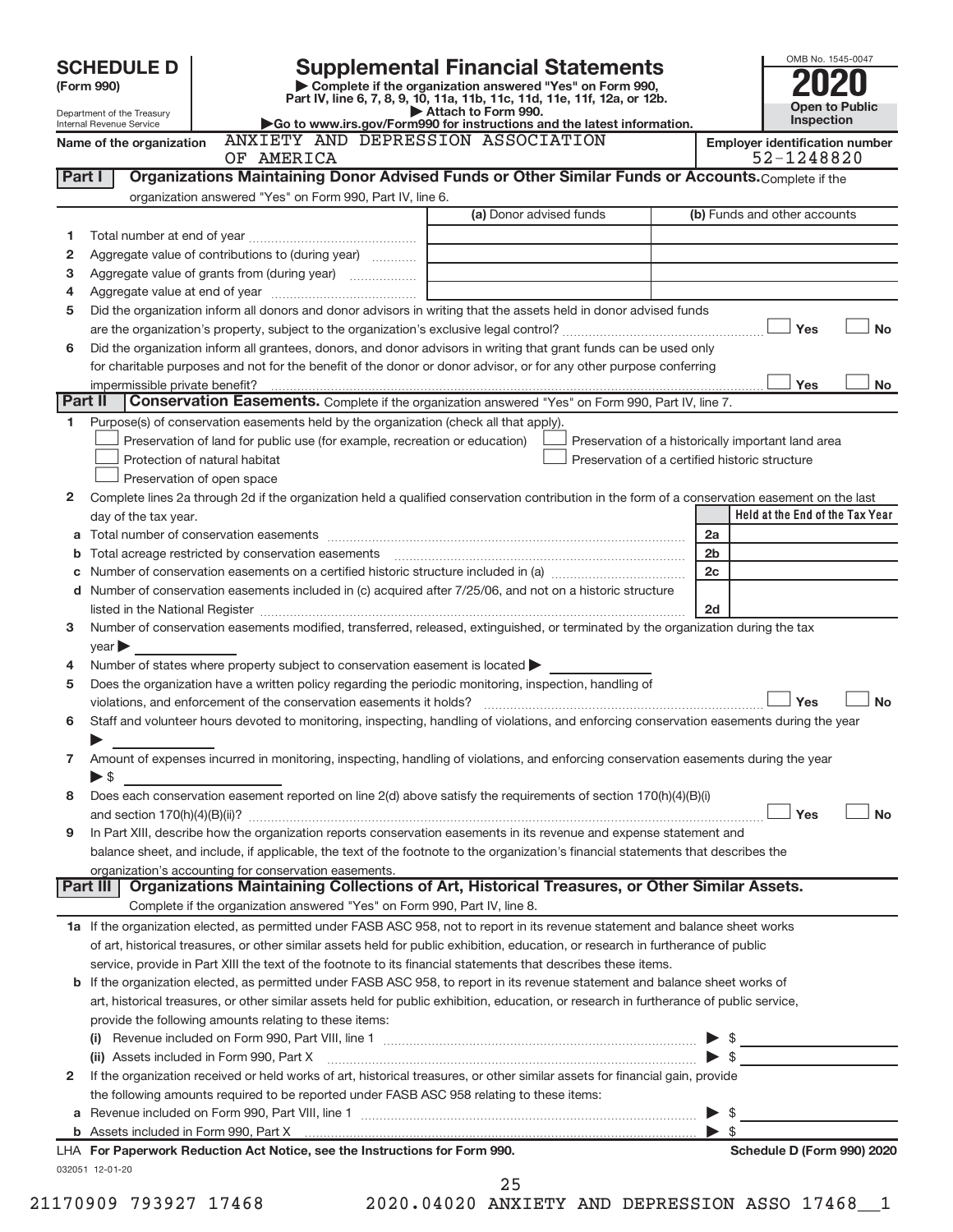|         | <b>SCHEDULE D</b>                                                                                                                                                                                                                                                                                                                                 |                                                                                                        | <b>Supplemental Financial Statements</b>                                                                                                       |                         | OMB No. 1545-0047               |  |
|---------|---------------------------------------------------------------------------------------------------------------------------------------------------------------------------------------------------------------------------------------------------------------------------------------------------------------------------------------------------|--------------------------------------------------------------------------------------------------------|------------------------------------------------------------------------------------------------------------------------------------------------|-------------------------|---------------------------------|--|
|         | (Form 990)                                                                                                                                                                                                                                                                                                                                        |                                                                                                        |                                                                                                                                                |                         |                                 |  |
|         | Department of the Treasury                                                                                                                                                                                                                                                                                                                        |                                                                                                        | Part IV, line 6, 7, 8, 9, 10, 11a, 11b, 11c, 11d, 11e, 11f, 12a, or 12b.<br>Attach to Form 990.                                                |                         | <b>Open to Public</b>           |  |
|         | Internal Revenue Service                                                                                                                                                                                                                                                                                                                          | ANXIETY AND DEPRESSION ASSOCIATION                                                                     | Go to www.irs.gov/Form990 for instructions and the latest information.                                                                         |                         | Inspection                      |  |
|         | Name of the organization                                                                                                                                                                                                                                                                                                                          |                                                                                                        | <b>Employer identification number</b>                                                                                                          |                         |                                 |  |
|         |                                                                                                                                                                                                                                                                                                                                                   | OF AMERICA                                                                                             |                                                                                                                                                |                         | 52-1248820                      |  |
| Part I  |                                                                                                                                                                                                                                                                                                                                                   |                                                                                                        | Organizations Maintaining Donor Advised Funds or Other Similar Funds or Accounts. Complete if the                                              |                         |                                 |  |
|         |                                                                                                                                                                                                                                                                                                                                                   | organization answered "Yes" on Form 990, Part IV, line 6.                                              |                                                                                                                                                |                         |                                 |  |
|         |                                                                                                                                                                                                                                                                                                                                                   |                                                                                                        | (a) Donor advised funds                                                                                                                        |                         | (b) Funds and other accounts    |  |
| 1       |                                                                                                                                                                                                                                                                                                                                                   |                                                                                                        |                                                                                                                                                |                         |                                 |  |
| 2       |                                                                                                                                                                                                                                                                                                                                                   | Aggregate value of contributions to (during year)                                                      |                                                                                                                                                |                         |                                 |  |
| з       |                                                                                                                                                                                                                                                                                                                                                   | Aggregate value of grants from (during year)                                                           |                                                                                                                                                |                         |                                 |  |
| 4       |                                                                                                                                                                                                                                                                                                                                                   |                                                                                                        |                                                                                                                                                |                         |                                 |  |
| 5       |                                                                                                                                                                                                                                                                                                                                                   |                                                                                                        | Did the organization inform all donors and donor advisors in writing that the assets held in donor advised funds                               |                         |                                 |  |
|         |                                                                                                                                                                                                                                                                                                                                                   |                                                                                                        |                                                                                                                                                |                         | Yes<br><b>No</b>                |  |
| 6       |                                                                                                                                                                                                                                                                                                                                                   |                                                                                                        | Did the organization inform all grantees, donors, and donor advisors in writing that grant funds can be used only                              |                         |                                 |  |
|         |                                                                                                                                                                                                                                                                                                                                                   |                                                                                                        | for charitable purposes and not for the benefit of the donor or donor advisor, or for any other purpose conferring                             |                         |                                 |  |
| Part II | impermissible private benefit?                                                                                                                                                                                                                                                                                                                    |                                                                                                        | Conservation Easements. Complete if the organization answered "Yes" on Form 990, Part IV, line 7.                                              |                         | Yes<br>No                       |  |
|         |                                                                                                                                                                                                                                                                                                                                                   |                                                                                                        |                                                                                                                                                |                         |                                 |  |
| 1.      |                                                                                                                                                                                                                                                                                                                                                   | Purpose(s) of conservation easements held by the organization (check all that apply).                  |                                                                                                                                                |                         |                                 |  |
|         |                                                                                                                                                                                                                                                                                                                                                   | Preservation of land for public use (for example, recreation or education)                             | Preservation of a historically important land area<br>Preservation of a certified historic structure                                           |                         |                                 |  |
|         |                                                                                                                                                                                                                                                                                                                                                   | Protection of natural habitat                                                                          |                                                                                                                                                |                         |                                 |  |
|         |                                                                                                                                                                                                                                                                                                                                                   | Preservation of open space                                                                             |                                                                                                                                                |                         |                                 |  |
| 2       |                                                                                                                                                                                                                                                                                                                                                   |                                                                                                        | Complete lines 2a through 2d if the organization held a qualified conservation contribution in the form of a conservation easement on the last |                         | Held at the End of the Tax Year |  |
|         | day of the tax year.                                                                                                                                                                                                                                                                                                                              |                                                                                                        |                                                                                                                                                |                         |                                 |  |
|         |                                                                                                                                                                                                                                                                                                                                                   | Total acreage restricted by conservation easements                                                     |                                                                                                                                                | 2a<br>2 <sub>b</sub>    |                                 |  |
|         |                                                                                                                                                                                                                                                                                                                                                   |                                                                                                        |                                                                                                                                                | 2c                      |                                 |  |
|         |                                                                                                                                                                                                                                                                                                                                                   |                                                                                                        |                                                                                                                                                |                         |                                 |  |
|         | d Number of conservation easements included in (c) acquired after 7/25/06, and not on a historic structure<br>2d<br>listed in the National Register [11, 1200] and the National Register [11, 1200] and the Mational Register [11, 1200] and the Mational Register [11, 1200] and the Mational Register [11, 1200] and the Mational Register [11, |                                                                                                        |                                                                                                                                                |                         |                                 |  |
| з       |                                                                                                                                                                                                                                                                                                                                                   |                                                                                                        | Number of conservation easements modified, transferred, released, extinguished, or terminated by the organization during the tax               |                         |                                 |  |
|         | $\mathsf{year}$                                                                                                                                                                                                                                                                                                                                   |                                                                                                        |                                                                                                                                                |                         |                                 |  |
| 4       |                                                                                                                                                                                                                                                                                                                                                   | Number of states where property subject to conservation easement is located >                          |                                                                                                                                                |                         |                                 |  |
| 5       |                                                                                                                                                                                                                                                                                                                                                   | Does the organization have a written policy regarding the periodic monitoring, inspection, handling of |                                                                                                                                                |                         |                                 |  |
|         |                                                                                                                                                                                                                                                                                                                                                   | violations, and enforcement of the conservation easements it holds?                                    |                                                                                                                                                |                         | <b>No</b><br>Yes                |  |
| 6       |                                                                                                                                                                                                                                                                                                                                                   |                                                                                                        | Staff and volunteer hours devoted to monitoring, inspecting, handling of violations, and enforcing conservation easements during the year      |                         |                                 |  |
|         |                                                                                                                                                                                                                                                                                                                                                   |                                                                                                        |                                                                                                                                                |                         |                                 |  |
| 7       |                                                                                                                                                                                                                                                                                                                                                   |                                                                                                        | Amount of expenses incurred in monitoring, inspecting, handling of violations, and enforcing conservation easements during the year            |                         |                                 |  |
|         | $\blacktriangleright$ \$                                                                                                                                                                                                                                                                                                                          |                                                                                                        |                                                                                                                                                |                         |                                 |  |
| 8       |                                                                                                                                                                                                                                                                                                                                                   |                                                                                                        | Does each conservation easement reported on line 2(d) above satisfy the requirements of section 170(h)(4)(B)(i)                                |                         |                                 |  |
|         |                                                                                                                                                                                                                                                                                                                                                   |                                                                                                        |                                                                                                                                                |                         | Yes<br><b>No</b>                |  |
| 9       |                                                                                                                                                                                                                                                                                                                                                   |                                                                                                        | In Part XIII, describe how the organization reports conservation easements in its revenue and expense statement and                            |                         |                                 |  |
|         |                                                                                                                                                                                                                                                                                                                                                   |                                                                                                        | balance sheet, and include, if applicable, the text of the footnote to the organization's financial statements that describes the              |                         |                                 |  |
|         |                                                                                                                                                                                                                                                                                                                                                   | organization's accounting for conservation easements.                                                  |                                                                                                                                                |                         |                                 |  |
|         | Part III                                                                                                                                                                                                                                                                                                                                          |                                                                                                        | Organizations Maintaining Collections of Art, Historical Treasures, or Other Similar Assets.                                                   |                         |                                 |  |
|         |                                                                                                                                                                                                                                                                                                                                                   | Complete if the organization answered "Yes" on Form 990, Part IV, line 8.                              |                                                                                                                                                |                         |                                 |  |
|         |                                                                                                                                                                                                                                                                                                                                                   |                                                                                                        | 1a If the organization elected, as permitted under FASB ASC 958, not to report in its revenue statement and balance sheet works                |                         |                                 |  |
|         |                                                                                                                                                                                                                                                                                                                                                   |                                                                                                        | of art, historical treasures, or other similar assets held for public exhibition, education, or research in furtherance of public              |                         |                                 |  |
|         |                                                                                                                                                                                                                                                                                                                                                   |                                                                                                        | service, provide in Part XIII the text of the footnote to its financial statements that describes these items.                                 |                         |                                 |  |
|         |                                                                                                                                                                                                                                                                                                                                                   |                                                                                                        | b If the organization elected, as permitted under FASB ASC 958, to report in its revenue statement and balance sheet works of                  |                         |                                 |  |
|         |                                                                                                                                                                                                                                                                                                                                                   |                                                                                                        | art, historical treasures, or other similar assets held for public exhibition, education, or research in furtherance of public service,        |                         |                                 |  |
|         |                                                                                                                                                                                                                                                                                                                                                   | provide the following amounts relating to these items:                                                 |                                                                                                                                                |                         |                                 |  |
|         |                                                                                                                                                                                                                                                                                                                                                   |                                                                                                        |                                                                                                                                                |                         |                                 |  |
|         |                                                                                                                                                                                                                                                                                                                                                   |                                                                                                        | (ii) Assets included in Form 990, Part X [11] Marson Marson Marson Marson Marson Marson Marson Marson Marson M                                 | $\blacktriangleright$ s |                                 |  |
| 2       |                                                                                                                                                                                                                                                                                                                                                   |                                                                                                        | If the organization received or held works of art, historical treasures, or other similar assets for financial gain, provide                   |                         |                                 |  |
|         |                                                                                                                                                                                                                                                                                                                                                   | the following amounts required to be reported under FASB ASC 958 relating to these items:              |                                                                                                                                                |                         |                                 |  |
|         |                                                                                                                                                                                                                                                                                                                                                   |                                                                                                        |                                                                                                                                                |                         | \$                              |  |
|         |                                                                                                                                                                                                                                                                                                                                                   |                                                                                                        |                                                                                                                                                | $\blacktriangleright$ s |                                 |  |
|         |                                                                                                                                                                                                                                                                                                                                                   | LHA For Paperwork Reduction Act Notice, see the Instructions for Form 990.                             |                                                                                                                                                |                         | Schedule D (Form 990) 2020      |  |
|         | 032051 12-01-20                                                                                                                                                                                                                                                                                                                                   |                                                                                                        |                                                                                                                                                |                         |                                 |  |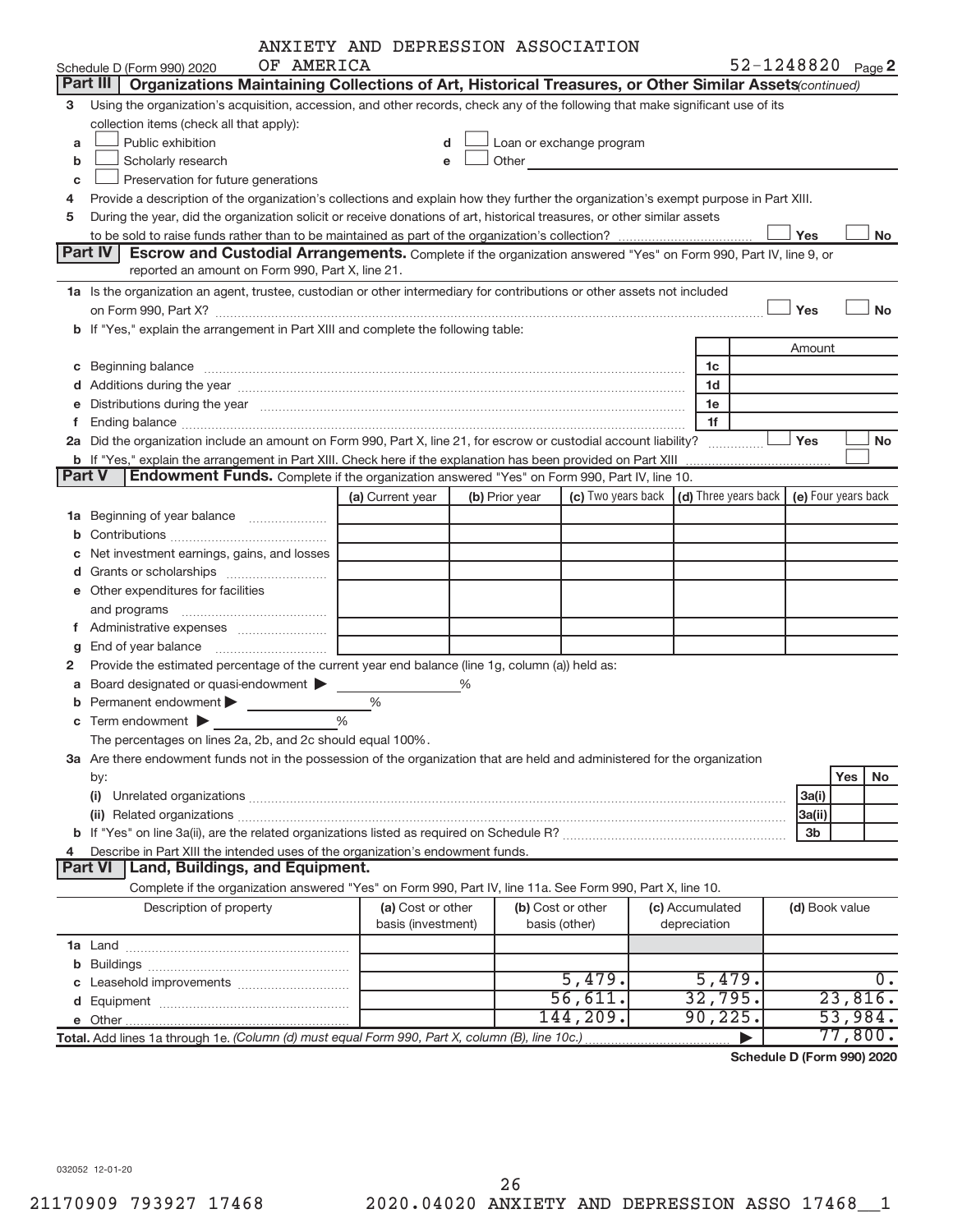|               |                                                                                                                                                                                                                               | ANXIETY AND DEPRESSION ASSOCIATION      |   |                |                                                                                                                                                                                                                               |                                 |                                                          |                   |           |
|---------------|-------------------------------------------------------------------------------------------------------------------------------------------------------------------------------------------------------------------------------|-----------------------------------------|---|----------------|-------------------------------------------------------------------------------------------------------------------------------------------------------------------------------------------------------------------------------|---------------------------------|----------------------------------------------------------|-------------------|-----------|
|               | OF AMERICA<br>Schedule D (Form 990) 2020                                                                                                                                                                                      |                                         |   |                |                                                                                                                                                                                                                               |                                 |                                                          | 52-1248820 Page 2 |           |
|               | Part III<br>Organizations Maintaining Collections of Art, Historical Treasures, or Other Similar Assets (continued)                                                                                                           |                                         |   |                |                                                                                                                                                                                                                               |                                 |                                                          |                   |           |
| з             | Using the organization's acquisition, accession, and other records, check any of the following that make significant use of its                                                                                               |                                         |   |                |                                                                                                                                                                                                                               |                                 |                                                          |                   |           |
|               | collection items (check all that apply):                                                                                                                                                                                      |                                         |   |                |                                                                                                                                                                                                                               |                                 |                                                          |                   |           |
| a             | Public exhibition                                                                                                                                                                                                             | d                                       |   |                | Loan or exchange program                                                                                                                                                                                                      |                                 |                                                          |                   |           |
| b             | Scholarly research                                                                                                                                                                                                            | е                                       |   |                | Other and the contract of the contract of the contract of the contract of the contract of the contract of the contract of the contract of the contract of the contract of the contract of the contract of the contract of the |                                 |                                                          |                   |           |
| c             | Preservation for future generations                                                                                                                                                                                           |                                         |   |                |                                                                                                                                                                                                                               |                                 |                                                          |                   |           |
| 4             | Provide a description of the organization's collections and explain how they further the organization's exempt purpose in Part XIII.                                                                                          |                                         |   |                |                                                                                                                                                                                                                               |                                 |                                                          |                   |           |
| 5             | During the year, did the organization solicit or receive donations of art, historical treasures, or other similar assets                                                                                                      |                                         |   |                |                                                                                                                                                                                                                               |                                 |                                                          |                   |           |
|               |                                                                                                                                                                                                                               |                                         |   |                |                                                                                                                                                                                                                               |                                 |                                                          | Yes               | No        |
|               | Part IV<br><b>Escrow and Custodial Arrangements.</b> Complete if the organization answered "Yes" on Form 990, Part IV, line 9, or                                                                                             |                                         |   |                |                                                                                                                                                                                                                               |                                 |                                                          |                   |           |
|               | reported an amount on Form 990, Part X, line 21.                                                                                                                                                                              |                                         |   |                |                                                                                                                                                                                                                               |                                 |                                                          |                   |           |
|               | 1a Is the organization an agent, trustee, custodian or other intermediary for contributions or other assets not included                                                                                                      |                                         |   |                |                                                                                                                                                                                                                               |                                 |                                                          |                   |           |
|               |                                                                                                                                                                                                                               |                                         |   |                |                                                                                                                                                                                                                               |                                 |                                                          | Yes               | <b>No</b> |
|               | b If "Yes," explain the arrangement in Part XIII and complete the following table:                                                                                                                                            |                                         |   |                |                                                                                                                                                                                                                               |                                 |                                                          |                   |           |
|               |                                                                                                                                                                                                                               |                                         |   |                |                                                                                                                                                                                                                               |                                 |                                                          | Amount            |           |
|               |                                                                                                                                                                                                                               |                                         |   |                |                                                                                                                                                                                                                               |                                 | 1c                                                       |                   |           |
|               |                                                                                                                                                                                                                               |                                         |   |                |                                                                                                                                                                                                                               |                                 | 1d                                                       |                   |           |
|               | e Distributions during the year manufactured and continuum control of the control of the control of the state of the control of the control of the control of the control of the control of the control of the control of the |                                         |   |                |                                                                                                                                                                                                                               |                                 | 1e                                                       |                   |           |
| f.            |                                                                                                                                                                                                                               |                                         |   |                |                                                                                                                                                                                                                               |                                 | 1f                                                       |                   |           |
|               | 2a Did the organization include an amount on Form 990, Part X, line 21, for escrow or custodial account liability?                                                                                                            |                                         |   |                |                                                                                                                                                                                                                               |                                 |                                                          | Yes               | No        |
|               | <b>b</b> If "Yes," explain the arrangement in Part XIII. Check here if the explanation has been provided on Part XIII                                                                                                         |                                         |   |                |                                                                                                                                                                                                                               |                                 |                                                          |                   |           |
| <b>Part V</b> | Endowment Funds. Complete if the organization answered "Yes" on Form 990, Part IV, line 10.                                                                                                                                   |                                         |   |                |                                                                                                                                                                                                                               |                                 |                                                          |                   |           |
|               |                                                                                                                                                                                                                               | (a) Current year                        |   | (b) Prior year | (c) Two years back                                                                                                                                                                                                            |                                 | $\vert$ (d) Three years back $\vert$ (e) Four years back |                   |           |
|               | 1a Beginning of year balance                                                                                                                                                                                                  |                                         |   |                |                                                                                                                                                                                                                               |                                 |                                                          |                   |           |
|               |                                                                                                                                                                                                                               |                                         |   |                |                                                                                                                                                                                                                               |                                 |                                                          |                   |           |
| c             | Net investment earnings, gains, and losses                                                                                                                                                                                    |                                         |   |                |                                                                                                                                                                                                                               |                                 |                                                          |                   |           |
|               |                                                                                                                                                                                                                               |                                         |   |                |                                                                                                                                                                                                                               |                                 |                                                          |                   |           |
|               | e Other expenditures for facilities                                                                                                                                                                                           |                                         |   |                |                                                                                                                                                                                                                               |                                 |                                                          |                   |           |
|               |                                                                                                                                                                                                                               |                                         |   |                |                                                                                                                                                                                                                               |                                 |                                                          |                   |           |
|               | f Administrative expenses                                                                                                                                                                                                     |                                         |   |                |                                                                                                                                                                                                                               |                                 |                                                          |                   |           |
| g             | End of year balance <i>manually contained</i>                                                                                                                                                                                 |                                         |   |                |                                                                                                                                                                                                                               |                                 |                                                          |                   |           |
| 2             | Provide the estimated percentage of the current year end balance (line 1g, column (a)) held as:                                                                                                                               |                                         |   |                |                                                                                                                                                                                                                               |                                 |                                                          |                   |           |
|               | a Board designated or quasi-endowment                                                                                                                                                                                         |                                         | % |                |                                                                                                                                                                                                                               |                                 |                                                          |                   |           |
|               | Permanent endowment                                                                                                                                                                                                           | %                                       |   |                |                                                                                                                                                                                                                               |                                 |                                                          |                   |           |
|               | $\%$<br>$\mathbf c$ Term endowment $\blacktriangleright$                                                                                                                                                                      |                                         |   |                |                                                                                                                                                                                                                               |                                 |                                                          |                   |           |
|               | The percentages on lines 2a, 2b, and 2c should equal 100%.                                                                                                                                                                    |                                         |   |                |                                                                                                                                                                                                                               |                                 |                                                          |                   |           |
|               | 3a Are there endowment funds not in the possession of the organization that are held and administered for the organization                                                                                                    |                                         |   |                |                                                                                                                                                                                                                               |                                 |                                                          |                   |           |
|               | by:                                                                                                                                                                                                                           |                                         |   |                |                                                                                                                                                                                                                               |                                 |                                                          |                   | Yes<br>No |
|               | (i)                                                                                                                                                                                                                           |                                         |   |                |                                                                                                                                                                                                                               |                                 |                                                          | 3a(i)             |           |
|               |                                                                                                                                                                                                                               |                                         |   |                |                                                                                                                                                                                                                               |                                 |                                                          | 3a(ii)            |           |
|               |                                                                                                                                                                                                                               |                                         |   |                |                                                                                                                                                                                                                               |                                 |                                                          | 3 <sub>b</sub>    |           |
| 4             | Describe in Part XIII the intended uses of the organization's endowment funds.                                                                                                                                                |                                         |   |                |                                                                                                                                                                                                                               |                                 |                                                          |                   |           |
|               | Land, Buildings, and Equipment.<br><b>Part VI</b>                                                                                                                                                                             |                                         |   |                |                                                                                                                                                                                                                               |                                 |                                                          |                   |           |
|               | Complete if the organization answered "Yes" on Form 990, Part IV, line 11a. See Form 990, Part X, line 10.                                                                                                                    |                                         |   |                |                                                                                                                                                                                                                               |                                 |                                                          |                   |           |
|               | Description of property                                                                                                                                                                                                       | (a) Cost or other<br>basis (investment) |   |                | (b) Cost or other<br>basis (other)                                                                                                                                                                                            | (c) Accumulated<br>depreciation |                                                          | (d) Book value    |           |
|               |                                                                                                                                                                                                                               |                                         |   |                |                                                                                                                                                                                                                               |                                 |                                                          |                   |           |
|               |                                                                                                                                                                                                                               |                                         |   |                |                                                                                                                                                                                                                               |                                 |                                                          |                   |           |
|               |                                                                                                                                                                                                                               |                                         |   |                | 5,479.                                                                                                                                                                                                                        |                                 | 5,479.                                                   |                   | $0 \cdot$ |
|               |                                                                                                                                                                                                                               |                                         |   |                | 56,611.                                                                                                                                                                                                                       |                                 | 32,795.                                                  |                   | 23,816.   |
|               |                                                                                                                                                                                                                               |                                         |   |                | 144,209.                                                                                                                                                                                                                      |                                 | 90, 225.                                                 |                   | 53,984.   |
|               | Total. Add lines 1a through 1e. (Column (d) must equal Form 990, Part X, column (B), line 10c.)                                                                                                                               |                                         |   |                |                                                                                                                                                                                                                               |                                 |                                                          |                   | 77,800.   |
|               |                                                                                                                                                                                                                               |                                         |   |                |                                                                                                                                                                                                                               |                                 |                                                          |                   |           |

**Schedule D (Form 990) 2020**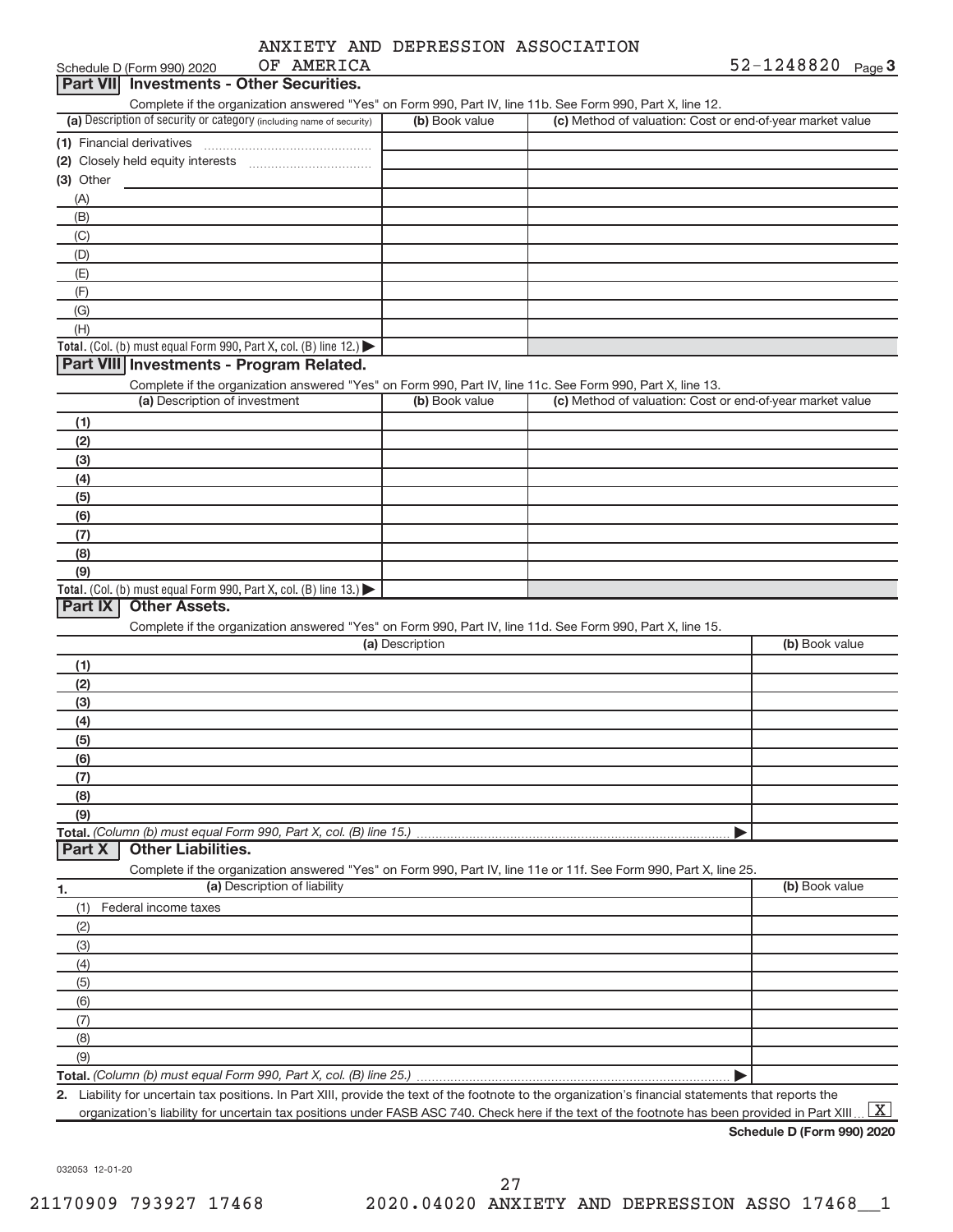|  | ANXIETY AND DEPRESSION ASSOCIATION |
|--|------------------------------------|
|  |                                    |

| OF AMERICA<br>Schedule D (Form 990) 2020                                                                                                             |                 |                                                           | $52 - 1248820$ Page 3 |
|------------------------------------------------------------------------------------------------------------------------------------------------------|-----------------|-----------------------------------------------------------|-----------------------|
| Part VII Investments - Other Securities.                                                                                                             |                 |                                                           |                       |
| Complete if the organization answered "Yes" on Form 990, Part IV, line 11b. See Form 990, Part X, line 12.                                           |                 |                                                           |                       |
| (a) Description of security or category (including name of security)                                                                                 | (b) Book value  | (c) Method of valuation: Cost or end-of-year market value |                       |
|                                                                                                                                                      |                 |                                                           |                       |
|                                                                                                                                                      |                 |                                                           |                       |
|                                                                                                                                                      |                 |                                                           |                       |
| (3) Other                                                                                                                                            |                 |                                                           |                       |
| (A)                                                                                                                                                  |                 |                                                           |                       |
| (B)                                                                                                                                                  |                 |                                                           |                       |
| (C)                                                                                                                                                  |                 |                                                           |                       |
| (D)                                                                                                                                                  |                 |                                                           |                       |
| (E)                                                                                                                                                  |                 |                                                           |                       |
| (F)                                                                                                                                                  |                 |                                                           |                       |
| (G)                                                                                                                                                  |                 |                                                           |                       |
| (H)                                                                                                                                                  |                 |                                                           |                       |
| Total. (Col. (b) must equal Form 990, Part X, col. (B) line 12.)                                                                                     |                 |                                                           |                       |
| Part VIII Investments - Program Related.                                                                                                             |                 |                                                           |                       |
|                                                                                                                                                      |                 |                                                           |                       |
| Complete if the organization answered "Yes" on Form 990, Part IV, line 11c. See Form 990, Part X, line 13.<br>(a) Description of investment          | (b) Book value  | (c) Method of valuation: Cost or end-of-year market value |                       |
|                                                                                                                                                      |                 |                                                           |                       |
| (1)                                                                                                                                                  |                 |                                                           |                       |
| (2)                                                                                                                                                  |                 |                                                           |                       |
| (3)                                                                                                                                                  |                 |                                                           |                       |
| (4)                                                                                                                                                  |                 |                                                           |                       |
| (5)                                                                                                                                                  |                 |                                                           |                       |
| (6)                                                                                                                                                  |                 |                                                           |                       |
| (7)                                                                                                                                                  |                 |                                                           |                       |
| (8)                                                                                                                                                  |                 |                                                           |                       |
| (9)                                                                                                                                                  |                 |                                                           |                       |
| Total. (Col. (b) must equal Form 990, Part X, col. (B) line 13.)                                                                                     |                 |                                                           |                       |
| Part IX<br><b>Other Assets.</b>                                                                                                                      |                 |                                                           |                       |
|                                                                                                                                                      |                 |                                                           |                       |
| Complete if the organization answered "Yes" on Form 990, Part IV, line 11d. See Form 990, Part X, line 15.                                           |                 |                                                           |                       |
|                                                                                                                                                      | (a) Description |                                                           | (b) Book value        |
| (1)                                                                                                                                                  |                 |                                                           |                       |
| (2)                                                                                                                                                  |                 |                                                           |                       |
| (3)                                                                                                                                                  |                 |                                                           |                       |
| (4)                                                                                                                                                  |                 |                                                           |                       |
| (5)                                                                                                                                                  |                 |                                                           |                       |
| (6)                                                                                                                                                  |                 |                                                           |                       |
| (7)                                                                                                                                                  |                 |                                                           |                       |
| (8)                                                                                                                                                  |                 |                                                           |                       |
|                                                                                                                                                      |                 |                                                           |                       |
| (9)                                                                                                                                                  |                 |                                                           |                       |
|                                                                                                                                                      |                 |                                                           |                       |
| <b>Other Liabilities.</b><br>Part X                                                                                                                  |                 |                                                           |                       |
| Complete if the organization answered "Yes" on Form 990, Part IV, line 11e or 11f. See Form 990, Part X, line 25.                                    |                 |                                                           |                       |
| (a) Description of liability<br>1.                                                                                                                   |                 |                                                           | (b) Book value        |
| Federal income taxes<br>(1)                                                                                                                          |                 |                                                           |                       |
| (2)                                                                                                                                                  |                 |                                                           |                       |
| (3)                                                                                                                                                  |                 |                                                           |                       |
| (4)                                                                                                                                                  |                 |                                                           |                       |
| (5)                                                                                                                                                  |                 |                                                           |                       |
|                                                                                                                                                      |                 |                                                           |                       |
| (6)                                                                                                                                                  |                 |                                                           |                       |
| (7)                                                                                                                                                  |                 |                                                           |                       |
| (8)                                                                                                                                                  |                 |                                                           |                       |
| (9)                                                                                                                                                  |                 |                                                           |                       |
|                                                                                                                                                      |                 |                                                           |                       |
| 2. Liability for uncertain tax positions. In Part XIII, provide the text of the footnote to the organization's financial statements that reports the |                 |                                                           |                       |

organization's liability for uncertain tax positions under FASB ASC 740. Check here if the text of the footnote has been provided in Part XIII ...  $\boxed{\mathrm{X}}$ 

**Schedule D (Form 990) 2020**

032053 12-01-20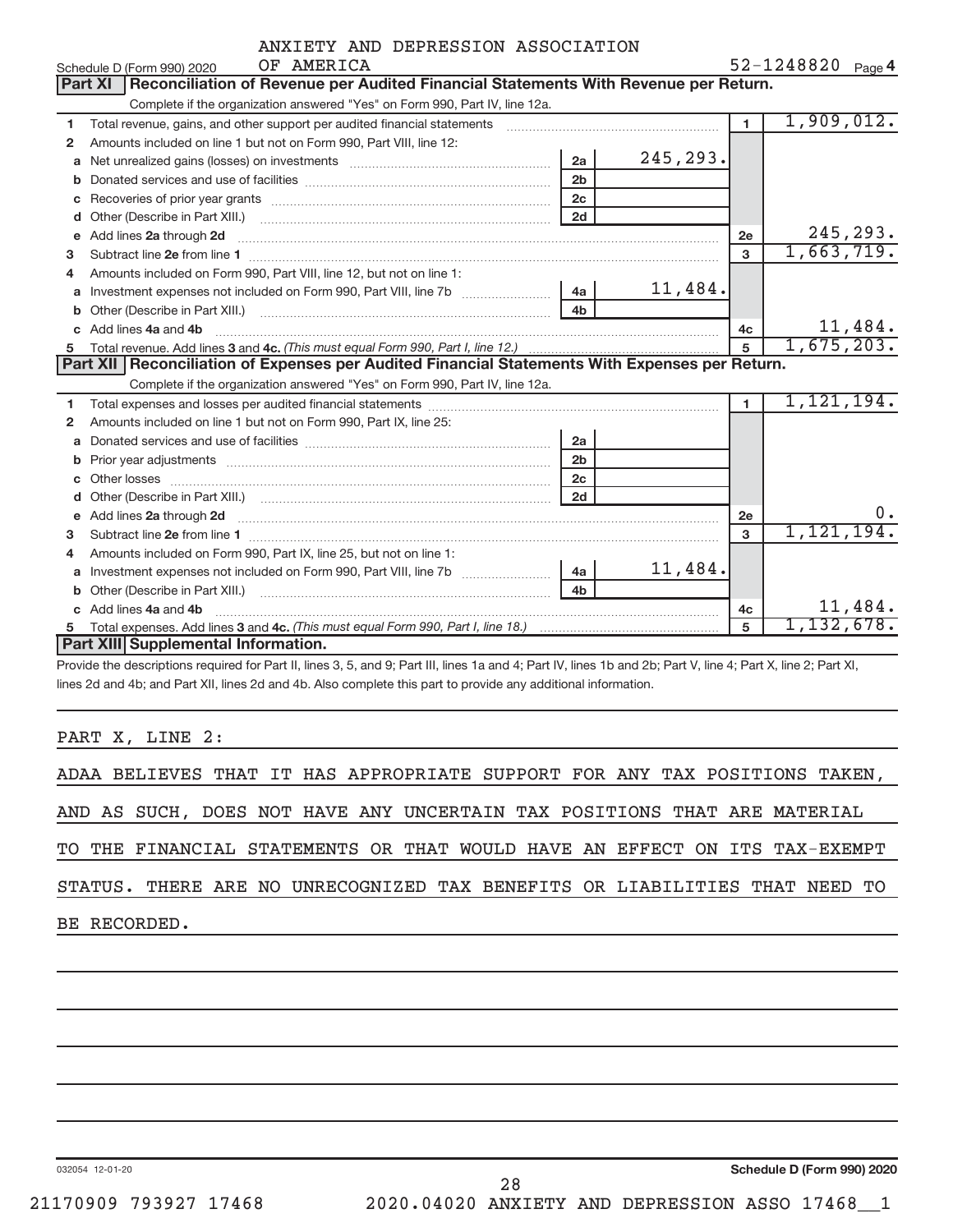|            |  | ANXIETY AND DEPRESSION ASSOCIATION |
|------------|--|------------------------------------|
| OF AMERICA |  |                                    |

|  | 52-1248820 |  |  |  |  |  |  | Page 4 |
|--|------------|--|--|--|--|--|--|--------|
|--|------------|--|--|--|--|--|--|--------|

|              | Schedule D (Form 990) 2020<br>OF AMERICA                                                                                 |                |          |                | $52 - 1248820$ Page 4 |
|--------------|--------------------------------------------------------------------------------------------------------------------------|----------------|----------|----------------|-----------------------|
|              | <b>Part XI</b><br>Reconciliation of Revenue per Audited Financial Statements With Revenue per Return.                    |                |          |                |                       |
|              | Complete if the organization answered "Yes" on Form 990, Part IV, line 12a.                                              |                |          |                |                       |
| 1.           | Total revenue, gains, and other support per audited financial statements                                                 |                |          | $\blacksquare$ | 1,909,012.            |
| 2            | Amounts included on line 1 but not on Form 990, Part VIII, line 12:                                                      |                |          |                |                       |
| a            | Net unrealized gains (losses) on investments [111] Net unrealized mains (losses) on investments [11] Metamana            | 2a             | 245,293. |                |                       |
| b            |                                                                                                                          | 2 <sub>b</sub> |          |                |                       |
| c            |                                                                                                                          | 2 <sub>c</sub> |          |                |                       |
| d            |                                                                                                                          | 2d             |          |                |                       |
| $\mathbf{e}$ | Add lines 2a through 2d                                                                                                  |                |          | 2e             | 245,293.              |
| 3            |                                                                                                                          |                |          | 3              | 1,663,719.            |
| 4            | Amounts included on Form 990, Part VIII, line 12, but not on line 1:                                                     |                |          |                |                       |
| a            |                                                                                                                          | 4a l           | 11,484.  |                |                       |
| b            |                                                                                                                          | 4 <sub>h</sub> |          |                |                       |
|              | c Add lines 4a and 4b                                                                                                    |                |          | 4 <sub>c</sub> | 11,484.               |
|              |                                                                                                                          |                |          |                |                       |
| 5            |                                                                                                                          |                |          | 5              | 1,675,203.            |
|              | Part XII Reconciliation of Expenses per Audited Financial Statements With Expenses per Return.                           |                |          |                |                       |
|              | Complete if the organization answered "Yes" on Form 990, Part IV, line 12a.                                              |                |          |                |                       |
| 1            |                                                                                                                          |                |          | 1              | 1,121,194.            |
| 2            | Amounts included on line 1 but not on Form 990, Part IX, line 25:                                                        |                |          |                |                       |
| a            |                                                                                                                          | 2a             |          |                |                       |
| b            | Prior year adjustments [ www.communications of the contract of the contract of the contract of the contract of           | 2 <sub>b</sub> |          |                |                       |
| С            |                                                                                                                          | 2 <sub>c</sub> |          |                |                       |
|              |                                                                                                                          | 2d             |          |                |                       |
| e            |                                                                                                                          |                |          | 2e             | 0.                    |
| 3            | Add lines 2a through 2d <b>must be a constructed as the constant of the constant of the constant of the construction</b> |                |          | 3              | 1,121,194.            |
| 4            | Amounts included on Form 990, Part IX, line 25, but not on line 1:                                                       |                |          |                |                       |
| a            | Investment expenses not included on Form 990, Part VIII, line 7b [11, 111, 120]                                          | 4a l           | 11,484.  |                |                       |
| b            |                                                                                                                          | 4 <sub>h</sub> |          |                |                       |
| c.           | Add lines 4a and 4b                                                                                                      |                |          | 4c             | 11,484.               |
| 5            | <b>Part XIII Supplemental Information.</b>                                                                               |                |          | 5              | 1,132,678.            |

Provide the descriptions required for Part II, lines 3, 5, and 9; Part III, lines 1a and 4; Part IV, lines 1b and 2b; Part V, line 4; Part X, line 2; Part XI, lines 2d and 4b; and Part XII, lines 2d and 4b. Also complete this part to provide any additional information.

PART X, LINE 2:

|  | ADAA BELIEVES THAT IT HAS APPROPRIATE SUPPORT FOR ANY TAX POSITIONS TAKEN, |  |  |  |  |  |  |  |
|--|----------------------------------------------------------------------------|--|--|--|--|--|--|--|
|  | AND AS SUCH, DOES NOT HAVE ANY UNCERTAIN TAX POSITIONS THAT ARE MATERIAL   |  |  |  |  |  |  |  |
|  | TO THE FINANCIAL STATEMENTS OR THAT WOULD HAVE AN EFFECT ON ITS TAX-EXEMPT |  |  |  |  |  |  |  |
|  | STATUS. THERE ARE NO UNRECOGNIZED TAX BENEFITS OR LIABILITIES THAT NEED TO |  |  |  |  |  |  |  |
|  | BE RECORDED.                                                               |  |  |  |  |  |  |  |

032054 12-01-20

**Schedule D (Form 990) 2020**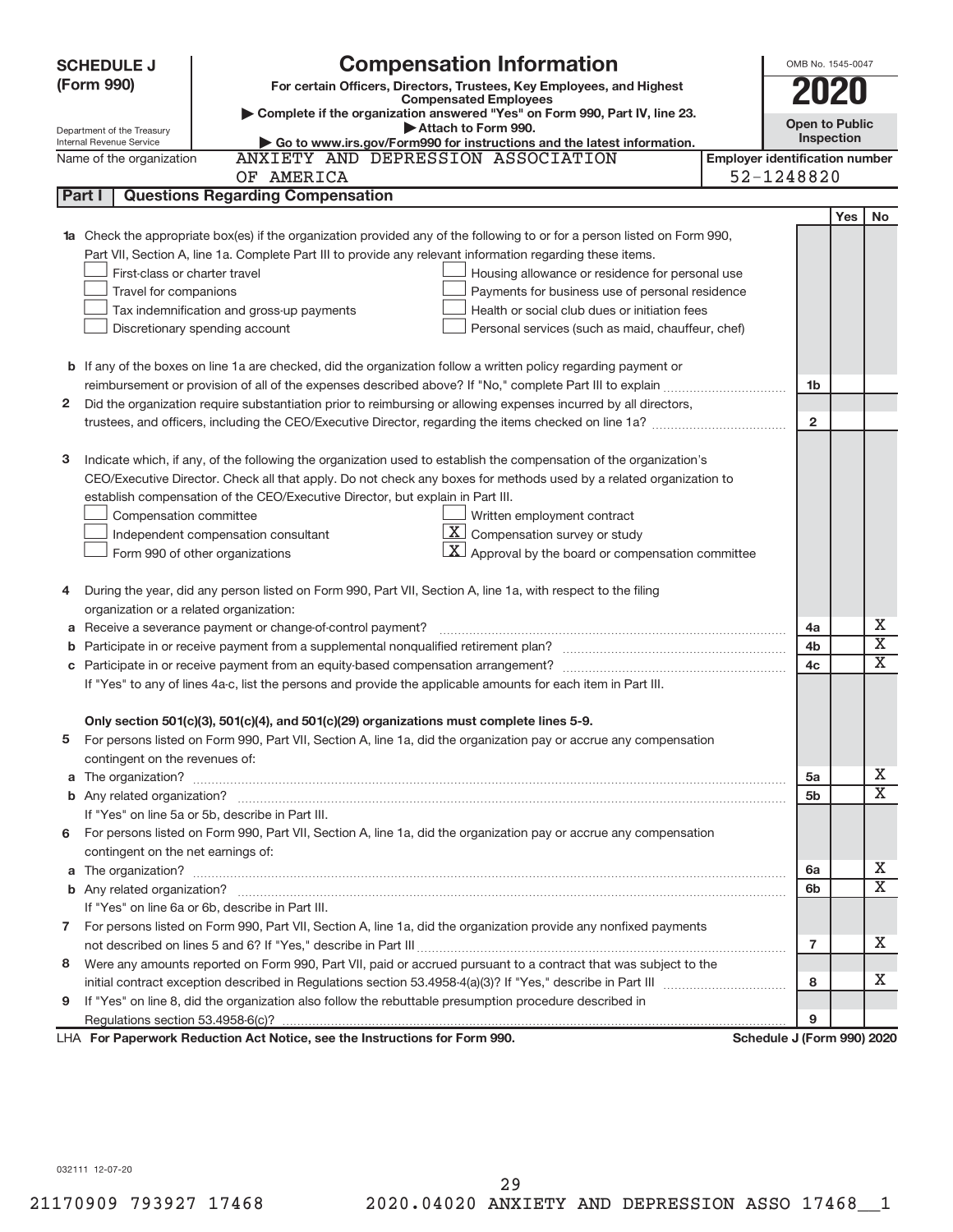| <b>SCHEDULE J</b>                                                                                                                                        | <b>Compensation Information</b>                                                                                        |                                       | OMB No. 1545-0047 |  |                         |  |  |
|----------------------------------------------------------------------------------------------------------------------------------------------------------|------------------------------------------------------------------------------------------------------------------------|---------------------------------------|-------------------|--|-------------------------|--|--|
| (Form 990)                                                                                                                                               | For certain Officers, Directors, Trustees, Key Employees, and Highest                                                  |                                       | 2020              |  |                         |  |  |
|                                                                                                                                                          | <b>Compensated Employees</b>                                                                                           |                                       |                   |  |                         |  |  |
| Complete if the organization answered "Yes" on Form 990, Part IV, line 23.<br><b>Open to Public</b><br>Attach to Form 990.<br>Department of the Treasury |                                                                                                                        |                                       |                   |  |                         |  |  |
| Inspection<br>Go to www.irs.gov/Form990 for instructions and the latest information.<br>Internal Revenue Service                                         |                                                                                                                        |                                       |                   |  |                         |  |  |
| Name of the organization                                                                                                                                 | ANXIETY AND DEPRESSION ASSOCIATION                                                                                     | <b>Employer identification number</b> |                   |  |                         |  |  |
|                                                                                                                                                          | OF AMERICA                                                                                                             | 52-1248820                            |                   |  |                         |  |  |
| Part I<br><b>Questions Regarding Compensation</b>                                                                                                        |                                                                                                                        |                                       |                   |  |                         |  |  |
|                                                                                                                                                          |                                                                                                                        |                                       |                   |  |                         |  |  |
| Check the appropriate box(es) if the organization provided any of the following to or for a person listed on Form 990,<br>1a                             |                                                                                                                        |                                       |                   |  |                         |  |  |
|                                                                                                                                                          | Part VII, Section A, line 1a. Complete Part III to provide any relevant information regarding these items.             |                                       |                   |  |                         |  |  |
| First-class or charter travel                                                                                                                            | Housing allowance or residence for personal use                                                                        |                                       |                   |  |                         |  |  |
| Travel for companions                                                                                                                                    | Payments for business use of personal residence                                                                        |                                       |                   |  |                         |  |  |
|                                                                                                                                                          | Health or social club dues or initiation fees<br>Tax indemnification and gross-up payments                             |                                       |                   |  |                         |  |  |
|                                                                                                                                                          | Discretionary spending account<br>Personal services (such as maid, chauffeur, chef)                                    |                                       |                   |  |                         |  |  |
|                                                                                                                                                          |                                                                                                                        |                                       |                   |  |                         |  |  |
|                                                                                                                                                          | <b>b</b> If any of the boxes on line 1a are checked, did the organization follow a written policy regarding payment or |                                       |                   |  |                         |  |  |
|                                                                                                                                                          |                                                                                                                        |                                       | 1b                |  |                         |  |  |
| 2                                                                                                                                                        | Did the organization require substantiation prior to reimbursing or allowing expenses incurred by all directors,       |                                       |                   |  |                         |  |  |
|                                                                                                                                                          |                                                                                                                        |                                       | $\overline{2}$    |  |                         |  |  |
|                                                                                                                                                          |                                                                                                                        |                                       |                   |  |                         |  |  |
| з                                                                                                                                                        | Indicate which, if any, of the following the organization used to establish the compensation of the organization's     |                                       |                   |  |                         |  |  |
|                                                                                                                                                          | CEO/Executive Director. Check all that apply. Do not check any boxes for methods used by a related organization to     |                                       |                   |  |                         |  |  |
|                                                                                                                                                          | establish compensation of the CEO/Executive Director, but explain in Part III.                                         |                                       |                   |  |                         |  |  |
| Written employment contract<br>Compensation committee                                                                                                    |                                                                                                                        |                                       |                   |  |                         |  |  |
| $ \mathbf{X} $ Compensation survey or study<br>Independent compensation consultant                                                                       |                                                                                                                        |                                       |                   |  |                         |  |  |
|                                                                                                                                                          | $ \mathbf{X} $ Approval by the board or compensation committee<br>Form 990 of other organizations                      |                                       |                   |  |                         |  |  |
|                                                                                                                                                          |                                                                                                                        |                                       |                   |  |                         |  |  |
| 4                                                                                                                                                        | During the year, did any person listed on Form 990, Part VII, Section A, line 1a, with respect to the filing           |                                       |                   |  |                         |  |  |
| organization or a related organization:                                                                                                                  |                                                                                                                        |                                       |                   |  |                         |  |  |
| Receive a severance payment or change-of-control payment?<br>4a<br>а                                                                                     |                                                                                                                        |                                       |                   |  |                         |  |  |
| b                                                                                                                                                        |                                                                                                                        |                                       | 4b                |  | $\overline{\textbf{x}}$ |  |  |
| c                                                                                                                                                        |                                                                                                                        |                                       | 4c                |  | X                       |  |  |
| If "Yes" to any of lines 4a-c, list the persons and provide the applicable amounts for each item in Part III.                                            |                                                                                                                        |                                       |                   |  |                         |  |  |
|                                                                                                                                                          |                                                                                                                        |                                       |                   |  |                         |  |  |
|                                                                                                                                                          | Only section 501(c)(3), 501(c)(4), and 501(c)(29) organizations must complete lines 5-9.                               |                                       |                   |  |                         |  |  |
|                                                                                                                                                          | For persons listed on Form 990, Part VII, Section A, line 1a, did the organization pay or accrue any compensation      |                                       |                   |  |                         |  |  |
| contingent on the revenues of:                                                                                                                           |                                                                                                                        |                                       |                   |  |                         |  |  |
|                                                                                                                                                          |                                                                                                                        |                                       | 5a                |  | х<br>X                  |  |  |
|                                                                                                                                                          |                                                                                                                        |                                       | 5b                |  |                         |  |  |
|                                                                                                                                                          | If "Yes" on line 5a or 5b, describe in Part III.                                                                       |                                       |                   |  |                         |  |  |
|                                                                                                                                                          | 6 For persons listed on Form 990, Part VII, Section A, line 1a, did the organization pay or accrue any compensation    |                                       |                   |  |                         |  |  |
| contingent on the net earnings of:                                                                                                                       |                                                                                                                        |                                       |                   |  |                         |  |  |
|                                                                                                                                                          |                                                                                                                        |                                       | 6a                |  | х                       |  |  |
|                                                                                                                                                          |                                                                                                                        |                                       | 6b                |  | х                       |  |  |
|                                                                                                                                                          | If "Yes" on line 6a or 6b, describe in Part III.                                                                       |                                       |                   |  |                         |  |  |
|                                                                                                                                                          | 7 For persons listed on Form 990, Part VII, Section A, line 1a, did the organization provide any nonfixed payments     |                                       |                   |  |                         |  |  |
|                                                                                                                                                          |                                                                                                                        |                                       | 7                 |  | х                       |  |  |
| 8.                                                                                                                                                       | Were any amounts reported on Form 990, Part VII, paid or accrued pursuant to a contract that was subject to the        |                                       |                   |  |                         |  |  |
|                                                                                                                                                          |                                                                                                                        |                                       | 8                 |  | х                       |  |  |
| 9                                                                                                                                                        | If "Yes" on line 8, did the organization also follow the rebuttable presumption procedure described in                 |                                       |                   |  |                         |  |  |
|                                                                                                                                                          |                                                                                                                        |                                       | 9                 |  |                         |  |  |
|                                                                                                                                                          | LHA For Paperwork Reduction Act Notice, see the Instructions for Form 990.                                             | Schedule J (Form 990) 2020            |                   |  |                         |  |  |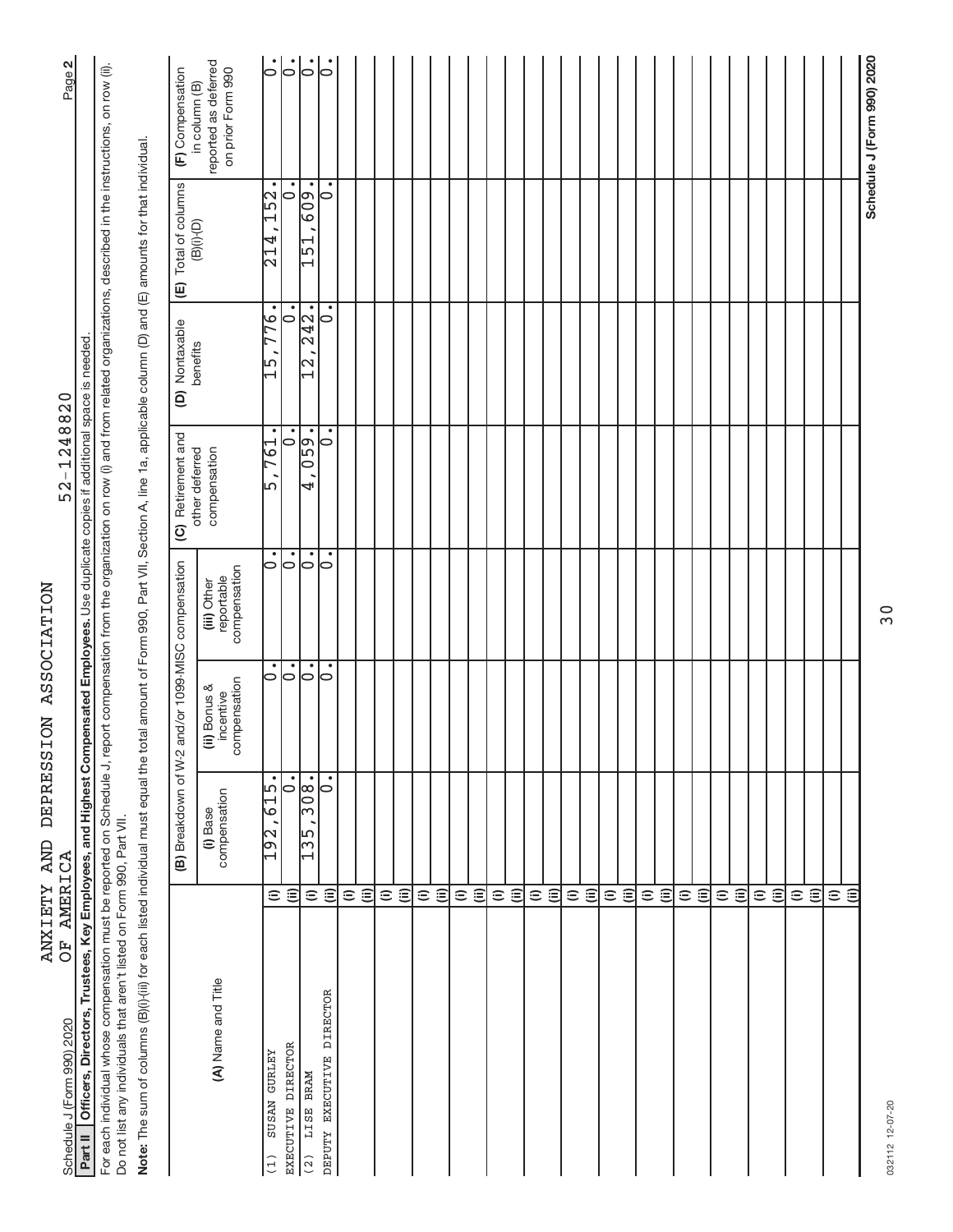| OF AMERICA<br>Schedule J (Form 990) 2020                                                                                                                                                                                                                                         |                          |                          |                                           |                                           | 52-1248820                     |                                   |                                            | Page 2                                                     |
|----------------------------------------------------------------------------------------------------------------------------------------------------------------------------------------------------------------------------------------------------------------------------------|--------------------------|--------------------------|-------------------------------------------|-------------------------------------------|--------------------------------|-----------------------------------|--------------------------------------------|------------------------------------------------------------|
| Part II   Officers, Directors, Trustees, Key Employees, and Highest Compensated Employees. Use duplicate copies if additional space is needed                                                                                                                                    |                          |                          |                                           |                                           |                                |                                   |                                            |                                                            |
| For each individual whose compensation must be reported on Schedule J, report compensation from the organization on row (i) and from related organizations, described in the instructions, on row (ii).<br>Do not list any individuals that aren't listed on Form 990, Part VII. |                          |                          |                                           |                                           |                                |                                   |                                            |                                                            |
| Note: The sum of columns (B)(i)-(iii) for each listed individual must equal the total amount of Form 990, Part VII, Section A, line 1a, applicable column (D) and (E) amounts for that individual                                                                                |                          |                          |                                           |                                           |                                |                                   |                                            |                                                            |
|                                                                                                                                                                                                                                                                                  |                          | (B) Breakdown of W-2     |                                           | and/or 1099-MISC compensation             | (C) Retirement and             | Nontaxable<br>ê                   | Total of columns<br>$\widehat{\mathbb{E}}$ | (F) Compensation                                           |
| (A) Name and Title                                                                                                                                                                                                                                                               |                          | compensation<br>(i) Base | compensation<br>(ii) Bonus &<br>incentive | compensation<br>reportable<br>(iii) Other | other deferred<br>compensation | benefits                          | $(B)(i)$ <sup>-</sup> $(D)$                | reported as deferred<br>on prior Form 990<br>in column (B) |
| SUSAN GURLEY<br>(1)                                                                                                                                                                                                                                                              | $\widehat{=}$            | $\bullet$<br>615<br>192, |                                           |                                           | $\bullet$<br>761<br>ഥ          | $\bullet$<br>776<br>$\frac{1}{1}$ | $\bullet$<br>152<br>214                    | $\dot{\circ}$                                              |
| EXECUTIVE DIRECTOR                                                                                                                                                                                                                                                               | $\widehat{\equiv}$       | ြ                        | $\dot{\circ} \dot{\circ} $                | $\frac{1}{5}$                             | 0                              | ٠<br>10                           | $\bullet$<br>$\circ$                       | $\bar{\mathbf{b}}$                                         |
| $(2)$ LISE BRAM                                                                                                                                                                                                                                                                  | $\widehat{=}$            | 308.<br>135              | $\mathsf{S}$                              | ြ                                         | 059.<br>4                      | $\sqrt{242}$ .<br>$\frac{1}{2}$   | $\bullet$<br>$\frac{60}{3}$<br>151         | $\dot{\overline{\circ}}$                                   |
| DEPUTY EXECUTIVE DIRECTOR                                                                                                                                                                                                                                                        | $\widehat{\equiv}$       | $\bullet$<br>$\circ$     | $\bullet$<br>$\circ$                      | $\bullet$<br>$\circ$                      | $\bullet$<br>$\circ$           | ٠<br>$\circ$                      | $\bullet$<br>$\overline{\bullet}$          | $\dot{\circ}$                                              |
|                                                                                                                                                                                                                                                                                  | $\widehat{=}$            |                          |                                           |                                           |                                |                                   |                                            |                                                            |
|                                                                                                                                                                                                                                                                                  | $\widehat{\equiv}$       |                          |                                           |                                           |                                |                                   |                                            |                                                            |
|                                                                                                                                                                                                                                                                                  | $\widehat{=}$            |                          |                                           |                                           |                                |                                   |                                            |                                                            |
|                                                                                                                                                                                                                                                                                  | $\widehat{\equiv}$       |                          |                                           |                                           |                                |                                   |                                            |                                                            |
|                                                                                                                                                                                                                                                                                  | $\widehat{=}$            |                          |                                           |                                           |                                |                                   |                                            |                                                            |
|                                                                                                                                                                                                                                                                                  | $\widehat{(\mathbb{H})}$ |                          |                                           |                                           |                                |                                   |                                            |                                                            |
|                                                                                                                                                                                                                                                                                  | $\widehat{=}$            |                          |                                           |                                           |                                |                                   |                                            |                                                            |
|                                                                                                                                                                                                                                                                                  | $\widehat{\equiv}$       |                          |                                           |                                           |                                |                                   |                                            |                                                            |
|                                                                                                                                                                                                                                                                                  |                          |                          |                                           |                                           |                                |                                   |                                            |                                                            |
|                                                                                                                                                                                                                                                                                  | ⊕ ⊜                      |                          |                                           |                                           |                                |                                   |                                            |                                                            |
|                                                                                                                                                                                                                                                                                  | $\widehat{=}$            |                          |                                           |                                           |                                |                                   |                                            |                                                            |
|                                                                                                                                                                                                                                                                                  | $\widehat{\mathbf{u}}$   |                          |                                           |                                           |                                |                                   |                                            |                                                            |
|                                                                                                                                                                                                                                                                                  | $\widehat{=}$            |                          |                                           |                                           |                                |                                   |                                            |                                                            |
|                                                                                                                                                                                                                                                                                  | $\widehat{\equiv}$       |                          |                                           |                                           |                                |                                   |                                            |                                                            |
|                                                                                                                                                                                                                                                                                  |                          |                          |                                           |                                           |                                |                                   |                                            |                                                            |
|                                                                                                                                                                                                                                                                                  | ΞÊ                       |                          |                                           |                                           |                                |                                   |                                            |                                                            |
|                                                                                                                                                                                                                                                                                  | $\widehat{=}$            |                          |                                           |                                           |                                |                                   |                                            |                                                            |
|                                                                                                                                                                                                                                                                                  | $\widehat{=}$            |                          |                                           |                                           |                                |                                   |                                            |                                                            |
|                                                                                                                                                                                                                                                                                  | $\widehat{\equiv}$       |                          |                                           |                                           |                                |                                   |                                            |                                                            |
|                                                                                                                                                                                                                                                                                  |                          |                          |                                           |                                           |                                |                                   |                                            |                                                            |
|                                                                                                                                                                                                                                                                                  |                          |                          |                                           |                                           |                                |                                   |                                            |                                                            |
|                                                                                                                                                                                                                                                                                  | ΞÊ                       |                          |                                           |                                           |                                |                                   |                                            |                                                            |
|                                                                                                                                                                                                                                                                                  | $\widehat{=}$            |                          |                                           |                                           |                                |                                   |                                            |                                                            |
|                                                                                                                                                                                                                                                                                  | $\widehat{\equiv}$       |                          |                                           |                                           |                                |                                   |                                            |                                                            |
|                                                                                                                                                                                                                                                                                  | $\widehat{=}$            |                          |                                           |                                           |                                |                                   |                                            |                                                            |
|                                                                                                                                                                                                                                                                                  | $\widehat{\equiv}$       |                          |                                           |                                           |                                |                                   |                                            |                                                            |
|                                                                                                                                                                                                                                                                                  |                          |                          |                                           |                                           |                                |                                   |                                            |                                                            |
|                                                                                                                                                                                                                                                                                  | ΞÊ                       |                          |                                           |                                           |                                |                                   |                                            |                                                            |
|                                                                                                                                                                                                                                                                                  |                          |                          |                                           |                                           |                                |                                   |                                            | Schedule J (Form 990) 2020                                 |
| 032112 12-07-20                                                                                                                                                                                                                                                                  |                          |                          |                                           | $\overline{3}0$                           |                                |                                   |                                            |                                                            |

032112 12-07-20 032112 12-07-20

ANXIETY AND DEPRESSION ASSOCIATION

 $\begin{tabular}{cc} AMX I ETY & AND & DEPRES S I ON & ASSOC I ATTON \\ OF & AMER I CA & \end{tabular}$ 

52-1248820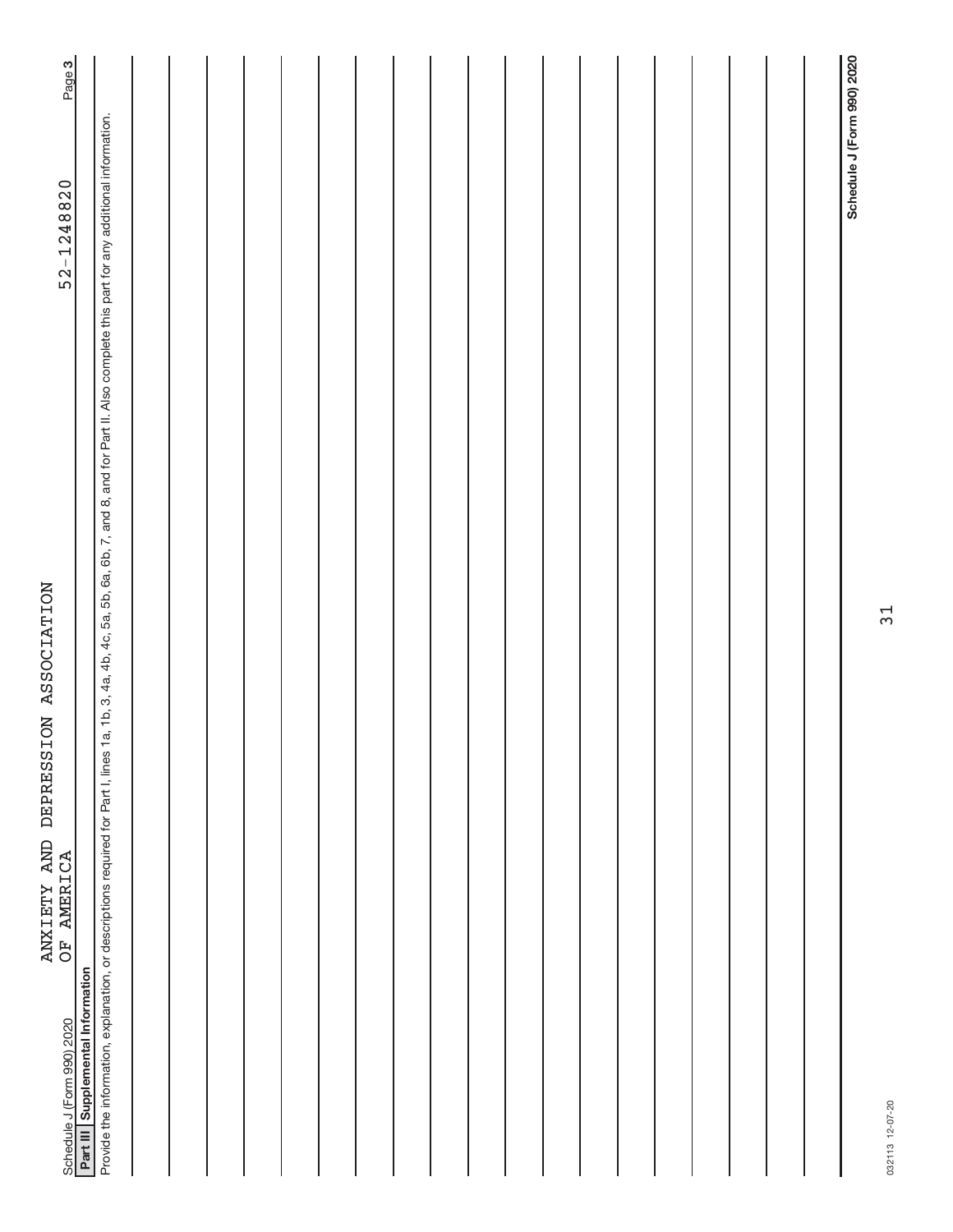| Provide the information, explanation, or descriptions required for Part I, lines 1a, 1b, 3, 4a, 4b, 4c, 5a, 5b, 6a, 6b, 7, and 8, and 16 reart 1. Also complete this part for any additional information.<br>ANXIETY AND DEPRESSION ASSOCIATION | 52-1248820                 | Page 3 |
|-------------------------------------------------------------------------------------------------------------------------------------------------------------------------------------------------------------------------------------------------|----------------------------|--------|
|                                                                                                                                                                                                                                                 |                            |        |
|                                                                                                                                                                                                                                                 |                            |        |
|                                                                                                                                                                                                                                                 |                            |        |
|                                                                                                                                                                                                                                                 |                            |        |
|                                                                                                                                                                                                                                                 |                            |        |
|                                                                                                                                                                                                                                                 |                            |        |
|                                                                                                                                                                                                                                                 |                            |        |
|                                                                                                                                                                                                                                                 |                            |        |
|                                                                                                                                                                                                                                                 |                            |        |
|                                                                                                                                                                                                                                                 |                            |        |
|                                                                                                                                                                                                                                                 |                            |        |
|                                                                                                                                                                                                                                                 |                            |        |
|                                                                                                                                                                                                                                                 |                            |        |
|                                                                                                                                                                                                                                                 |                            |        |
|                                                                                                                                                                                                                                                 |                            |        |
|                                                                                                                                                                                                                                                 |                            |        |
|                                                                                                                                                                                                                                                 | Schedule J (Form 990) 2020 |        |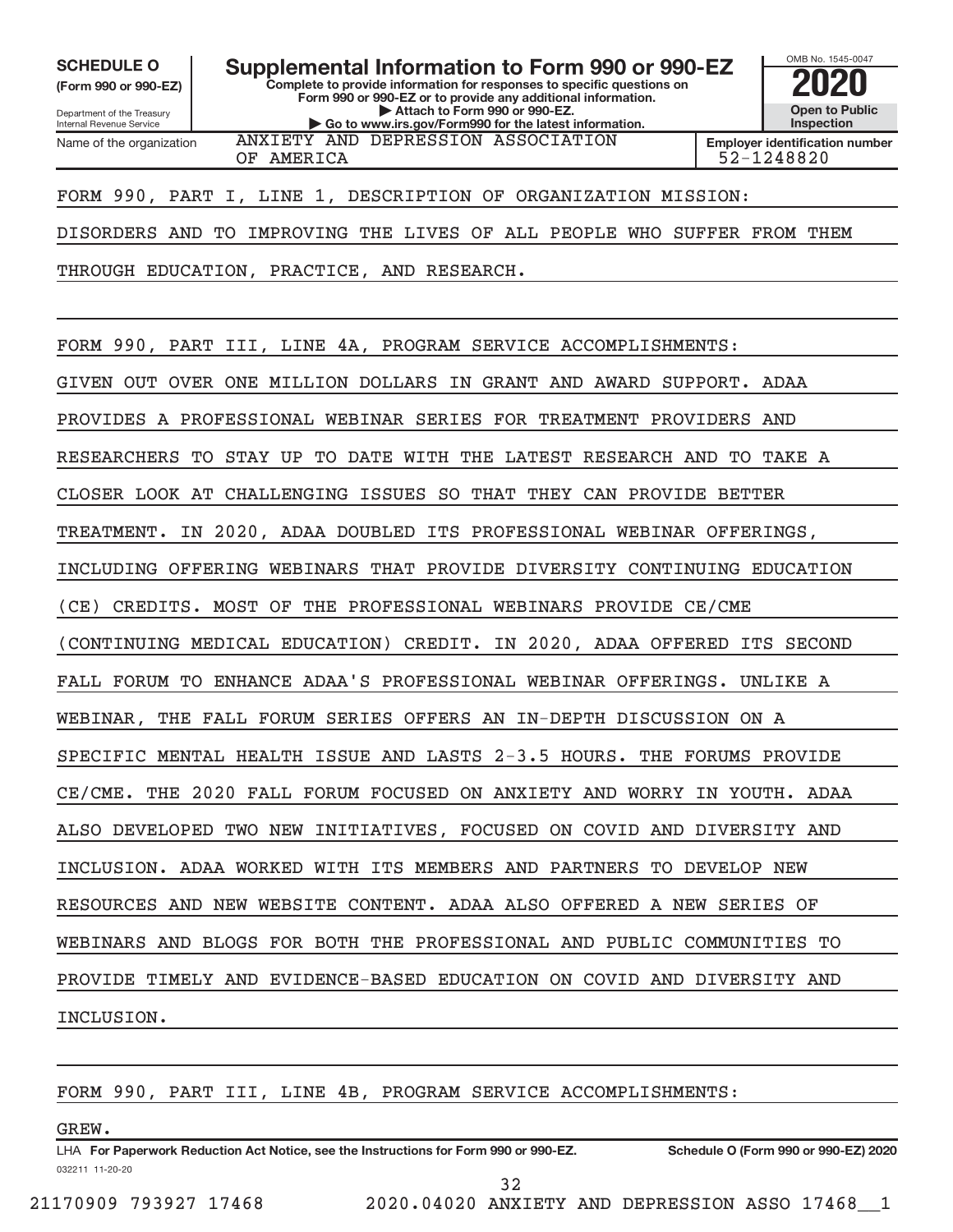Internal Revenue Service

Department of the Treasury **(Form 990 or 990-EZ)**

Name of the organization

**Complete to provide information for responses to specific questions on Form 990 or 990-EZ or to provide any additional information. | Attach to Form 990 or 990-EZ. | Go to www.irs.gov/Form990 for the latest information. SCHEDULE O Supplemental Information to Form 990 or 990-EZ 2020** 



OF AMERICA 52-1248820

FORM 990, PART I, LINE 1, DESCRIPTION OF ORGANIZATION MISSION:

ANXIETY AND DEPRESSION ASSOCIATION

DISORDERS AND TO IMPROVING THE LIVES OF ALL PEOPLE WHO SUFFER FROM THEM

THROUGH EDUCATION, PRACTICE, AND RESEARCH.

FORM 990, PART III, LINE 4A, PROGRAM SERVICE ACCOMPLISHMENTS:

GIVEN OUT OVER ONE MILLION DOLLARS IN GRANT AND AWARD SUPPORT. ADAA

PROVIDES A PROFESSIONAL WEBINAR SERIES FOR TREATMENT PROVIDERS AND

RESEARCHERS TO STAY UP TO DATE WITH THE LATEST RESEARCH AND TO TAKE A

CLOSER LOOK AT CHALLENGING ISSUES SO THAT THEY CAN PROVIDE BETTER

TREATMENT. IN 2020, ADAA DOUBLED ITS PROFESSIONAL WEBINAR OFFERINGS,

INCLUDING OFFERING WEBINARS THAT PROVIDE DIVERSITY CONTINUING EDUCATION

(CE) CREDITS. MOST OF THE PROFESSIONAL WEBINARS PROVIDE CE/CME

(CONTINUING MEDICAL EDUCATION) CREDIT. IN 2020, ADAA OFFERED ITS SECOND

FALL FORUM TO ENHANCE ADAA'S PROFESSIONAL WEBINAR OFFERINGS. UNLIKE A

WEBINAR, THE FALL FORUM SERIES OFFERS AN IN-DEPTH DISCUSSION ON A

SPECIFIC MENTAL HEALTH ISSUE AND LASTS 2-3.5 HOURS. THE FORUMS PROVIDE

CE/CME. THE 2020 FALL FORUM FOCUSED ON ANXIETY AND WORRY IN YOUTH. ADAA

ALSO DEVELOPED TWO NEW INITIATIVES, FOCUSED ON COVID AND DIVERSITY AND

INCLUSION. ADAA WORKED WITH ITS MEMBERS AND PARTNERS TO DEVELOP NEW

RESOURCES AND NEW WEBSITE CONTENT. ADAA ALSO OFFERED A NEW SERIES OF

WEBINARS AND BLOGS FOR BOTH THE PROFESSIONAL AND PUBLIC COMMUNITIES TO

PROVIDE TIMELY AND EVIDENCE-BASED EDUCATION ON COVID AND DIVERSITY AND

INCLUSION.

FORM 990, PART III, LINE 4B, PROGRAM SERVICE ACCOMPLISHMENTS:

#### GREW.

032211 11-20-20 **For Paperwork Reduction Act Notice, see the Instructions for Form 990 or 990-EZ. Schedule O (Form 990 or 990-EZ) 2020** LHA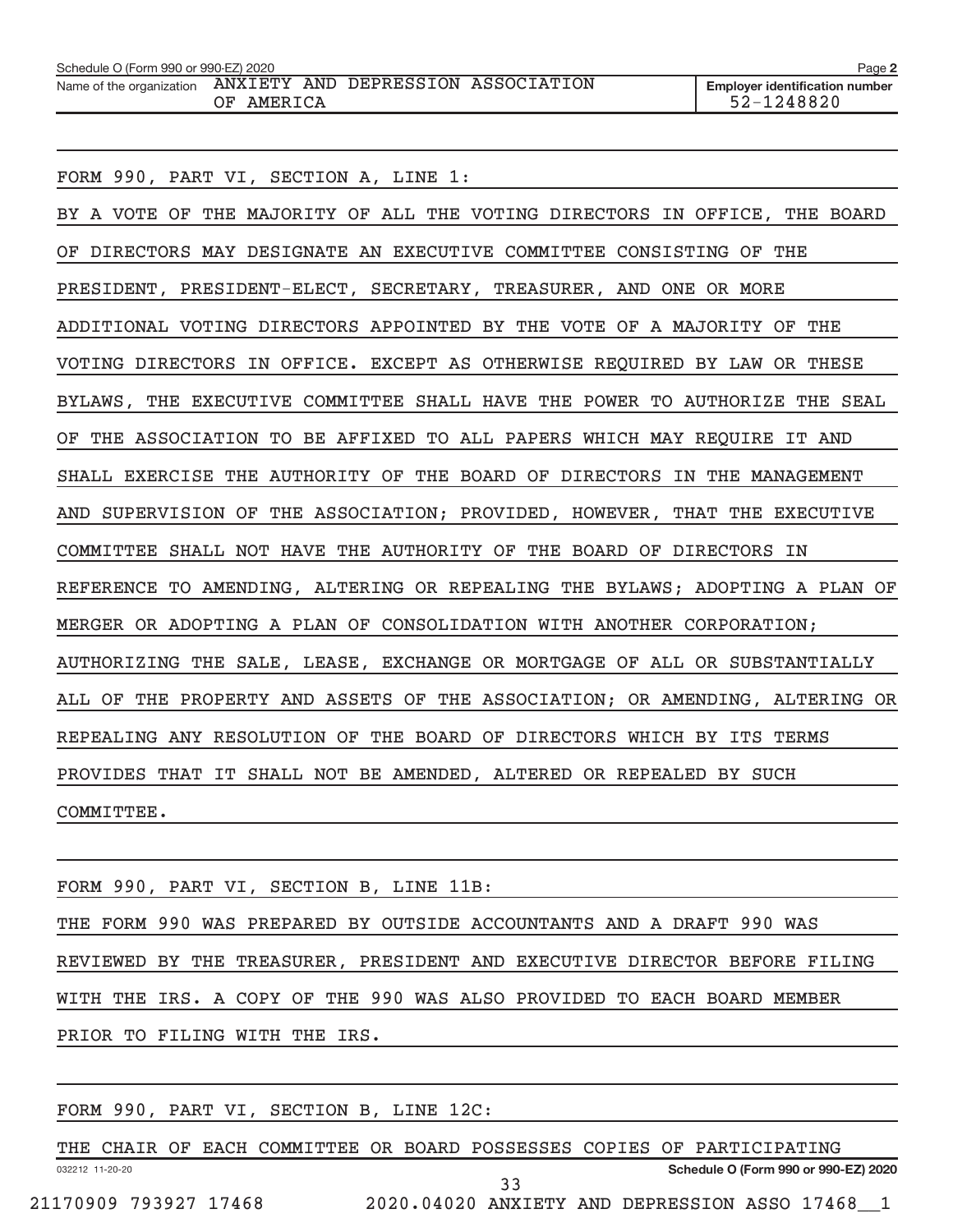|                          | Schedule O (Form 990 or 990-EZ) 2020<br>Page 2 |  |  |                                    |  |                                       |  |  |  |
|--------------------------|------------------------------------------------|--|--|------------------------------------|--|---------------------------------------|--|--|--|
| Name of the organization |                                                |  |  | ANXIETY AND DEPRESSION ASSOCIATION |  | <b>Employer identification number</b> |  |  |  |
|                          | AMERICA<br>OF                                  |  |  |                                    |  | 52-1248820                            |  |  |  |

FORM 990, PART VI, SECTION A, LINE 1:

BY A VOTE OF THE MAJORITY OF ALL THE VOTING DIRECTORS IN OFFICE, THE BOARD OF DIRECTORS MAY DESIGNATE AN EXECUTIVE COMMITTEE CONSISTING OF THE PRESIDENT, PRESIDENT-ELECT, SECRETARY, TREASURER, AND ONE OR MORE ADDITIONAL VOTING DIRECTORS APPOINTED BY THE VOTE OF A MAJORITY OF THE VOTING DIRECTORS IN OFFICE. EXCEPT AS OTHERWISE REQUIRED BY LAW OR THESE BYLAWS, THE EXECUTIVE COMMITTEE SHALL HAVE THE POWER TO AUTHORIZE THE SEAL OF THE ASSOCIATION TO BE AFFIXED TO ALL PAPERS WHICH MAY REQUIRE IT AND SHALL EXERCISE THE AUTHORITY OF THE BOARD OF DIRECTORS IN THE MANAGEMENT AND SUPERVISION OF THE ASSOCIATION; PROVIDED, HOWEVER, THAT THE EXECUTIVE COMMITTEE SHALL NOT HAVE THE AUTHORITY OF THE BOARD OF DIRECTORS IN REFERENCE TO AMENDING, ALTERING OR REPEALING THE BYLAWS; ADOPTING A PLAN OF MERGER OR ADOPTING A PLAN OF CONSOLIDATION WITH ANOTHER CORPORATION; AUTHORIZING THE SALE, LEASE, EXCHANGE OR MORTGAGE OF ALL OR SUBSTANTIALLY ALL OF THE PROPERTY AND ASSETS OF THE ASSOCIATION; OR AMENDING, ALTERING OR REPEALING ANY RESOLUTION OF THE BOARD OF DIRECTORS WHICH BY ITS TERMS PROVIDES THAT IT SHALL NOT BE AMENDED, ALTERED OR REPEALED BY SUCH COMMITTEE.

FORM 990, PART VI, SECTION B, LINE 11B: THE FORM 990 WAS PREPARED BY OUTSIDE ACCOUNTANTS AND A DRAFT 990 WAS REVIEWED BY THE TREASURER, PRESIDENT AND EXECUTIVE DIRECTOR BEFORE FILING WITH THE IRS. A COPY OF THE 990 WAS ALSO PROVIDED TO EACH BOARD MEMBER PRIOR TO FILING WITH THE IRS.

FORM 990, PART VI, SECTION B, LINE 12C:

032212 11-20-20 **Schedule O (Form 990 or 990-EZ) 2020** THE CHAIR OF EACH COMMITTEE OR BOARD POSSESSES COPIES OF PARTICIPATING 21170909 793927 17468 2020.04020 ANXIETY AND DEPRESSION ASSO 17468\_\_1 33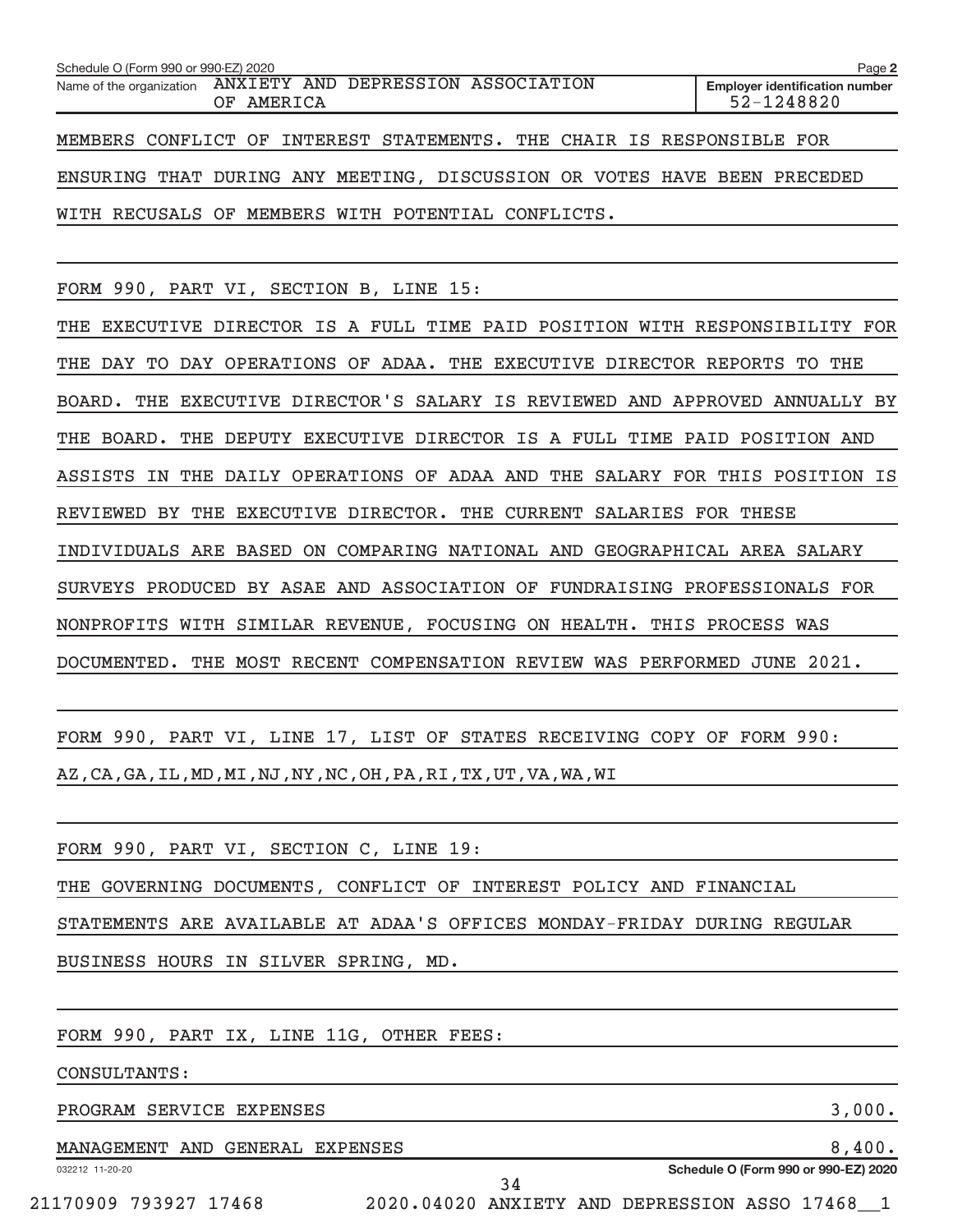| Schedule O (Form 990 or 990-EZ) 2020                                      | Page 2                                                                   |
|---------------------------------------------------------------------------|--------------------------------------------------------------------------|
| Name of the organization ANXIETY AND DEPRESSION ASSOCIATION<br>OF AMERICA | <b>Employer identification number</b><br>52-1248820                      |
|                                                                           | MEMBERS CONFLICT OF INTEREST STATEMENTS. THE CHAIR IS RESPONSIBLE FOR    |
|                                                                           | ENSURING THAT DURING ANY MEETING, DISCUSSION OR VOTES HAVE BEEN PRECEDED |
| WITH RECUSALS OF MEMBERS WITH POTENTIAL CONFLICTS.                        |                                                                          |

FORM 990, PART VI, SECTION B, LINE 15:

THE EXECUTIVE DIRECTOR IS A FULL TIME PAID POSITION WITH RESPONSIBILITY FOR THE DAY TO DAY OPERATIONS OF ADAA. THE EXECUTIVE DIRECTOR REPORTS TO THE BOARD. THE EXECUTIVE DIRECTOR'S SALARY IS REVIEWED AND APPROVED ANNUALLY BY THE BOARD. THE DEPUTY EXECUTIVE DIRECTOR IS A FULL TIME PAID POSITION AND ASSISTS IN THE DAILY OPERATIONS OF ADAA AND THE SALARY FOR THIS POSITION IS REVIEWED BY THE EXECUTIVE DIRECTOR. THE CURRENT SALARIES FOR THESE INDIVIDUALS ARE BASED ON COMPARING NATIONAL AND GEOGRAPHICAL AREA SALARY SURVEYS PRODUCED BY ASAE AND ASSOCIATION OF FUNDRAISING PROFESSIONALS FOR NONPROFITS WITH SIMILAR REVENUE, FOCUSING ON HEALTH. THIS PROCESS WAS DOCUMENTED. THE MOST RECENT COMPENSATION REVIEW WAS PERFORMED JUNE 2021.

FORM 990, PART VI, LINE 17, LIST OF STATES RECEIVING COPY OF FORM 990: AZ,CA,GA,IL,MD,MI,NJ,NY,NC,OH,PA,RI,TX,UT,VA,WA,WI

| FORM 990, PART VI, SECTION C, LINE 19:                                  |  |
|-------------------------------------------------------------------------|--|
| THE GOVERNING DOCUMENTS, CONFLICT OF INTEREST POLICY AND FINANCIAL      |  |
| STATEMENTS ARE AVAILABLE AT ADAA'S OFFICES MONDAY-FRIDAY DURING REGULAR |  |
| BUSINESS HOURS IN SILVER SPRING, MD.                                    |  |
|                                                                         |  |

FORM 990, PART IX, LINE 11G, OTHER FEES:

CONSULTANTS:

PROGRAM SERVICE EXPENSES 3,000.

MANAGEMENT AND GENERAL EXPENSES **8,400.** 

032212 11-20-20

**Schedule O (Form 990 or 990-EZ) 2020**

21170909 793927 17468 2020.04020 ANXIETY AND DEPRESSION ASSO 17468\_\_1

34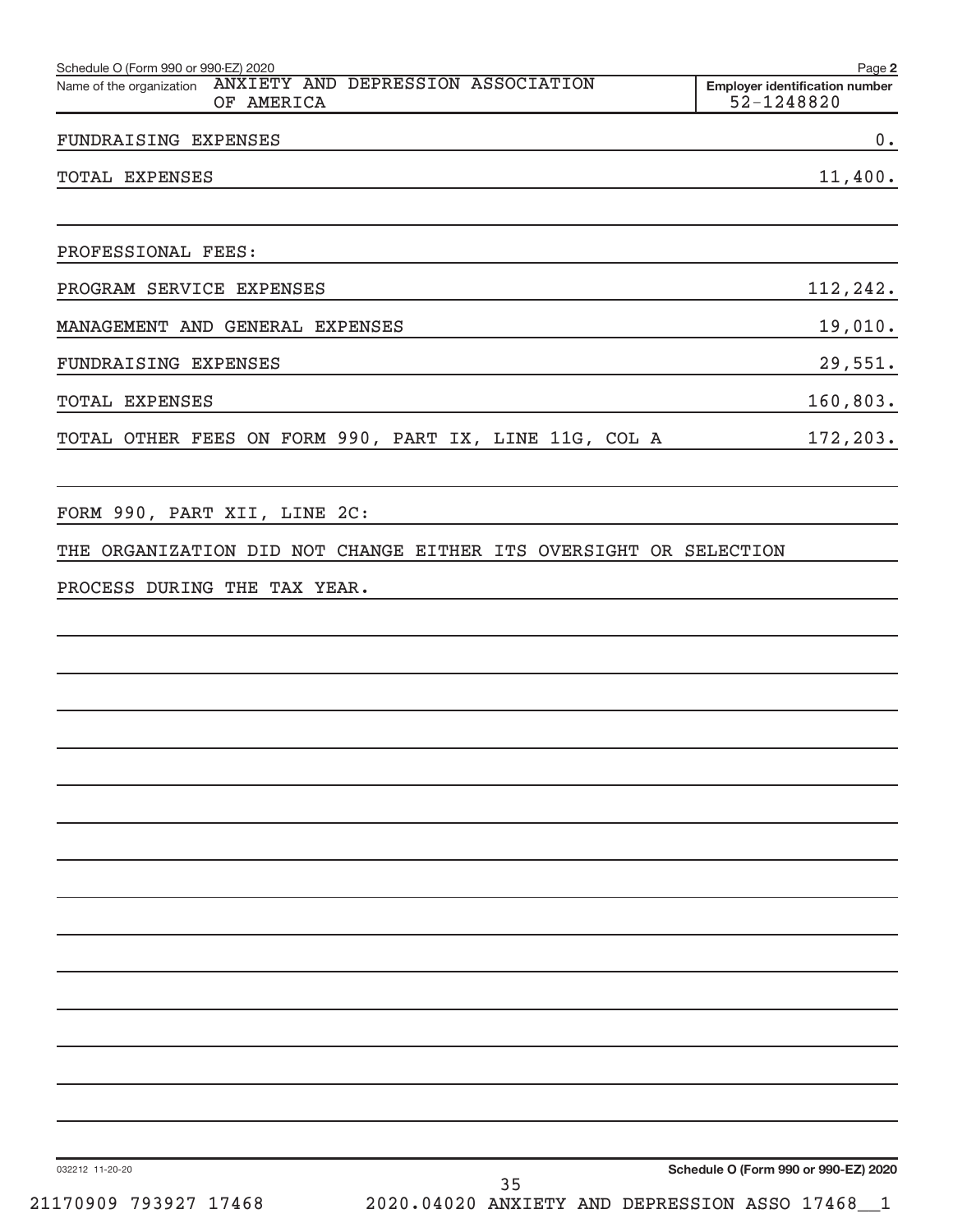| Schedule O (Form 990 or 990-EZ) 2020<br>Name of the organization ANXIETY AND DEPRESSION ASSOCIATION |            |  | Page 2                                              |
|-----------------------------------------------------------------------------------------------------|------------|--|-----------------------------------------------------|
|                                                                                                     | OF AMERICA |  | <b>Employer identification number</b><br>52-1248820 |
| FUNDRAISING EXPENSES                                                                                |            |  | 0.                                                  |
| TOTAL EXPENSES                                                                                      |            |  | 11,400.                                             |
| PROFESSIONAL FEES:                                                                                  |            |  |                                                     |
| PROGRAM SERVICE EXPENSES                                                                            |            |  | 112,242.                                            |
| MANAGEMENT AND GENERAL EXPENSES                                                                     |            |  | 19,010.                                             |
| FUNDRAISING EXPENSES                                                                                |            |  | 29,551.                                             |
| TOTAL EXPENSES                                                                                      |            |  | 160,803.                                            |
| TOTAL OTHER FEES ON FORM 990, PART IX, LINE 11G, COL A                                              |            |  | 172,203.                                            |
| FORM 990, PART XII, LINE 2C:                                                                        |            |  |                                                     |
| THE ORGANIZATION DID NOT CHANGE EITHER ITS OVERSIGHT OR SELECTION                                   |            |  |                                                     |
| PROCESS DURING THE TAX YEAR.                                                                        |            |  |                                                     |
|                                                                                                     |            |  |                                                     |
|                                                                                                     |            |  |                                                     |
|                                                                                                     |            |  |                                                     |
|                                                                                                     |            |  |                                                     |
|                                                                                                     |            |  |                                                     |
|                                                                                                     |            |  |                                                     |
|                                                                                                     |            |  |                                                     |
|                                                                                                     |            |  |                                                     |
|                                                                                                     |            |  |                                                     |
|                                                                                                     |            |  |                                                     |
|                                                                                                     |            |  |                                                     |
|                                                                                                     |            |  |                                                     |
|                                                                                                     |            |  |                                                     |
|                                                                                                     |            |  |                                                     |
| 032212 11-20-20                                                                                     |            |  | Schedule O (Form 990 or 990-EZ) 2020                |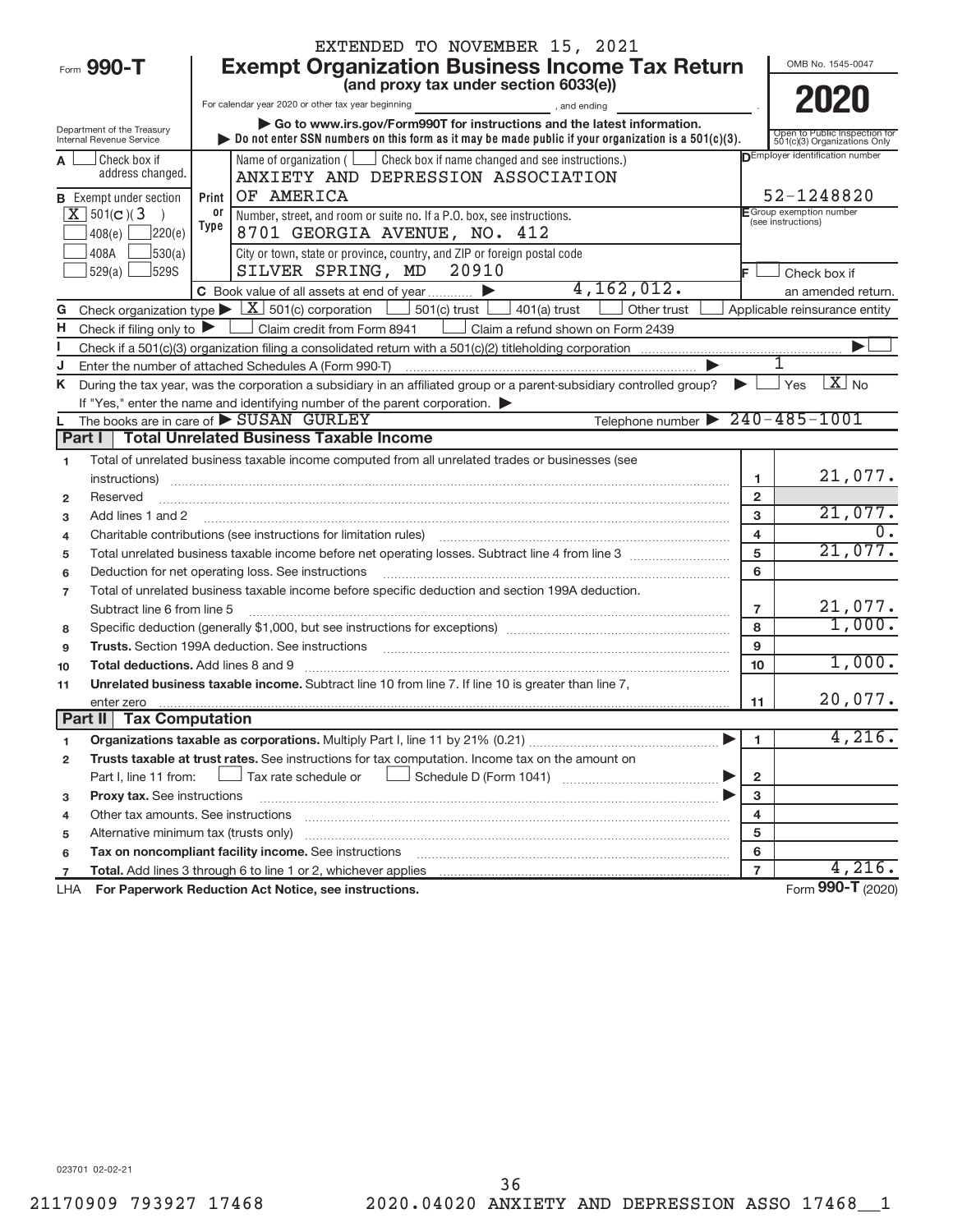|                                                     |                                            | EXTENDED TO NOVEMBER 15, 2021                                                                                                                                                                                                 |                         |                                                               |  |  |
|-----------------------------------------------------|--------------------------------------------|-------------------------------------------------------------------------------------------------------------------------------------------------------------------------------------------------------------------------------|-------------------------|---------------------------------------------------------------|--|--|
| Form 990-T                                          |                                            | OMB No. 1545-0047                                                                                                                                                                                                             |                         |                                                               |  |  |
|                                                     |                                            | <b>Exempt Organization Business Income Tax Return</b><br>(and proxy tax under section 6033(e))                                                                                                                                |                         |                                                               |  |  |
|                                                     |                                            | For calendar year 2020 or other tax year beginning<br>and ending and ending                                                                                                                                                   |                         | 2020                                                          |  |  |
| Department of the Treasury                          |                                            | Go to www.irs.gov/Form990T for instructions and the latest information.                                                                                                                                                       |                         |                                                               |  |  |
| Internal Revenue Service                            |                                            | Do not enter SSN numbers on this form as it may be made public if your organization is a $501(c)(3)$ .                                                                                                                        |                         | Open to Public Inspection for<br>501(c)(3) Organizations Only |  |  |
| Check box if<br>address changed.                    |                                            | Name of organization ( $\Box$ Check box if name changed and see instructions.)                                                                                                                                                |                         | DEmployer identification number                               |  |  |
|                                                     |                                            | ANXIETY AND DEPRESSION ASSOCIATION                                                                                                                                                                                            |                         |                                                               |  |  |
| <b>B</b> Exempt under section                       | Print                                      | OF AMERICA                                                                                                                                                                                                                    |                         | 52-1248820                                                    |  |  |
| $X$ 501(c)(3)                                       | 0r<br>Type                                 | Number, street, and room or suite no. If a P.O. box, see instructions.                                                                                                                                                        |                         | E Group exemption number<br>(see instructions)                |  |  |
| 7220(e)<br>408(e)                                   |                                            | 8701 GEORGIA AVENUE, NO. 412                                                                                                                                                                                                  |                         |                                                               |  |  |
| 30(a)<br>408A                                       |                                            | City or town, state or province, country, and ZIP or foreign postal code                                                                                                                                                      |                         |                                                               |  |  |
| 529(a)<br>1529S                                     |                                            | SILVER SPRING, MD 20910<br>$\overline{4,162,012}$ .                                                                                                                                                                           |                         | Check box if                                                  |  |  |
|                                                     |                                            | C Book value of all assets at end of year                                                                                                                                                                                     |                         | an amended return.                                            |  |  |
| G<br>н.                                             |                                            | Check organization type $\blacktriangleright$ $\boxed{X}$ 501(c) corporation<br>$501(c)$ trust $\lfloor$<br>Other trust<br>401(a) trust<br>$\perp$ Claim credit from Form 8941 $\quad \Box$ Claim a refund shown on Form 2439 |                         | Applicable reinsurance entity                                 |  |  |
| Check if filing only to $\blacktriangleright$<br>J. |                                            |                                                                                                                                                                                                                               |                         |                                                               |  |  |
| J                                                   |                                            |                                                                                                                                                                                                                               |                         |                                                               |  |  |
| K                                                   |                                            | During the tax year, was the corporation a subsidiary in an affiliated group or a parent-subsidiary controlled group?                                                                                                         | $\blacktriangleright$ 1 | $X_{N0}$<br>Yes                                               |  |  |
|                                                     |                                            | If "Yes," enter the name and identifying number of the parent corporation.                                                                                                                                                    |                         |                                                               |  |  |
| L                                                   |                                            | Telephone number $\triangleright$ 240-485-1001<br>The books are in care of SUSAN GURLEY                                                                                                                                       |                         |                                                               |  |  |
| Part I I                                            |                                            | <b>Total Unrelated Business Taxable Income</b>                                                                                                                                                                                |                         |                                                               |  |  |
| 1                                                   |                                            | Total of unrelated business taxable income computed from all unrelated trades or businesses (see                                                                                                                              |                         |                                                               |  |  |
| instructions)                                       |                                            |                                                                                                                                                                                                                               | 1                       | 21,077.                                                       |  |  |
| Reserved<br>$\overline{2}$                          |                                            |                                                                                                                                                                                                                               | $\mathbf{2}$            |                                                               |  |  |
| Add lines 1 and 2<br>з                              |                                            |                                                                                                                                                                                                                               | 3                       | 21,077.                                                       |  |  |
| 4                                                   |                                            |                                                                                                                                                                                                                               | $\overline{\mathbf{4}}$ |                                                               |  |  |
| 5                                                   |                                            |                                                                                                                                                                                                                               | 5                       | 21,077.                                                       |  |  |
| 6                                                   |                                            | Deduction for net operating loss. See instructions                                                                                                                                                                            | 6                       |                                                               |  |  |
| $\overline{7}$                                      |                                            | Total of unrelated business taxable income before specific deduction and section 199A deduction.                                                                                                                              |                         |                                                               |  |  |
| Subtract line 6 from line 5                         |                                            |                                                                                                                                                                                                                               | $\overline{7}$          | 21,077.                                                       |  |  |
| 8                                                   |                                            |                                                                                                                                                                                                                               | 8                       | 1,000.                                                        |  |  |
| 9                                                   |                                            |                                                                                                                                                                                                                               | 9                       | 1,000.                                                        |  |  |
| 10                                                  | <b>Total deductions.</b> Add lines 8 and 9 |                                                                                                                                                                                                                               |                         |                                                               |  |  |
| 11                                                  |                                            | Unrelated business taxable income. Subtract line 10 from line 7. If line 10 is greater than line 7,                                                                                                                           |                         |                                                               |  |  |
| enter zero                                          |                                            |                                                                                                                                                                                                                               | 11                      | 20,077.                                                       |  |  |
| <b>Part II</b><br><b>Tax Computation</b>            |                                            |                                                                                                                                                                                                                               |                         |                                                               |  |  |
| 1                                                   |                                            |                                                                                                                                                                                                                               | 1                       | 4,216.                                                        |  |  |
| $\overline{2}$                                      |                                            | Trusts taxable at trust rates. See instructions for tax computation. Income tax on the amount on                                                                                                                              |                         |                                                               |  |  |
| Part I, line 11 from:                               |                                            | Tax rate schedule or                                                                                                                                                                                                          | 2                       |                                                               |  |  |
| Proxy tax. See instructions<br>3                    |                                            |                                                                                                                                                                                                                               | $\mathbf 3$<br>▶        |                                                               |  |  |
| 4                                                   | 4<br>Other tax amounts. See instructions   |                                                                                                                                                                                                                               |                         |                                                               |  |  |
| Alternative minimum tax (trusts only)<br>5          |                                            |                                                                                                                                                                                                                               | 5                       |                                                               |  |  |
| 6                                                   |                                            | Tax on noncompliant facility income. See instructions                                                                                                                                                                         | 6                       |                                                               |  |  |
| 7                                                   |                                            | Total. Add lines 3 through 6 to line 1 or 2, whichever applies                                                                                                                                                                | $\overline{7}$          | 4,216.                                                        |  |  |
| LHA                                                 |                                            | For Paperwork Reduction Act Notice, see instructions.                                                                                                                                                                         |                         | Form 990-T (2020)                                             |  |  |

023701 02-02-21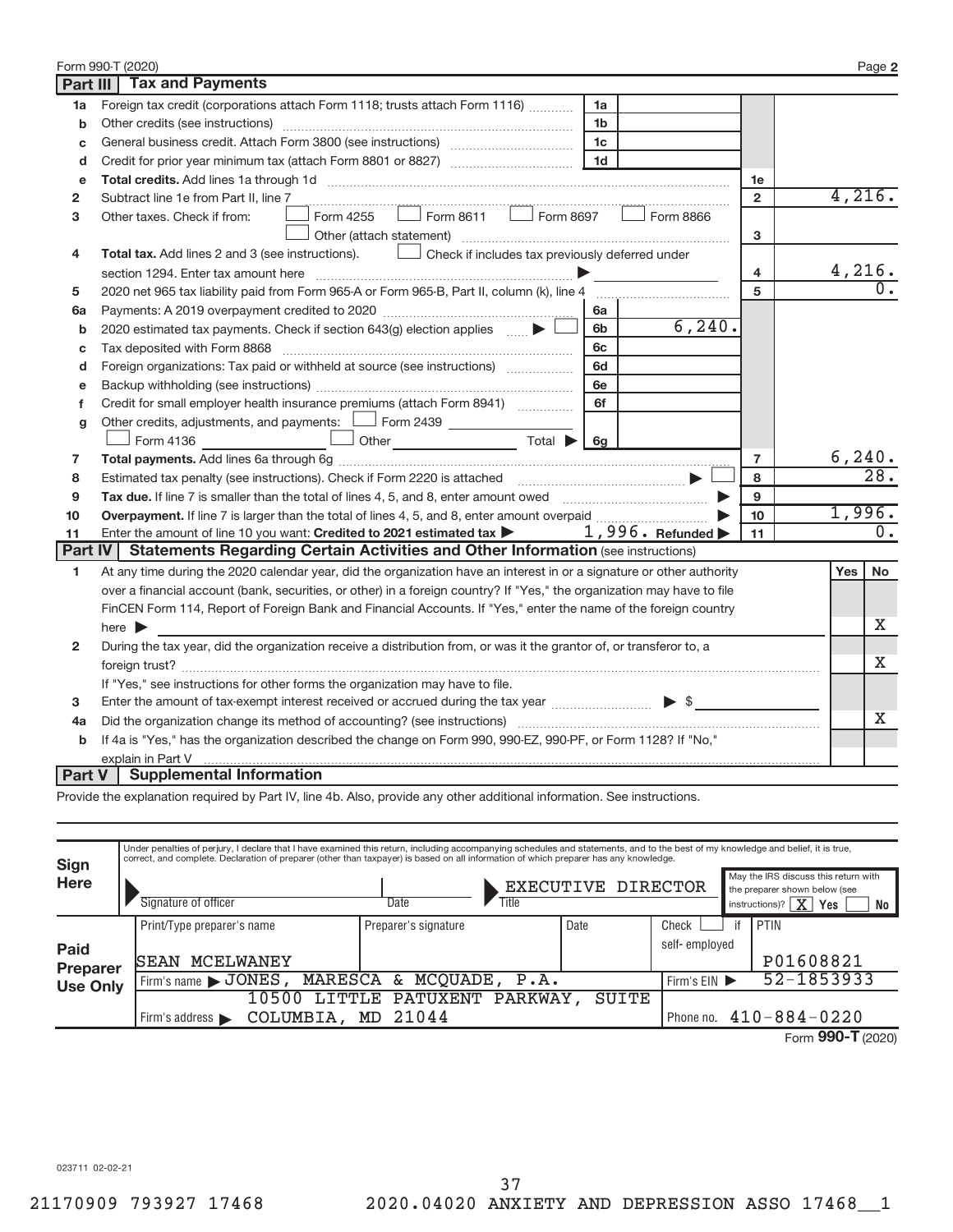|                | Form 990-T (2020)                                                                                                       |                |  |         | Page 2            |
|----------------|-------------------------------------------------------------------------------------------------------------------------|----------------|--|---------|-------------------|
| Part III       | <b>Tax and Payments</b>                                                                                                 |                |  |         |                   |
| 1a             | Foreign tax credit (corporations attach Form 1118; trusts attach Form 1116)<br>1a                                       |                |  |         |                   |
| b              | Other credits (see instructions)<br>1b                                                                                  |                |  |         |                   |
| c              | 1c                                                                                                                      |                |  |         |                   |
| d              | 1 <sub>d</sub>                                                                                                          |                |  |         |                   |
| e              |                                                                                                                         | 1e             |  |         |                   |
| 2              | Subtract line 1e from Part II, line 7                                                                                   | $\overline{2}$ |  | 4,216.  |                   |
| 3              | $\Box$ Form 8611 $\Box$ Form 8697<br>Form 8866<br>Form 4255<br>Other taxes. Check if from:<br>Other (attach statement)  | 3              |  |         |                   |
| 4              | Total tax. Add lines 2 and 3 (see instructions). Later Check if includes tax previously deferred under                  |                |  |         |                   |
|                | section 1294. Enter tax amount here<br>$\blacksquare$                                                                   | 4              |  | 4,216.  |                   |
| 5              | 2020 net 965 tax liability paid from Form 965-A or Form 965-B, Part II, column (k), line 4                              | 5              |  |         |                   |
| 6a             | 6a                                                                                                                      |                |  |         |                   |
| b              | 6, 240.<br>2020 estimated tax payments. Check if section 643(g) election applies<br>6b                                  |                |  |         |                   |
| c              | 6c                                                                                                                      |                |  |         |                   |
| d              | Foreign organizations: Tax paid or withheld at source (see instructions) [<br>6d                                        |                |  |         |                   |
| е              | 6e                                                                                                                      |                |  |         |                   |
| f              | Credit for small employer health insurance premiums (attach Form 8941)<br>6f                                            |                |  |         |                   |
| g              | Other credits, adjustments, and payments: $\Box$ Form 2439                                                              |                |  |         |                   |
|                | $\Box$ Other Total $\Box$ Other Total $\Box$ Gg                                                                         |                |  |         |                   |
| 7              |                                                                                                                         | $\overline{7}$ |  | 6, 240. |                   |
| 8              |                                                                                                                         | 8              |  |         | $\overline{28}$ . |
| 9              |                                                                                                                         | 9              |  |         |                   |
| 10             |                                                                                                                         | 10             |  | 1,996.  |                   |
| 11             | $1,996$ · Refunded<br>Enter the amount of line 10 you want: Credited to 2021 estimated tax $\blacktriangleright$        | 11             |  |         | 0.                |
| <b>Part IV</b> | <b>Statements Regarding Certain Activities and Other Information (see instructions)</b>                                 |                |  |         |                   |
| 1              | At any time during the 2020 calendar year, did the organization have an interest in or a signature or other authority   |                |  | Yes     | No                |
|                | over a financial account (bank, securities, or other) in a foreign country? If "Yes," the organization may have to file |                |  |         |                   |
|                | FinCEN Form 114, Report of Foreign Bank and Financial Accounts. If "Yes," enter the name of the foreign country         |                |  |         |                   |
|                | here $\blacktriangleright$                                                                                              |                |  |         | Х                 |
| $\mathbf{2}$   | During the tax year, did the organization receive a distribution from, or was it the grantor of, or transferor to, a    |                |  |         |                   |
|                |                                                                                                                         |                |  |         | Χ                 |
|                | If "Yes," see instructions for other forms the organization may have to file.                                           |                |  |         |                   |
| 3              | Enter the amount of tax-exempt interest received or accrued during the tax year $\frac{1}{12}$                          |                |  |         |                   |
| 4a             | Х                                                                                                                       |                |  |         |                   |
| b              | If 4a is "Yes," has the organization described the change on Form 990, 990-EZ, 990-PF, or Form 1128? If "No,"           |                |  |         |                   |
|                | explain in Part V                                                                                                       |                |  |         |                   |
| <b>Part V</b>  | <b>Supplemental Information</b>                                                                                         |                |  |         |                   |

Provide the explanation required by Part IV, line 4b. Also, provide any other additional information. See instructions.

| Sign            | Under penalties of perjury, I declare that I have examined this return, including accompanying schedules and statements, and to the best of my knowledge and belief, it is true,<br>correct, and complete. Declaration of preparer (other than taxpayer) is based on all information of which preparer has any knowledge. |                                                      |      |               |    |                                                                                                                      |  |  |
|-----------------|---------------------------------------------------------------------------------------------------------------------------------------------------------------------------------------------------------------------------------------------------------------------------------------------------------------------------|------------------------------------------------------|------|---------------|----|----------------------------------------------------------------------------------------------------------------------|--|--|
| Here            | Signature of officer                                                                                                                                                                                                                                                                                                      | EXECUTIVE DIRECTOR<br>Title<br>Date                  |      |               |    | May the IRS discuss this return with<br>the preparer shown below (see<br>$\mathbf{X}$<br>Yes<br>No<br>instructions)? |  |  |
|                 | Print/Type preparer's name                                                                                                                                                                                                                                                                                                | Preparer's signature                                 | Date | Check         | if | PTIN                                                                                                                 |  |  |
| Paid            |                                                                                                                                                                                                                                                                                                                           |                                                      |      | self-employed |    |                                                                                                                      |  |  |
| Preparer        | MCELWANEY<br>ISEAN                                                                                                                                                                                                                                                                                                        |                                                      |      |               |    | P01608821                                                                                                            |  |  |
| <b>Use Only</b> | MARESCA<br>Firm's name JONES                                                                                                                                                                                                                                                                                              | Firm's $EIN$                                         |      | 52-1853933    |    |                                                                                                                      |  |  |
|                 | 10500                                                                                                                                                                                                                                                                                                                     | LITTLE<br><b>PATUXENT</b><br>PARKWAY<br><b>SUITE</b> |      |               |    |                                                                                                                      |  |  |
|                 | COLUMBIA,<br>Firm's address $\blacktriangleright$                                                                                                                                                                                                                                                                         | MD 21044                                             |      |               |    |                                                                                                                      |  |  |
|                 |                                                                                                                                                                                                                                                                                                                           |                                                      |      |               |    | Form 990-T (2020)                                                                                                    |  |  |

023711 02-02-21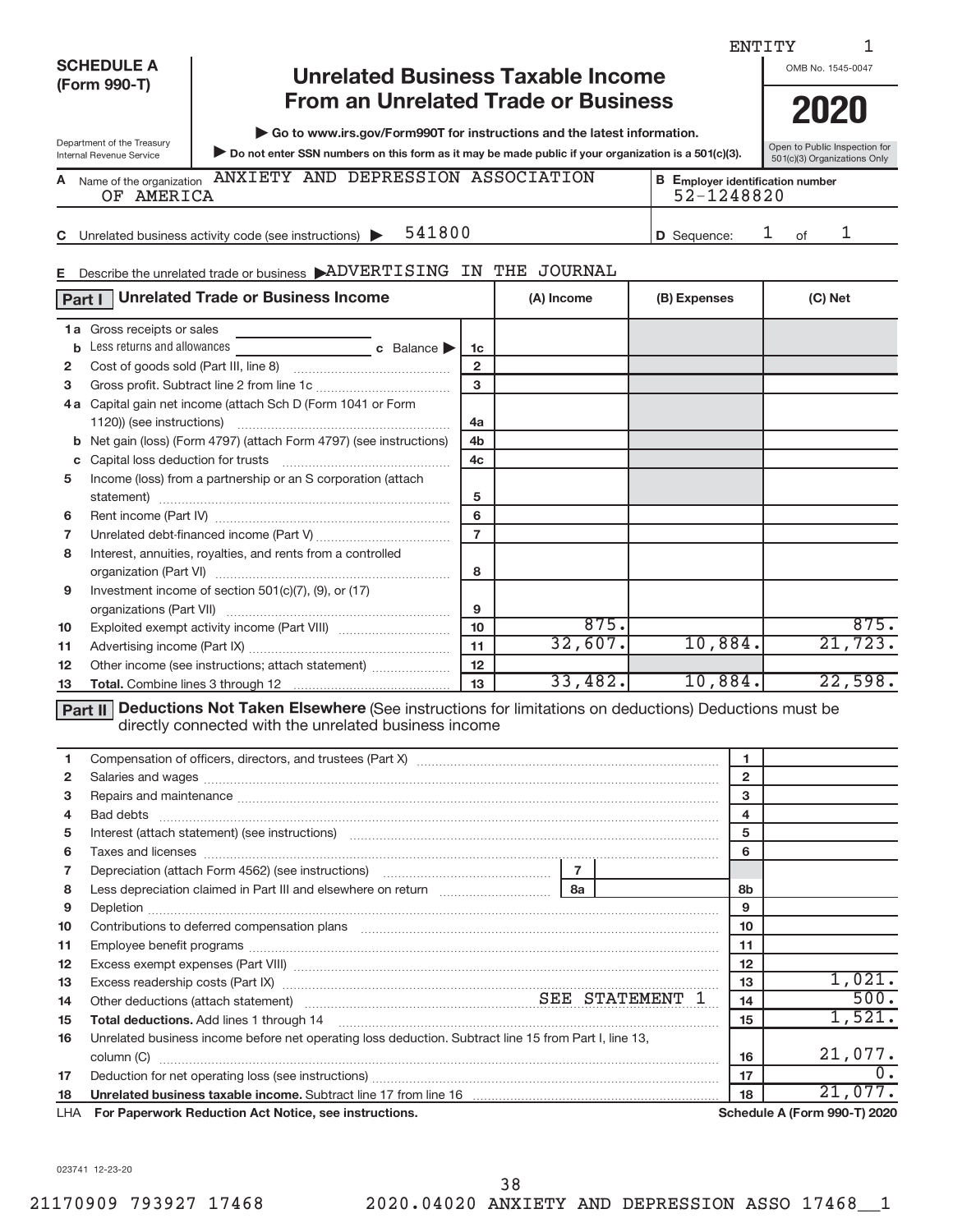|              | <b>SCHEDULE A</b><br><b>Unrelated Business Taxable Income</b>                                                                           |                                                                                                                                                                                                                                |                |            |      | OMB No. 1545-0047 |                |                               |
|--------------|-----------------------------------------------------------------------------------------------------------------------------------------|--------------------------------------------------------------------------------------------------------------------------------------------------------------------------------------------------------------------------------|----------------|------------|------|-------------------|----------------|-------------------------------|
|              | (Form 990-T)<br><b>From an Unrelated Trade or Business</b>                                                                              |                                                                                                                                                                                                                                |                |            |      |                   |                |                               |
|              |                                                                                                                                         |                                                                                                                                                                                                                                |                |            |      |                   |                | 2020                          |
|              | Department of the Treasury                                                                                                              | Go to www.irs.gov/Form990T for instructions and the latest information.                                                                                                                                                        |                |            |      |                   |                | Open to Public Inspection for |
|              | Internal Revenue Service                                                                                                                | Do not enter SSN numbers on this form as it may be made public if your organization is a 501(c)(3).                                                                                                                            |                |            |      |                   |                | 501(c)(3) Organizations Only  |
|              | ANXIETY AND DEPRESSION ASSOCIATION<br>A Name of the organization<br><b>B</b> Employer identification number<br>52-1248820<br>OF AMERICA |                                                                                                                                                                                                                                |                |            |      |                   |                |                               |
|              |                                                                                                                                         |                                                                                                                                                                                                                                |                |            |      |                   |                |                               |
|              |                                                                                                                                         | 541800<br>C Unrelated business activity code (see instructions) $\blacktriangleright$                                                                                                                                          |                |            |      | D Sequence:       |                | 1<br>1<br>of                  |
|              |                                                                                                                                         | E Describe the unrelated trade or business ADVERTISING IN THE JOURNAL                                                                                                                                                          |                |            |      |                   |                |                               |
| Part I       |                                                                                                                                         | <b>Unrelated Trade or Business Income</b>                                                                                                                                                                                      |                | (A) Income |      | (B) Expenses      |                | (C) Net                       |
|              | <b>1a</b> Gross receipts or sales                                                                                                       |                                                                                                                                                                                                                                |                |            |      |                   |                |                               |
| b            | Less returns and allowances                                                                                                             | c Balance                                                                                                                                                                                                                      | 1c             |            |      |                   |                |                               |
| $\mathbf{2}$ |                                                                                                                                         |                                                                                                                                                                                                                                | $\overline{2}$ |            |      |                   |                |                               |
| 3            |                                                                                                                                         |                                                                                                                                                                                                                                | 3              |            |      |                   |                |                               |
|              |                                                                                                                                         | 4a Capital gain net income (attach Sch D (Form 1041 or Form                                                                                                                                                                    |                |            |      |                   |                |                               |
|              | 1120)) (see instructions)                                                                                                               |                                                                                                                                                                                                                                | 4a             |            |      |                   |                |                               |
| b            |                                                                                                                                         | Net gain (loss) (Form 4797) (attach Form 4797) (see instructions)                                                                                                                                                              | 4 <sub>b</sub> |            |      |                   |                |                               |
| с            |                                                                                                                                         |                                                                                                                                                                                                                                | 4 <sub>c</sub> |            |      |                   |                |                               |
| 5            |                                                                                                                                         | Income (loss) from a partnership or an S corporation (attach                                                                                                                                                                   |                |            |      |                   |                |                               |
| 6            |                                                                                                                                         |                                                                                                                                                                                                                                | 5<br>6         |            |      |                   |                |                               |
| 7            |                                                                                                                                         |                                                                                                                                                                                                                                | $\overline{7}$ |            |      |                   |                |                               |
| 8            |                                                                                                                                         | Interest, annuities, royalties, and rents from a controlled                                                                                                                                                                    |                |            |      |                   |                |                               |
|              |                                                                                                                                         |                                                                                                                                                                                                                                | 8              |            |      |                   |                |                               |
| 9            |                                                                                                                                         | Investment income of section 501(c)(7), (9), or (17)                                                                                                                                                                           |                |            |      |                   |                |                               |
|              |                                                                                                                                         |                                                                                                                                                                                                                                | 9              |            |      |                   |                |                               |
| 10           |                                                                                                                                         |                                                                                                                                                                                                                                | 10             |            | 875. |                   |                | 875.                          |
| 11           |                                                                                                                                         |                                                                                                                                                                                                                                | 11             | 32,607.    |      |                   | 10,884.        | 21, 723.                      |
| 12           |                                                                                                                                         | Other income (see instructions; attach statement)                                                                                                                                                                              | 12             |            |      |                   |                |                               |
| 13           |                                                                                                                                         |                                                                                                                                                                                                                                | 13             | 33,482.    |      |                   | 10,884.        | 22,598.                       |
|              |                                                                                                                                         | Part II Deductions Not Taken Elsewhere (See instructions for limitations on deductions) Deductions must be<br>directly connected with the unrelated business income                                                            |                |            |      |                   |                |                               |
| 1            |                                                                                                                                         | Compensation of officers, directors, and trustees (Part X) [11] [2010] [2010] [2010] [2010] [2010] [2010] [2010] [3010] [2010] [2010] [3010] [2010] [2010] [3010] [3010] [3010] [3010] [3010] [3010] [3010] [3010] [3010] [301 |                |            |      |                   | 1.             |                               |
| $\mathbf{2}$ |                                                                                                                                         |                                                                                                                                                                                                                                |                |            |      |                   | $\overline{2}$ |                               |
| 3            |                                                                                                                                         |                                                                                                                                                                                                                                |                |            |      |                   | 3              |                               |
| 4            | Bad debts                                                                                                                               |                                                                                                                                                                                                                                |                |            |      |                   | $\overline{4}$ |                               |
| 5            |                                                                                                                                         | Interest (attach statement) (see instructions) material content in the content of the content of the content of the content of the content of the content of the content of the content of the content of the content of the c |                |            |      |                   | 5              |                               |
| 6            |                                                                                                                                         |                                                                                                                                                                                                                                |                |            |      |                   | 6              |                               |
| 7            |                                                                                                                                         |                                                                                                                                                                                                                                |                |            |      |                   |                |                               |
| 8            |                                                                                                                                         | Less depreciation claimed in Part III and elsewhere on return [11] [12] Less depreciation claimed in Part III and elsewhere on return                                                                                          |                | 8a         |      |                   | 8b             |                               |
| 9            |                                                                                                                                         |                                                                                                                                                                                                                                |                |            |      |                   | 9              |                               |
| 10           |                                                                                                                                         | Contributions to deferred compensation plans [11] matter contracts and the contributions to deferred compensation plans [11] matter contracts and the contracts of the contracts of the contracts of the contracts of the cont |                |            |      |                   | 10             |                               |
| 11           |                                                                                                                                         |                                                                                                                                                                                                                                |                |            |      |                   | 11             |                               |
| 12           |                                                                                                                                         |                                                                                                                                                                                                                                |                |            |      |                   | 12             | 1,021.                        |
| 13           |                                                                                                                                         | Excess readership costs (Part IX) [11] [2000] [2000] [2010] [3000] [3000] [3000] [3000] [3000] [3000] [3000] [                                                                                                                 |                |            |      |                   | 13             | 500.                          |
| 14           |                                                                                                                                         | Other deductions (attach statement) Material Material SEE STATEMENT 1                                                                                                                                                          |                |            |      |                   | 14             | 1,521.                        |
| 15           |                                                                                                                                         |                                                                                                                                                                                                                                |                |            |      |                   | 15             |                               |
| 16           |                                                                                                                                         | Unrelated business income before net operating loss deduction. Subtract line 15 from Part I, line 13,                                                                                                                          |                |            |      |                   | 16             | 21,077.                       |
| 17           |                                                                                                                                         |                                                                                                                                                                                                                                |                |            |      |                   | 17             | 0.                            |
| 18           |                                                                                                                                         | Unrelated business taxable income. Subtract line 17 from line 16 [19] [19] [19] Unrelated business taxable income. Subtract line 17 from line 16                                                                               |                |            |      |                   | 18             | 21,077.                       |
| LHA          |                                                                                                                                         | For Paperwork Reduction Act Notice, see instructions.                                                                                                                                                                          |                |            |      |                   |                | Schedule A (Form 990-T) 2020  |
|              |                                                                                                                                         |                                                                                                                                                                                                                                |                |            |      |                   |                |                               |

ENTITY 1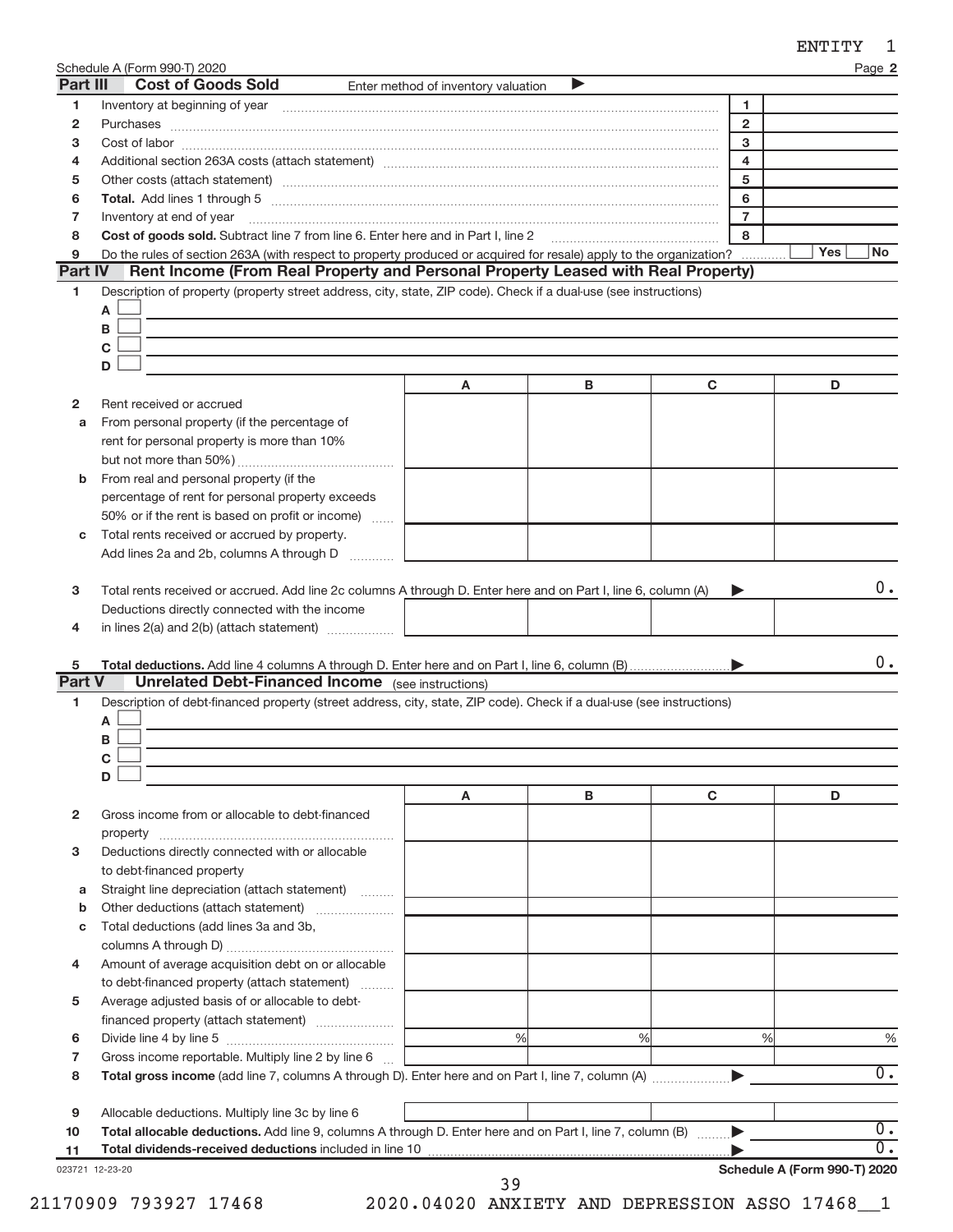| ᇄᅲᅮᆏ |  |
|------|--|
|------|--|

|                              |                                                                                                                                                                                            |                                     |   |                | ENTITY                       |
|------------------------------|--------------------------------------------------------------------------------------------------------------------------------------------------------------------------------------------|-------------------------------------|---|----------------|------------------------------|
| Part III                     | Schedule A (Form 990-T) 2020<br><b>Cost of Goods Sold</b>                                                                                                                                  | Enter method of inventory valuation | ▶ |                | Page 2                       |
| 1                            |                                                                                                                                                                                            |                                     |   | 1              |                              |
| $\mathbf{2}$                 |                                                                                                                                                                                            |                                     |   | $\overline{2}$ |                              |
| 3                            |                                                                                                                                                                                            |                                     |   | 3              |                              |
| 4                            | Additional section 263A costs (attach statement) material content content and a section 263A costs (attach statement) material content content and a section 263A costs (attach statement) |                                     |   | 4              |                              |
| 5                            |                                                                                                                                                                                            |                                     |   | 5              |                              |
| 6                            |                                                                                                                                                                                            |                                     |   | 6              |                              |
| 7                            | Inventory at end of year                                                                                                                                                                   |                                     |   | $\overline{7}$ |                              |
| 8                            | Cost of goods sold. Subtract line 7 from line 6. Enter here and in Part I, line 2                                                                                                          |                                     |   | 8              |                              |
| 9                            | Do the rules of section 263A (with respect to property produced or acquired for resale) apply to the organization?                                                                         |                                     |   |                | Yes<br>No                    |
| <b>Part IV</b>               | Rent Income (From Real Property and Personal Property Leased with Real Property)                                                                                                           |                                     |   |                |                              |
| 1                            | Description of property (property street address, city, state, ZIP code). Check if a dual-use (see instructions)                                                                           |                                     |   |                |                              |
|                              | А                                                                                                                                                                                          |                                     |   |                |                              |
|                              | В                                                                                                                                                                                          |                                     |   |                |                              |
|                              | С                                                                                                                                                                                          |                                     |   |                |                              |
|                              | D                                                                                                                                                                                          |                                     |   |                |                              |
|                              |                                                                                                                                                                                            | Α                                   | В | C              | D                            |
| $\mathbf{2}$                 | Rent received or accrued                                                                                                                                                                   |                                     |   |                |                              |
| а                            | From personal property (if the percentage of<br>rent for personal property is more than 10%                                                                                                |                                     |   |                |                              |
|                              |                                                                                                                                                                                            |                                     |   |                |                              |
| b                            | From real and personal property (if the                                                                                                                                                    |                                     |   |                |                              |
|                              | percentage of rent for personal property exceeds                                                                                                                                           |                                     |   |                |                              |
|                              | 50% or if the rent is based on profit or income)                                                                                                                                           |                                     |   |                |                              |
| с                            | Total rents received or accrued by property.                                                                                                                                               |                                     |   |                |                              |
|                              | Add lines 2a and 2b, columns A through D                                                                                                                                                   |                                     |   |                |                              |
| 4<br>5<br><b>Part V</b><br>1 | <b>Unrelated Debt-Financed Income</b> (see instructions)<br>Description of debt-financed property (street address, city, state, ZIP code). Check if a dual-use (see instructions)          |                                     |   |                | 0.                           |
|                              | А<br>в                                                                                                                                                                                     |                                     |   |                |                              |
|                              | С                                                                                                                                                                                          |                                     |   |                |                              |
|                              | D                                                                                                                                                                                          |                                     |   |                |                              |
|                              |                                                                                                                                                                                            | Α                                   | в | C              | D                            |
| $\mathbf{2}$                 | Gross income from or allocable to debt-financed                                                                                                                                            |                                     |   |                |                              |
|                              |                                                                                                                                                                                            |                                     |   |                |                              |
| 3                            | Deductions directly connected with or allocable                                                                                                                                            |                                     |   |                |                              |
|                              | to debt-financed property                                                                                                                                                                  |                                     |   |                |                              |
| а                            | Straight line depreciation (attach statement)                                                                                                                                              |                                     |   |                |                              |
| b                            | Other deductions (attach statement)                                                                                                                                                        |                                     |   |                |                              |
| c                            | Total deductions (add lines 3a and 3b,                                                                                                                                                     |                                     |   |                |                              |
|                              |                                                                                                                                                                                            |                                     |   |                |                              |
| 4                            | Amount of average acquisition debt on or allocable                                                                                                                                         |                                     |   |                |                              |
|                              | to debt-financed property (attach statement)                                                                                                                                               |                                     |   |                |                              |
| 5                            | Average adjusted basis of or allocable to debt-                                                                                                                                            |                                     |   |                |                              |
|                              | financed property (attach statement)                                                                                                                                                       |                                     |   |                |                              |
| 6                            |                                                                                                                                                                                            | %                                   | % | %              | $\frac{0}{0}$                |
| 7                            | Gross income reportable. Multiply line 2 by line 6                                                                                                                                         |                                     |   |                | $\overline{0}$ .             |
| 8                            |                                                                                                                                                                                            |                                     |   |                |                              |
| 9                            |                                                                                                                                                                                            |                                     |   |                |                              |
| 10                           | Allocable deductions. Multiply line 3c by line 6<br>Total allocable deductions. Add line 9, columns A through D. Enter here and on Part I, line 7, column (B)                              |                                     |   |                | 0.                           |
| 11                           |                                                                                                                                                                                            |                                     |   |                | $\overline{0}$ .             |
|                              | 023721 12-23-20                                                                                                                                                                            |                                     |   |                | Schedule A (Form 990-T) 2020 |

21170909 793927 17468 2020.04020 ANXIETY AND DEPRESSION ASSO 17468\_\_1

39

**Schedule A (Form 990**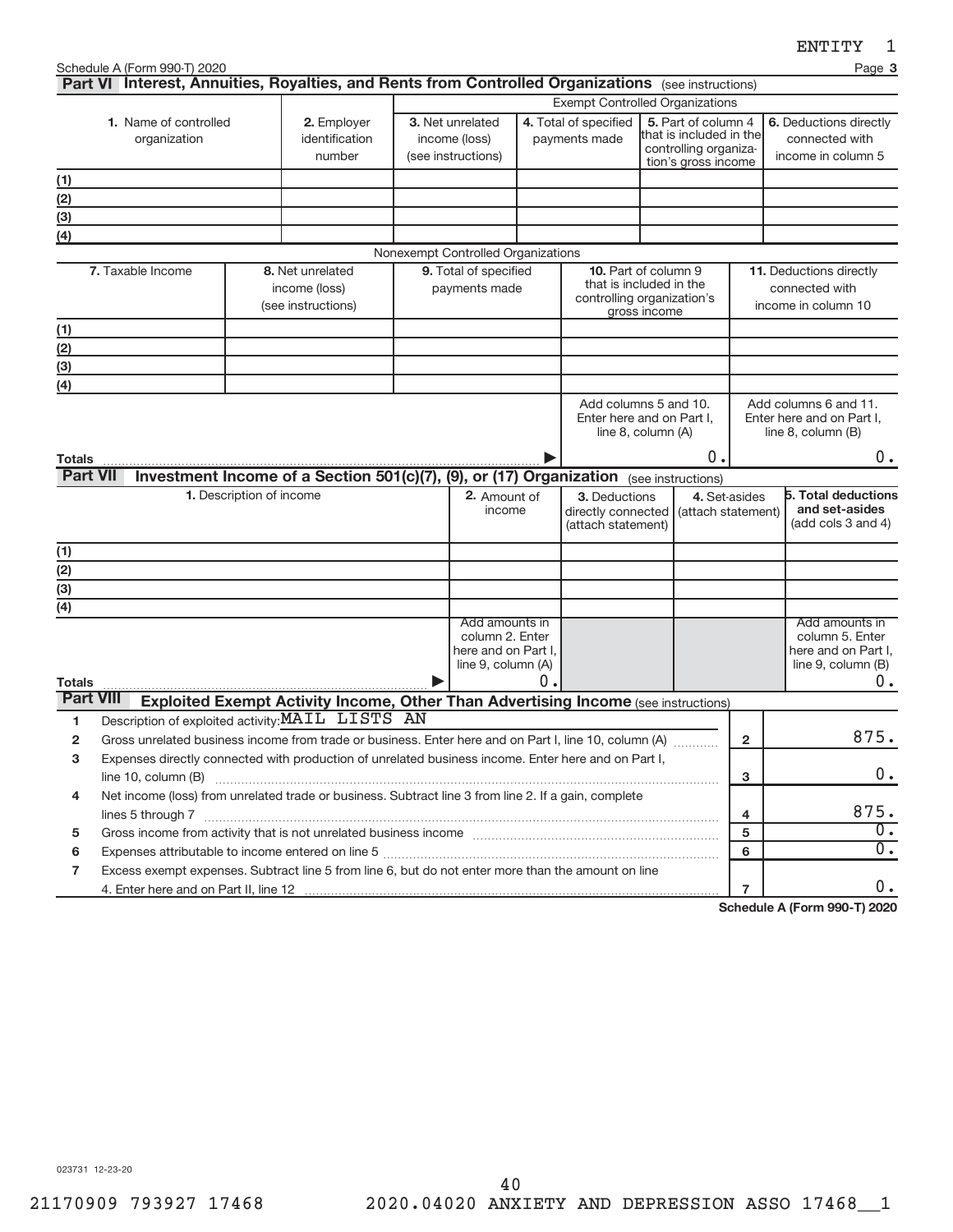|                                                                                                              | Schedule A (Form 990-T) 2020                                                                          |                          |                                                                                        |  |                                                                                |    |                                                           |                                                                                                                                          |                | Page 3                                                                               |
|--------------------------------------------------------------------------------------------------------------|-------------------------------------------------------------------------------------------------------|--------------------------|----------------------------------------------------------------------------------------|--|--------------------------------------------------------------------------------|----|-----------------------------------------------------------|------------------------------------------------------------------------------------------------------------------------------------------|----------------|--------------------------------------------------------------------------------------|
|                                                                                                              | Part VI Interest, Annuities, Royalties, and Rents from Controlled Organizations (see instructions)    |                          |                                                                                        |  |                                                                                |    |                                                           |                                                                                                                                          |                |                                                                                      |
|                                                                                                              | <b>1.</b> Name of controlled<br>organization                                                          |                          | 2. Employer<br>identification<br>number                                                |  | 3. Net unrelated<br>income (loss)<br>(see instructions)                        |    | 4. Total of specified<br>payments made                    | <b>Exempt Controlled Organizations</b><br>5. Part of column 4<br>that is included in the<br>controlling organiza-<br>tion's gross income |                | 6. Deductions directly<br>connected with<br>income in column 5                       |
| (1)                                                                                                          |                                                                                                       |                          |                                                                                        |  |                                                                                |    |                                                           |                                                                                                                                          |                |                                                                                      |
| (2)                                                                                                          |                                                                                                       |                          |                                                                                        |  |                                                                                |    |                                                           |                                                                                                                                          |                |                                                                                      |
| (3)                                                                                                          |                                                                                                       |                          |                                                                                        |  |                                                                                |    |                                                           |                                                                                                                                          |                |                                                                                      |
| (4)                                                                                                          |                                                                                                       |                          |                                                                                        |  |                                                                                |    |                                                           |                                                                                                                                          |                |                                                                                      |
|                                                                                                              |                                                                                                       |                          |                                                                                        |  | Nonexempt Controlled Organizations                                             |    |                                                           |                                                                                                                                          |                |                                                                                      |
|                                                                                                              | 7. Taxable Income                                                                                     |                          | 8. Net unrelated<br>income (loss)<br>(see instructions)                                |  | 9. Total of specified<br>payments made                                         |    |                                                           | <b>10.</b> Part of column 9<br>that is included in the<br>controlling organization's<br>gross income                                     |                | <b>11.</b> Deductions directly<br>connected with<br>income in column 10              |
| (1)                                                                                                          |                                                                                                       |                          |                                                                                        |  |                                                                                |    |                                                           |                                                                                                                                          |                |                                                                                      |
| (2)                                                                                                          |                                                                                                       |                          |                                                                                        |  |                                                                                |    |                                                           |                                                                                                                                          |                |                                                                                      |
| (3)                                                                                                          |                                                                                                       |                          |                                                                                        |  |                                                                                |    |                                                           |                                                                                                                                          |                |                                                                                      |
| (4)                                                                                                          |                                                                                                       |                          |                                                                                        |  |                                                                                |    |                                                           |                                                                                                                                          |                |                                                                                      |
| Totals                                                                                                       |                                                                                                       |                          |                                                                                        |  |                                                                                |    |                                                           | Add columns 5 and 10.<br>Enter here and on Part I.<br>line $8$ , column $(A)$<br>0.                                                      |                | Add columns 6 and 11.<br>Enter here and on Part I.<br>line $8$ , column $(B)$<br>0.  |
| <b>Part VII</b>                                                                                              |                                                                                                       |                          | Investment Income of a Section 501(c)(7), (9), or (17) Organization (see instructions) |  |                                                                                |    |                                                           |                                                                                                                                          |                |                                                                                      |
|                                                                                                              |                                                                                                       | 1. Description of income |                                                                                        |  | 2. Amount of<br>income                                                         |    | 3. Deductions<br>directly connected<br>(attach statement) | (attach statement)                                                                                                                       | 4. Set-asides  | 5. Total deductions<br>and set-asides<br>(add cols 3 and 4)                          |
| (1)                                                                                                          |                                                                                                       |                          |                                                                                        |  |                                                                                |    |                                                           |                                                                                                                                          |                |                                                                                      |
| (2)                                                                                                          |                                                                                                       |                          |                                                                                        |  |                                                                                |    |                                                           |                                                                                                                                          |                |                                                                                      |
| $\overline{(3)}$<br>$\overline{(4)}$                                                                         |                                                                                                       |                          |                                                                                        |  |                                                                                |    |                                                           |                                                                                                                                          |                |                                                                                      |
| <b>Totals</b>                                                                                                |                                                                                                       |                          |                                                                                        |  | Add amounts in<br>column 2. Enter<br>here and on Part I,<br>line 9, column (A) | 0. |                                                           |                                                                                                                                          |                | Add amounts in<br>column 5. Enter<br>here and on Part I,<br>line 9, column (B)<br>0. |
| <b>Part VIII</b>                                                                                             |                                                                                                       |                          | Exploited Exempt Activity Income, Other Than Advertising Income (see instructions)     |  |                                                                                |    |                                                           |                                                                                                                                          |                |                                                                                      |
| 1                                                                                                            | Description of exploited activity: MAIL LISTS AN                                                      |                          |                                                                                        |  |                                                                                |    |                                                           |                                                                                                                                          |                |                                                                                      |
| $\overline{2}$                                                                                               | Gross unrelated business income from trade or business. Enter here and on Part I, line 10, column (A) |                          |                                                                                        |  |                                                                                |    |                                                           |                                                                                                                                          | $\overline{2}$ | 875.                                                                                 |
| 3                                                                                                            | Expenses directly connected with production of unrelated business income. Enter here and on Part I,   |                          |                                                                                        |  |                                                                                |    |                                                           |                                                                                                                                          |                |                                                                                      |
|                                                                                                              | line 10, column (B)                                                                                   |                          |                                                                                        |  |                                                                                |    |                                                           |                                                                                                                                          | 3              | $0$ .                                                                                |
| 4                                                                                                            | Net income (loss) from unrelated trade or business. Subtract line 3 from line 2. If a gain, complete  |                          |                                                                                        |  |                                                                                |    |                                                           |                                                                                                                                          |                | 875.                                                                                 |
| lines 5 through 7 www.assess.com/news/manual-community/intervention-community-community-community-community- |                                                                                                       |                          |                                                                                        |  |                                                                                | 4  | $\overline{0}$ .                                          |                                                                                                                                          |                |                                                                                      |
| 5                                                                                                            |                                                                                                       |                          |                                                                                        |  |                                                                                |    |                                                           |                                                                                                                                          | 5<br>6         | $\overline{0}$ .                                                                     |
| 6<br>7                                                                                                       | Excess exempt expenses. Subtract line 5 from line 6, but do not enter more than the amount on line    |                          |                                                                                        |  |                                                                                |    |                                                           |                                                                                                                                          |                |                                                                                      |
|                                                                                                              |                                                                                                       |                          |                                                                                        |  |                                                                                |    |                                                           |                                                                                                                                          | $\overline{7}$ | $0$ .                                                                                |
|                                                                                                              |                                                                                                       |                          |                                                                                        |  |                                                                                |    |                                                           |                                                                                                                                          |                |                                                                                      |

**Schedule A (Form 990-T) 2020**

023731 12-23-20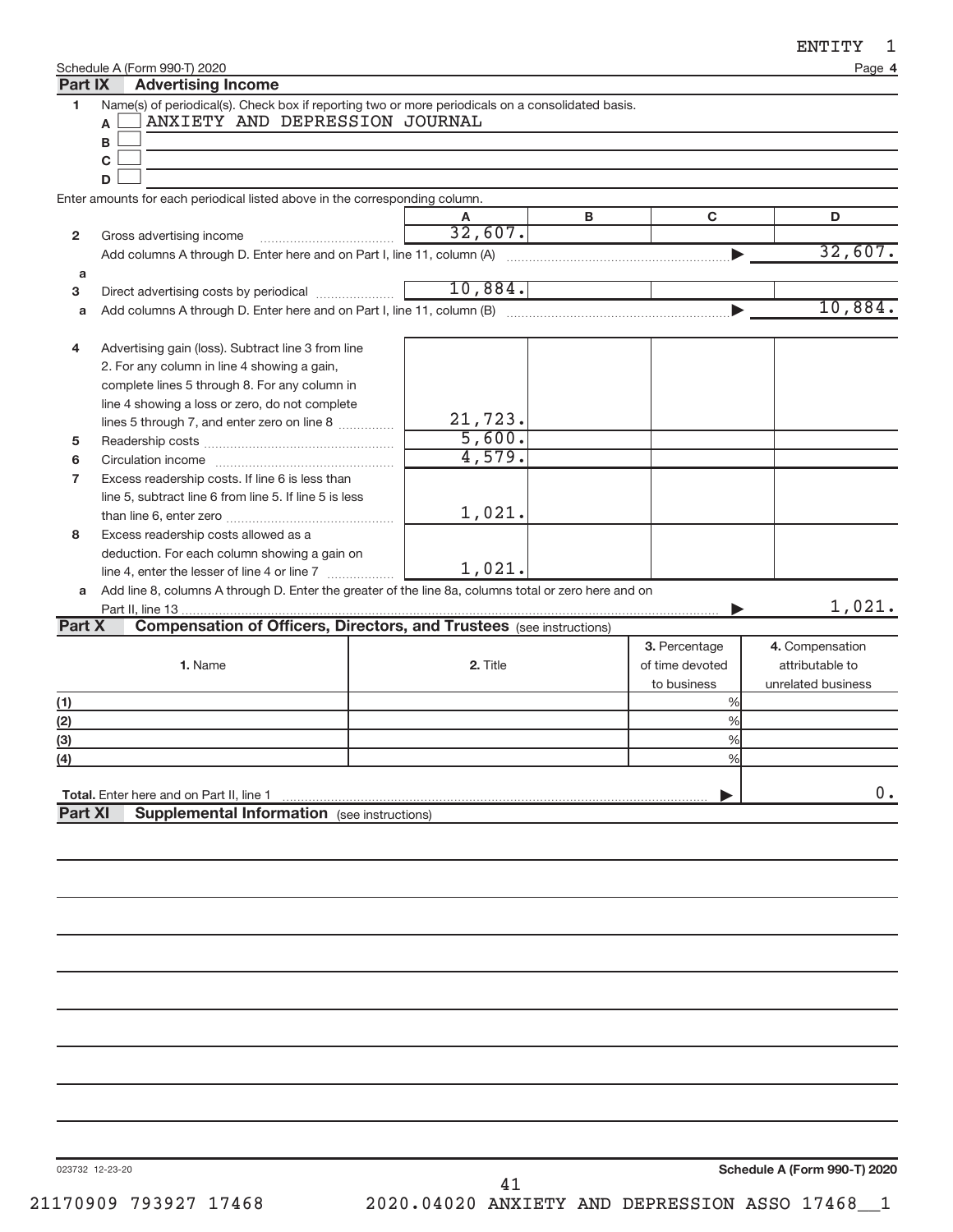|                | Schedule A (Form 990-T) 2020                                                                         |          |   |                 | Page 4             |
|----------------|------------------------------------------------------------------------------------------------------|----------|---|-----------------|--------------------|
| Part IX        | <b>Advertising Income</b>                                                                            |          |   |                 |                    |
| 1              | Name(s) of periodical(s). Check box if reporting two or more periodicals on a consolidated basis.    |          |   |                 |                    |
|                | ANXIETY AND DEPRESSION JOURNAL<br>A                                                                  |          |   |                 |                    |
|                | в                                                                                                    |          |   |                 |                    |
|                | $\mathbf C$                                                                                          |          |   |                 |                    |
|                | D                                                                                                    |          |   |                 |                    |
|                | Enter amounts for each periodical listed above in the corresponding column.                          |          |   |                 |                    |
|                |                                                                                                      |          | в | $\mathbf C$     | D                  |
| $\mathbf{2}$   | Gross advertising income                                                                             | 32,607.  |   |                 |                    |
|                |                                                                                                      |          |   |                 | 32,607.            |
| a              |                                                                                                      |          |   |                 |                    |
| 3              |                                                                                                      |          |   |                 |                    |
| a              |                                                                                                      |          |   |                 | 10,884.            |
|                |                                                                                                      |          |   |                 |                    |
| 4              | Advertising gain (loss). Subtract line 3 from line                                                   |          |   |                 |                    |
|                | 2. For any column in line 4 showing a gain,                                                          |          |   |                 |                    |
|                | complete lines 5 through 8. For any column in                                                        |          |   |                 |                    |
|                | line 4 showing a loss or zero, do not complete                                                       |          |   |                 |                    |
|                | lines 5 through 7, and enter zero on line 8                                                          | 21,723.  |   |                 |                    |
| 5              |                                                                                                      | 5,600.   |   |                 |                    |
| 6              |                                                                                                      | 4,579.   |   |                 |                    |
| 7              | Excess readership costs. If line 6 is less than                                                      |          |   |                 |                    |
|                | line 5, subtract line 6 from line 5. If line 5 is less                                               |          |   |                 |                    |
|                |                                                                                                      | 1,021.   |   |                 |                    |
| 8              | Excess readership costs allowed as a                                                                 |          |   |                 |                    |
|                | deduction. For each column showing a gain on                                                         |          |   |                 |                    |
|                |                                                                                                      | 1,021.   |   |                 |                    |
| a              | Add line 8, columns A through D. Enter the greater of the line 8a, columns total or zero here and on |          |   |                 |                    |
|                |                                                                                                      |          |   |                 | 1,021.             |
| Part X         | <b>Compensation of Officers, Directors, and Trustees (see instructions)</b>                          |          |   |                 |                    |
|                |                                                                                                      |          |   | 3. Percentage   | 4. Compensation    |
|                | 1. Name                                                                                              | 2. Title |   | of time devoted | attributable to    |
|                |                                                                                                      |          |   | to business     | unrelated business |
| (1)            |                                                                                                      |          |   | %               |                    |
| (2)            |                                                                                                      |          |   | %               |                    |
| (3)            |                                                                                                      |          |   | %               |                    |
| (4)            |                                                                                                      |          |   | 0/2             |                    |
|                |                                                                                                      |          |   |                 |                    |
|                | Total. Enter here and on Part II, line 1                                                             |          |   |                 | $0$ .              |
| <b>Part XI</b> | <b>Supplemental Information</b> (see instructions)                                                   |          |   |                 |                    |
|                |                                                                                                      |          |   |                 |                    |
|                |                                                                                                      |          |   |                 |                    |
|                |                                                                                                      |          |   |                 |                    |
|                |                                                                                                      |          |   |                 |                    |
|                |                                                                                                      |          |   |                 |                    |
|                |                                                                                                      |          |   |                 |                    |
|                |                                                                                                      |          |   |                 |                    |
|                |                                                                                                      |          |   |                 |                    |
|                |                                                                                                      |          |   |                 |                    |
|                |                                                                                                      |          |   |                 |                    |
|                |                                                                                                      |          |   |                 |                    |
|                |                                                                                                      |          |   |                 |                    |
|                |                                                                                                      |          |   |                 |                    |
|                |                                                                                                      |          |   |                 |                    |
|                |                                                                                                      |          |   |                 |                    |
|                |                                                                                                      |          |   |                 |                    |

023732 12-23-20

ENTITY 1